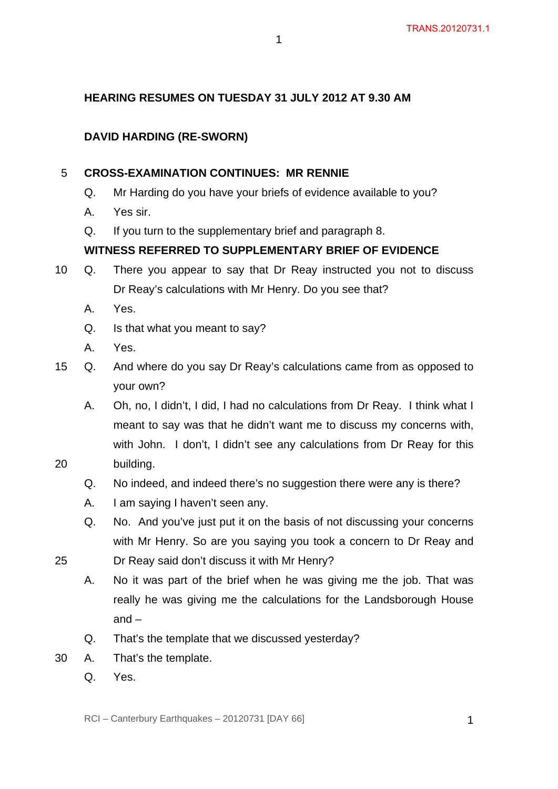# **HEARING RESUMES ON TUESDAY 31 JULY 2012 AT 9.30 AM**

1

# **DAVID HARDING (RE-SWORN)**

#### 5 **CROSS-EXAMINATION CONTINUES: MR RENNIE**

- Q. Mr Harding do you have your briefs of evidence available to you?
- A. Yes sir.
- Q. If you turn to the supplementary brief and paragraph 8.

#### **WITNESS REFERRED TO SUPPLEMENTARY BRIEF OF EVIDENCE**

- 10 Q. There you appear to say that Dr Reay instructed you not to discuss Dr Reay's calculations with Mr Henry. Do you see that?
	- A. Yes.
	- Q. Is that what you meant to say?
	- A. Yes.
- 15 Q. And where do you say Dr Reay's calculations came from as opposed to your own?
	- A. Oh, no, I didn't, I did, I had no calculations from Dr Reay. I think what I meant to say was that he didn't want me to discuss my concerns with, with John. I don't, I didn't see any calculations from Dr Reay for this building.
	- Q. No indeed, and indeed there's no suggestion there were any is there?
	- A. I am saying I haven't seen any.
	- Q. No. And you've just put it on the basis of not discussing your concerns with Mr Henry. So are you saying you took a concern to Dr Reay and Dr Reay said don't discuss it with Mr Henry?
- 25

- A. No it was part of the brief when he was giving me the job. That was really he was giving me the calculations for the Landsborough House and –
- Q. That's the template that we discussed yesterday?
- 30 A. That's the template.
	- Q. Yes.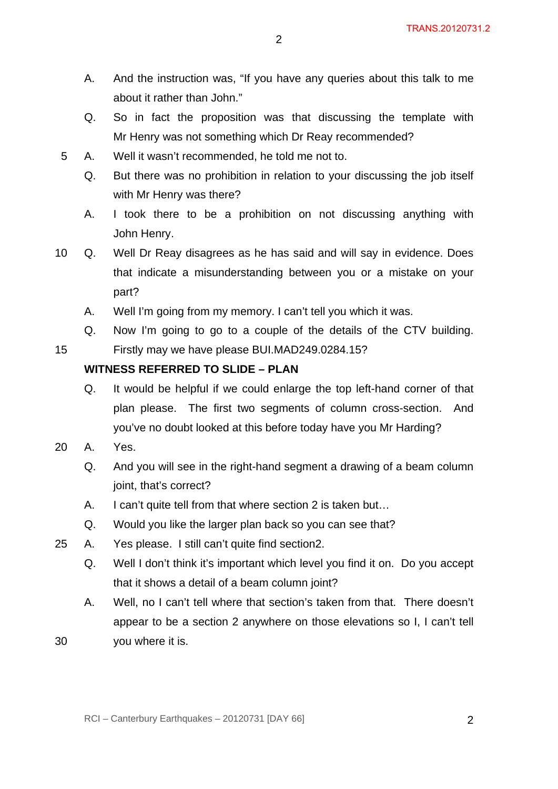- A. And the instruction was, "If you have any queries about this talk to me about it rather than John."
- Q. So in fact the proposition was that discussing the template with Mr Henry was not something which Dr Reay recommended?
- 5 A. Well it wasn't recommended, he told me not to.
	- Q. But there was no prohibition in relation to your discussing the job itself with Mr Henry was there?
	- A. I took there to be a prohibition on not discussing anything with John Henry.
- 10 Q. Well Dr Reay disagrees as he has said and will say in evidence. Does that indicate a misunderstanding between you or a mistake on your part?
	- A. Well I'm going from my memory. I can't tell you which it was.
	- Q. Now I'm going to go to a couple of the details of the CTV building. Firstly may we have please BUI.MAD249.0284.15?

#### **WITNESS REFERRED TO SLIDE – PLAN**

- Q. It would be helpful if we could enlarge the top left-hand corner of that plan please. The first two segments of column cross-section. And you've no doubt looked at this before today have you Mr Harding?
- 20 A. Yes.

- Q. And you will see in the right-hand segment a drawing of a beam column joint, that's correct?
- A. I can't quite tell from that where section 2 is taken but…
- Q. Would you like the larger plan back so you can see that?
- 25 A. Yes please. I still can't quite find section2.
	- Q. Well I don't think it's important which level you find it on. Do you accept that it shows a detail of a beam column joint?
	- A. Well, no I can't tell where that section's taken from that. There doesn't appear to be a section 2 anywhere on those elevations so I, I can't tell
- 30 you where it is.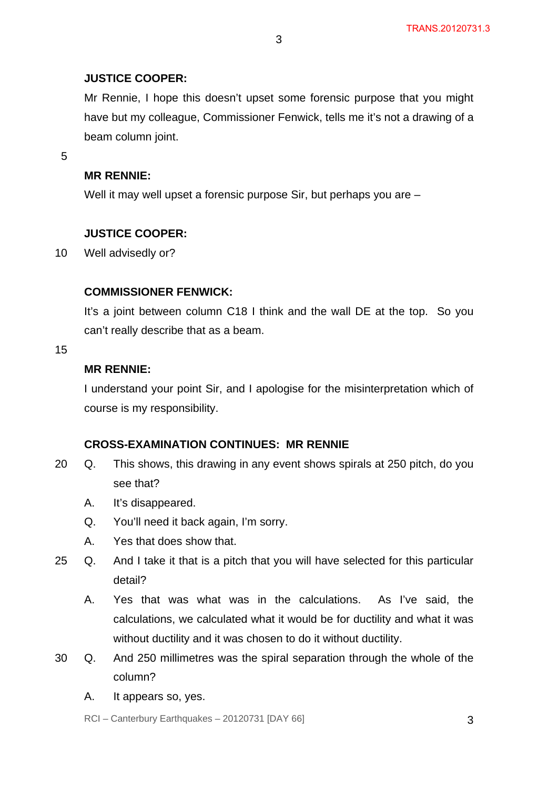#### **JUSTICE COOPER:**

Mr Rennie, I hope this doesn't upset some forensic purpose that you might have but my colleague, Commissioner Fenwick, tells me it's not a drawing of a beam column joint.

5

#### **MR RENNIE:**

Well it may well upset a forensic purpose Sir, but perhaps you are –

#### **JUSTICE COOPER:**

10 Well advisedly or?

# **COMMISSIONER FENWICK:**

It's a joint between column C18 I think and the wall DE at the top. So you can't really describe that as a beam.

15

# **MR RENNIE:**

I understand your point Sir, and I apologise for the misinterpretation which of course is my responsibility.

# **CROSS-EXAMINATION CONTINUES: MR RENNIE**

- 20 Q. This shows, this drawing in any event shows spirals at 250 pitch, do you see that?
	- A. It's disappeared.
	- Q. You'll need it back again, I'm sorry.
	- A. Yes that does show that.
- 25 Q. And I take it that is a pitch that you will have selected for this particular detail?
	- A. Yes that was what was in the calculations. As I've said, the calculations, we calculated what it would be for ductility and what it was without ductility and it was chosen to do it without ductility.
- 30 Q. And 250 millimetres was the spiral separation through the whole of the column?
	- A. It appears so, yes.

 $RCI - Canterbury Earthquakes - 20120731 [DAY 66]$  3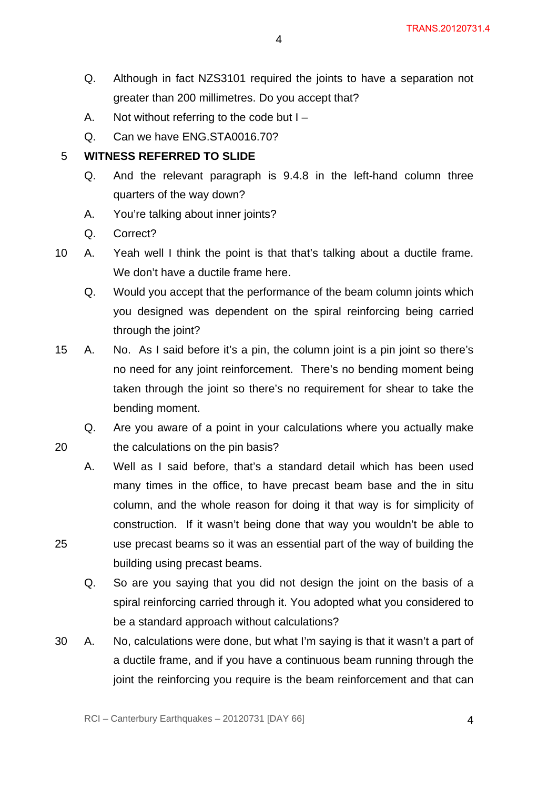- Q. Although in fact NZS3101 required the joints to have a separation not greater than 200 millimetres. Do you accept that?
- A. Not without referring to the code but I –
- Q. Can we have ENG.STA0016.70?

5 **WITNESS REFERRED TO SLIDE**

- Q. And the relevant paragraph is 9.4.8 in the left-hand column three quarters of the way down?
- A. You're talking about inner joints?
- Q. Correct?

20

- 10 A. Yeah well I think the point is that that's talking about a ductile frame. We don't have a ductile frame here.
	- Q. Would you accept that the performance of the beam column joints which you designed was dependent on the spiral reinforcing being carried through the joint?
- 15 A. No. As I said before it's a pin, the column joint is a pin joint so there's no need for any joint reinforcement. There's no bending moment being taken through the joint so there's no requirement for shear to take the bending moment.
	- Q. Are you aware of a point in your calculations where you actually make the calculations on the pin basis?
	- A. Well as I said before, that's a standard detail which has been used many times in the office, to have precast beam base and the in situ column, and the whole reason for doing it that way is for simplicity of construction. If it wasn't being done that way you wouldn't be able to use precast beams so it was an essential part of the way of building the building using precast beams.
	- Q. So are you saying that you did not design the joint on the basis of a spiral reinforcing carried through it. You adopted what you considered to be a standard approach without calculations?
- 30 A. No, calculations were done, but what I'm saying is that it wasn't a part of a ductile frame, and if you have a continuous beam running through the joint the reinforcing you require is the beam reinforcement and that can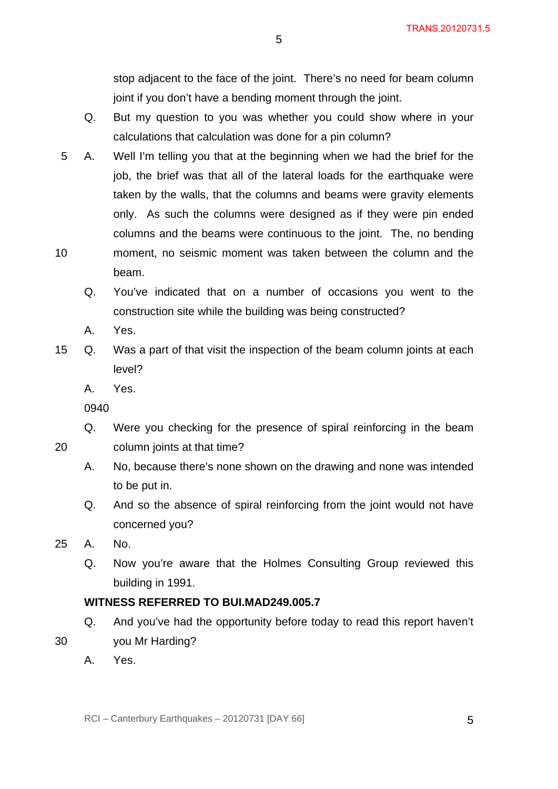stop adjacent to the face of the joint. There's no need for beam column joint if you don't have a bending moment through the joint.

- Q. But my question to you was whether you could show where in your calculations that calculation was done for a pin column?
- 10 5 A. Well I'm telling you that at the beginning when we had the brief for the job, the brief was that all of the lateral loads for the earthquake were taken by the walls, that the columns and beams were gravity elements only. As such the columns were designed as if they were pin ended columns and the beams were continuous to the joint. The, no bending moment, no seismic moment was taken between the column and the beam.
	- Q. You've indicated that on a number of occasions you went to the construction site while the building was being constructed?
	- A. Yes.
- 15 Q. Was a part of that visit the inspection of the beam column joints at each level?
	- A. Yes.
	- 0940

20

- Q. Were you checking for the presence of spiral reinforcing in the beam column joints at that time?
- A. No, because there's none shown on the drawing and none was intended to be put in.
- Q. And so the absence of spiral reinforcing from the joint would not have concerned you?
- 25 A. No.
	- Q. Now you're aware that the Holmes Consulting Group reviewed this building in 1991.

# **WITNESS REFERRED TO BUI.MAD249.005.7**

- Q. And you've had the opportunity before today to read this report haven't
- 30 you Mr Harding?
	- A. Yes.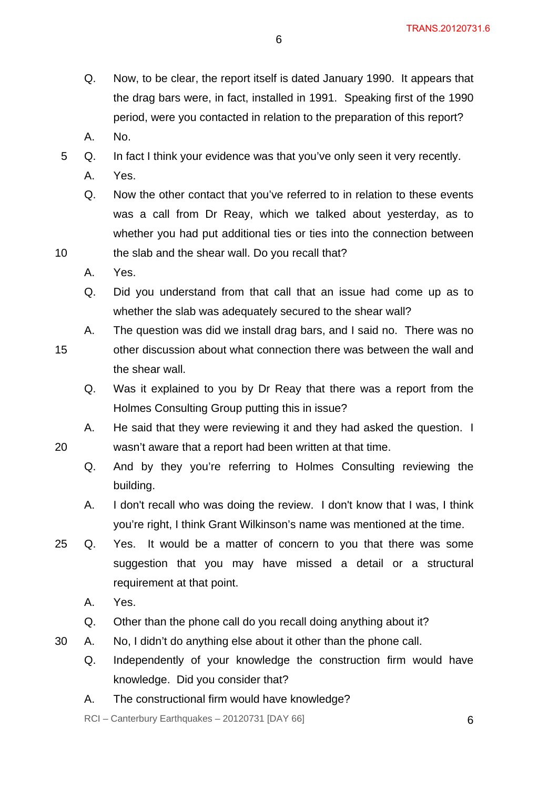- Q. Now, to be clear, the report itself is dated January 1990. It appears that the drag bars were, in fact, installed in 1991. Speaking first of the 1990 period, were you contacted in relation to the preparation of this report?
- A. No.
- 5 Q. In fact I think your evidence was that you've only seen it very recently.
	- A. Yes.
	- Q. Now the other contact that you've referred to in relation to these events was a call from Dr Reay, which we talked about yesterday, as to whether you had put additional ties or ties into the connection between the slab and the shear wall. Do you recall that?
	- A. Yes.

20

- Q. Did you understand from that call that an issue had come up as to whether the slab was adequately secured to the shear wall?
- 15 A. The question was did we install drag bars, and I said no. There was no other discussion about what connection there was between the wall and the shear wall.
	- Q. Was it explained to you by Dr Reay that there was a report from the Holmes Consulting Group putting this in issue?
	- A. He said that they were reviewing it and they had asked the question. I wasn't aware that a report had been written at that time.
		- Q. And by they you're referring to Holmes Consulting reviewing the building.
		- A. I don't recall who was doing the review. I don't know that I was, I think you're right, I think Grant Wilkinson's name was mentioned at the time.
- 25 Q. Yes. It would be a matter of concern to you that there was some suggestion that you may have missed a detail or a structural requirement at that point.
	- A. Yes.
	- Q. Other than the phone call do you recall doing anything about it?
- 30 A. No, I didn't do anything else about it other than the phone call.
	- Q. Independently of your knowledge the construction firm would have knowledge. Did you consider that?
	- A. The constructional firm would have knowledge?

 $RCI - Canterbury Earthquakes - 20120731 [DAY 66]$  6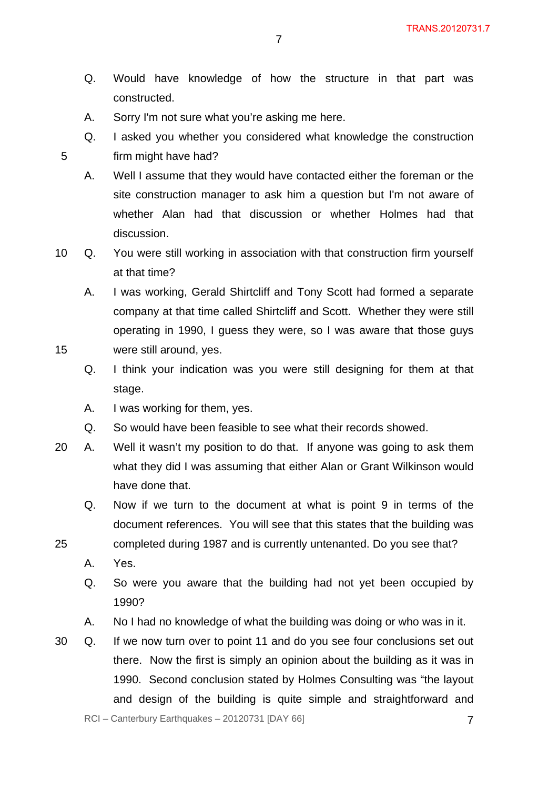- Q. Would have knowledge of how the structure in that part was constructed.
- A. Sorry I'm not sure what you're asking me here.
- Q. I asked you whether you considered what knowledge the construction firm might have had?
- 5

25

- A. Well I assume that they would have contacted either the foreman or the site construction manager to ask him a question but I'm not aware of whether Alan had that discussion or whether Holmes had that discussion.
- 10 Q. You were still working in association with that construction firm yourself at that time?

A. I was working, Gerald Shirtcliff and Tony Scott had formed a separate company at that time called Shirtcliff and Scott. Whether they were still operating in 1990, I guess they were, so I was aware that those guys were still around, yes.

- Q. I think your indication was you were still designing for them at that stage.
- A. I was working for them, yes.
- Q. So would have been feasible to see what their records showed.
- 20 A. Well it wasn't my position to do that. If anyone was going to ask them what they did I was assuming that either Alan or Grant Wilkinson would have done that.
	- Q. Now if we turn to the document at what is point 9 in terms of the document references. You will see that this states that the building was
	- completed during 1987 and is currently untenanted. Do you see that?
		- A. Yes.
		- Q. So were you aware that the building had not yet been occupied by 1990?
		- A. No I had no knowledge of what the building was doing or who was in it.
- 30 Q. If we now turn over to point 11 and do you see four conclusions set out there. Now the first is simply an opinion about the building as it was in 1990. Second conclusion stated by Holmes Consulting was "the layout and design of the building is quite simple and straightforward and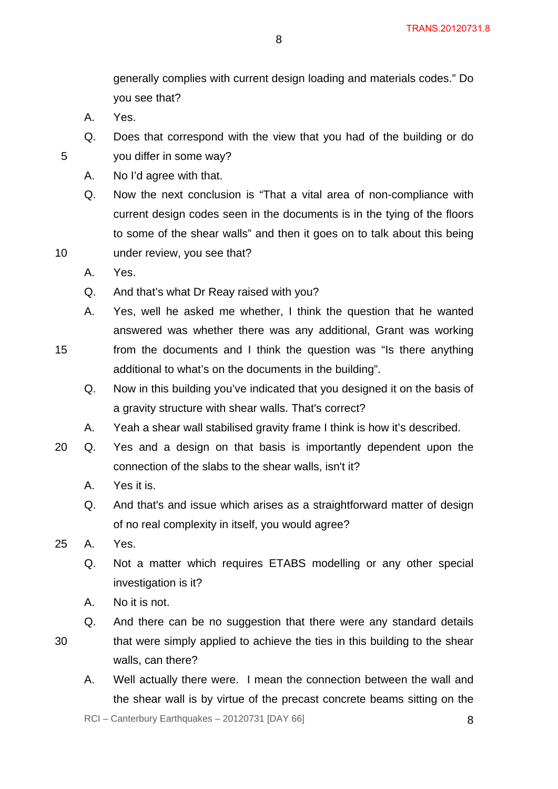generally complies with current design loading and materials codes." Do you see that?

A. Yes.

5

10

15

- Q. Does that correspond with the view that you had of the building or do you differ in some way?
- A. No I'd agree with that.
- Q. Now the next conclusion is "That a vital area of non-compliance with current design codes seen in the documents is in the tying of the floors to some of the shear walls" and then it goes on to talk about this being under review, you see that?
- A. Yes.
- Q. And that's what Dr Reay raised with you?
- A. Yes, well he asked me whether, I think the question that he wanted answered was whether there was any additional, Grant was working from the documents and I think the question was "Is there anything additional to what's on the documents in the building".
	- Q. Now in this building you've indicated that you designed it on the basis of a gravity structure with shear walls. That's correct?
	- A. Yeah a shear wall stabilised gravity frame I think is how it's described.
- 20 Q. Yes and a design on that basis is importantly dependent upon the connection of the slabs to the shear walls, isn't it?
	- A. Yes it is.
	- Q. And that's and issue which arises as a straightforward matter of design of no real complexity in itself, you would agree?
- 25 A. Yes.
	- Q. Not a matter which requires ETABS modelling or any other special investigation is it?
	- A. No it is not.
	- Q. And there can be no suggestion that there were any standard details
- 30
- that were simply applied to achieve the ties in this building to the shear walls, can there?
- A. Well actually there were. I mean the connection between the wall and the shear wall is by virtue of the precast concrete beams sitting on the

 $RCI - Canterbury Earthquakes - 20120731 [DAY 66]$  8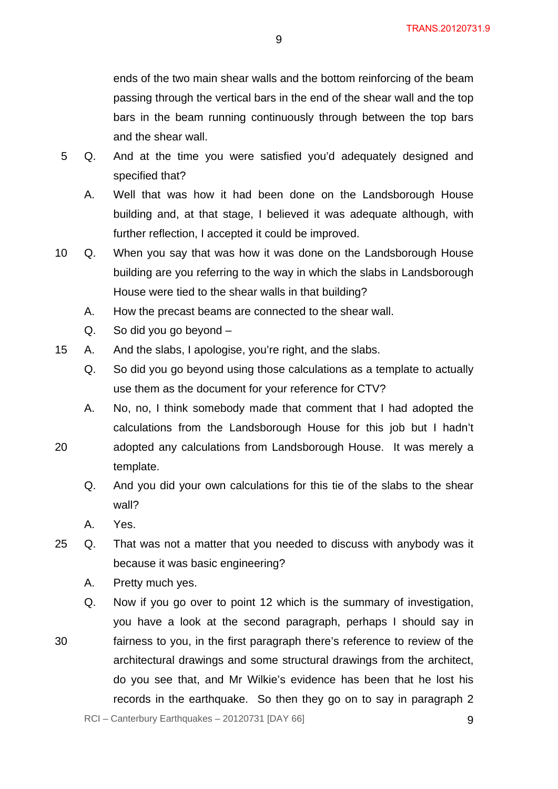ends of the two main shear walls and the bottom reinforcing of the beam passing through the vertical bars in the end of the shear wall and the top bars in the beam running continuously through between the top bars and the shear wall.

- 5 Q. And at the time you were satisfied you'd adequately designed and specified that?
	- A. Well that was how it had been done on the Landsborough House building and, at that stage, I believed it was adequate although, with further reflection, I accepted it could be improved.
- 10 Q. When you say that was how it was done on the Landsborough House building are you referring to the way in which the slabs in Landsborough House were tied to the shear walls in that building?
	- A. How the precast beams are connected to the shear wall.
	- Q. So did you go beyond –
- 15 A. And the slabs, I apologise, you're right, and the slabs.
	- Q. So did you go beyond using those calculations as a template to actually use them as the document for your reference for CTV?
	- A. No, no, I think somebody made that comment that I had adopted the calculations from the Landsborough House for this job but I hadn't adopted any calculations from Landsborough House. It was merely a
		- Q. And you did your own calculations for this tie of the slabs to the shear wall?
		- A. Yes.

20

30

- 25 Q. That was not a matter that you needed to discuss with anybody was it because it was basic engineering?
	- A. Pretty much yes.

template.

Q. Now if you go over to point 12 which is the summary of investigation, you have a look at the second paragraph, perhaps I should say in fairness to you, in the first paragraph there's reference to review of the architectural drawings and some structural drawings from the architect, do you see that, and Mr Wilkie's evidence has been that he lost his records in the earthquake. So then they go on to say in paragraph 2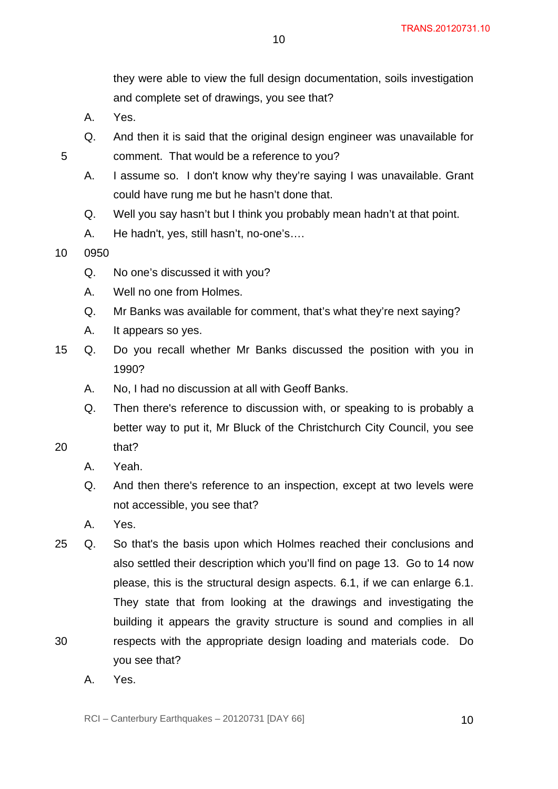they were able to view the full design documentation, soils investigation and complete set of drawings, you see that?

- A. Yes.
- Q. And then it is said that the original design engineer was unavailable for comment. That would be a reference to you?

10

- A. I assume so. I don't know why they're saying I was unavailable. Grant could have rung me but he hasn't done that.
- Q. Well you say hasn't but I think you probably mean hadn't at that point.
- A. He hadn't, yes, still hasn't, no-one's….
- 10 0950

5

- Q. No one's discussed it with you?
- A. Well no one from Holmes.
- Q. Mr Banks was available for comment, that's what they're next saying?
- A. It appears so yes.
- 15 Q. Do you recall whether Mr Banks discussed the position with you in 1990?
	- A. No, I had no discussion at all with Geoff Banks.
	- Q. Then there's reference to discussion with, or speaking to is probably a better way to put it, Mr Bluck of the Christchurch City Council, you see
- 20 that?
	- A. Yeah.
	- Q. And then there's reference to an inspection, except at two levels were not accessible, you see that?
	- A. Yes.
- 30 25 Q. So that's the basis upon which Holmes reached their conclusions and also settled their description which you'll find on page 13. Go to 14 now please, this is the structural design aspects. 6.1, if we can enlarge 6.1. They state that from looking at the drawings and investigating the building it appears the gravity structure is sound and complies in all respects with the appropriate design loading and materials code. Do
	- A. Yes.

you see that?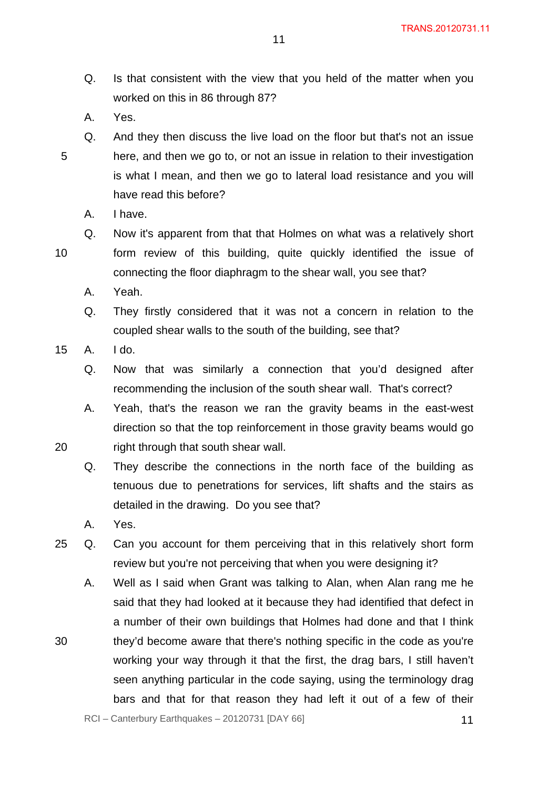- Q. Is that consistent with the view that you held of the matter when you worked on this in 86 through 87?
- A. Yes.
- Q. And they then discuss the live load on the floor but that's not an issue here, and then we go to, or not an issue in relation to their investigation is what I mean, and then we go to lateral load resistance and you will have read this before?
	- A. I have.

20

30

5

- form review of this building, quite quickly identified the issue of connecting the floor diaphragm to the shear wall, you see that?
- A. Yeah.
- Q. They firstly considered that it was not a concern in relation to the coupled shear walls to the south of the building, see that?

Q. Now it's apparent from that that Holmes on what was a relatively short

- 15 A. I do.
	- Q. Now that was similarly a connection that you'd designed after recommending the inclusion of the south shear wall. That's correct?
	- A. Yeah, that's the reason we ran the gravity beams in the east-west direction so that the top reinforcement in those gravity beams would go right through that south shear wall.
	- Q. They describe the connections in the north face of the building as tenuous due to penetrations for services, lift shafts and the stairs as detailed in the drawing. Do you see that?
	- A. Yes.
- 25 Q. Can you account for them perceiving that in this relatively short form review but you're not perceiving that when you were designing it?
	- A. Well as I said when Grant was talking to Alan, when Alan rang me he said that they had looked at it because they had identified that defect in a number of their own buildings that Holmes had done and that I think they'd become aware that there's nothing specific in the code as you're working your way through it that the first, the drag bars, I still haven't seen anything particular in the code saying, using the terminology drag bars and that for that reason they had left it out of a few of their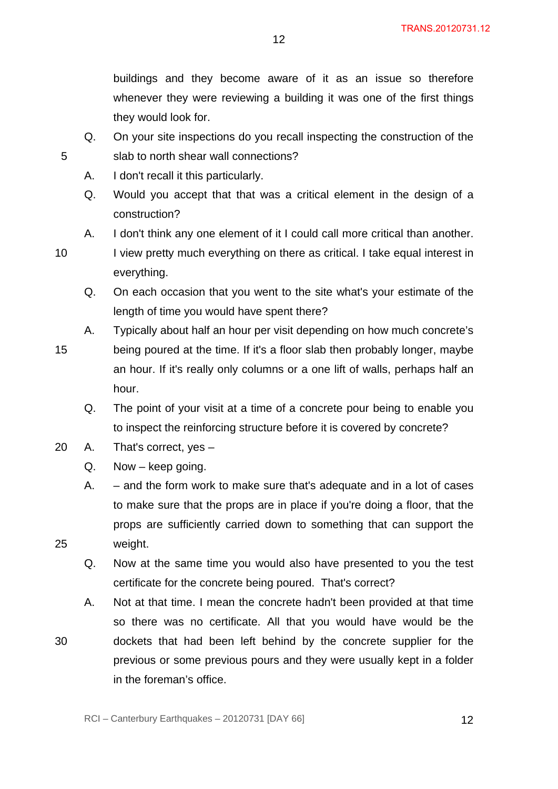buildings and they become aware of it as an issue so therefore whenever they were reviewing a building it was one of the first things they would look for.

Q. On your site inspections do you recall inspecting the construction of the slab to north shear wall connections?

12

- A. I don't recall it this particularly.
- Q. Would you accept that that was a critical element in the design of a construction?
- A. I don't think any one element of it I could call more critical than another.
- I view pretty much everything on there as critical. I take equal interest in everything.
	- Q. On each occasion that you went to the site what's your estimate of the length of time you would have spent there?
- 15 A. Typically about half an hour per visit depending on how much concrete's being poured at the time. If it's a floor slab then probably longer, maybe an hour. If it's really only columns or a one lift of walls, perhaps half an hour.
	- Q. The point of your visit at a time of a concrete pour being to enable you to inspect the reinforcing structure before it is covered by concrete?
- 20 A. That's correct, yes
	- Q. Now keep going.
	- A. and the form work to make sure that's adequate and in a lot of cases to make sure that the props are in place if you're doing a floor, that the props are sufficiently carried down to something that can support the weight.
	- Q. Now at the same time you would also have presented to you the test certificate for the concrete being poured. That's correct?
	- A. Not at that time. I mean the concrete hadn't been provided at that time so there was no certificate. All that you would have would be the dockets that had been left behind by the concrete supplier for the previous or some previous pours and they were usually kept in a folder in the foreman's office.

10

25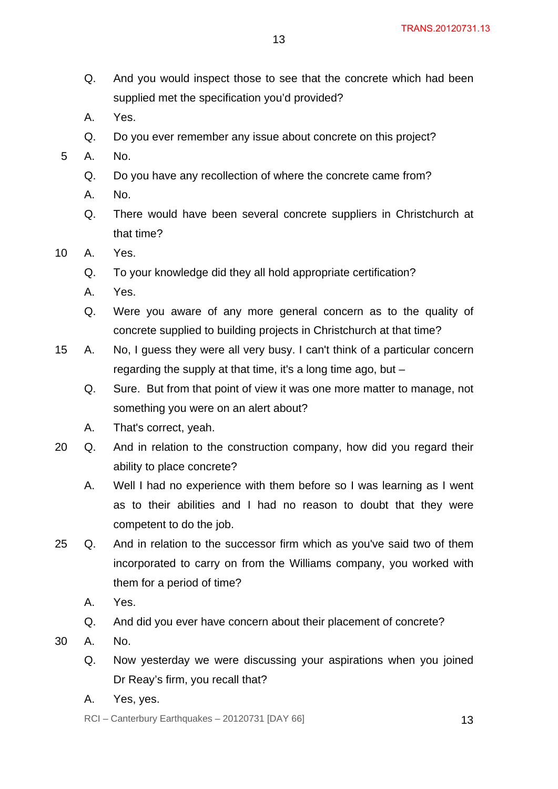- Q. And you would inspect those to see that the concrete which had been supplied met the specification you'd provided?
- A. Yes.
- Q. Do you ever remember any issue about concrete on this project?
- 5 A. No.
	- Q. Do you have any recollection of where the concrete came from?
	- A. No.
	- Q. There would have been several concrete suppliers in Christchurch at that time?
- 10 A. Yes.
	- Q. To your knowledge did they all hold appropriate certification?
	- A. Yes.
	- Q. Were you aware of any more general concern as to the quality of concrete supplied to building projects in Christchurch at that time?
- 15 A. No, I guess they were all very busy. I can't think of a particular concern regarding the supply at that time, it's a long time ago, but –
	- Q. Sure. But from that point of view it was one more matter to manage, not something you were on an alert about?
	- A. That's correct, yeah.
- 20 Q. And in relation to the construction company, how did you regard their ability to place concrete?
	- A. Well I had no experience with them before so I was learning as I went as to their abilities and I had no reason to doubt that they were competent to do the job.
- 25 Q. And in relation to the successor firm which as you've said two of them incorporated to carry on from the Williams company, you worked with them for a period of time?
	- A. Yes.
	- Q. And did you ever have concern about their placement of concrete?
- 30 A. No.
	- Q. Now yesterday we were discussing your aspirations when you joined Dr Reay's firm, you recall that?
	- A. Yes, yes.

 $RCI - Canterbury Earthquakes - 20120731 [DAY 66]$  13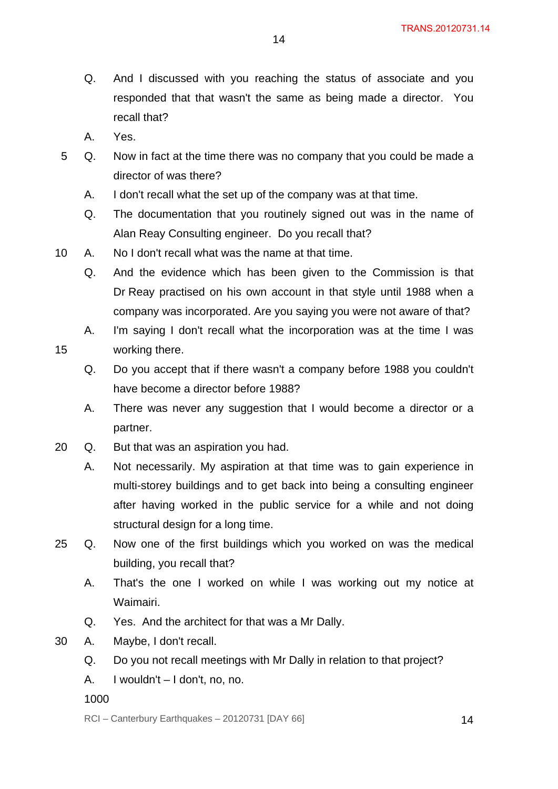- Q. And I discussed with you reaching the status of associate and you responded that that wasn't the same as being made a director. You recall that?
- A. Yes.

- 5 Q. Now in fact at the time there was no company that you could be made a director of was there?
	- A. I don't recall what the set up of the company was at that time.
	- Q. The documentation that you routinely signed out was in the name of Alan Reay Consulting engineer. Do you recall that?
- 10 A. No I don't recall what was the name at that time.
	- Q. And the evidence which has been given to the Commission is that Dr Reay practised on his own account in that style until 1988 when a company was incorporated. Are you saying you were not aware of that?
	- A. I'm saying I don't recall what the incorporation was at the time I was working there.
		- Q. Do you accept that if there wasn't a company before 1988 you couldn't have become a director before 1988?
		- A. There was never any suggestion that I would become a director or a partner.
- 20 Q. But that was an aspiration you had.
	- A. Not necessarily. My aspiration at that time was to gain experience in multi-storey buildings and to get back into being a consulting engineer after having worked in the public service for a while and not doing structural design for a long time.
- 25 Q. Now one of the first buildings which you worked on was the medical building, you recall that?
	- A. That's the one I worked on while I was working out my notice at Waimairi.
	- Q. Yes. And the architect for that was a Mr Dally.
- 30 A. Maybe, I don't recall.
	- Q. Do you not recall meetings with Mr Dally in relation to that project?
	- A. I wouldn't I don't, no, no.
	- 1000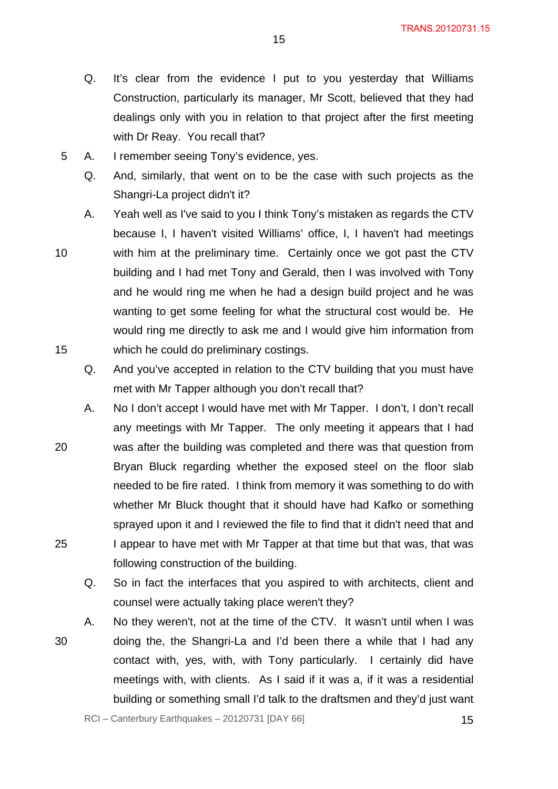- Q. It's clear from the evidence I put to you yesterday that Williams Construction, particularly its manager, Mr Scott, believed that they had dealings only with you in relation to that project after the first meeting with Dr Reay. You recall that?
- 5 A. I remember seeing Tony's evidence, yes.
	- Q. And, similarly, that went on to be the case with such projects as the Shangri-La project didn't it?
	- A. Yeah well as I've said to you I think Tony's mistaken as regards the CTV because I, I haven't visited Williams' office, I, I haven't had meetings with him at the preliminary time. Certainly once we got past the CTV building and I had met Tony and Gerald, then I was involved with Tony and he would ring me when he had a design build project and he was wanting to get some feeling for what the structural cost would be. He would ring me directly to ask me and I would give him information from which he could do preliminary costings.
		- Q. And you've accepted in relation to the CTV building that you must have met with Mr Tapper although you don't recall that?
- 20 A. No I don't accept I would have met with Mr Tapper. I don't, I don't recall any meetings with Mr Tapper. The only meeting it appears that I had was after the building was completed and there was that question from Bryan Bluck regarding whether the exposed steel on the floor slab needed to be fire rated. I think from memory it was something to do with whether Mr Bluck thought that it should have had Kafko or something sprayed upon it and I reviewed the file to find that it didn't need that and I appear to have met with Mr Tapper at that time but that was, that was following construction of the building.
	- Q. So in fact the interfaces that you aspired to with architects, client and counsel were actually taking place weren't they?
- 30 A. No they weren't, not at the time of the CTV. It wasn't until when I was doing the, the Shangri-La and I'd been there a while that I had any contact with, yes, with, with Tony particularly. I certainly did have meetings with, with clients. As I said if it was a, if it was a residential building or something small I'd talk to the draftsmen and they'd just want

10

25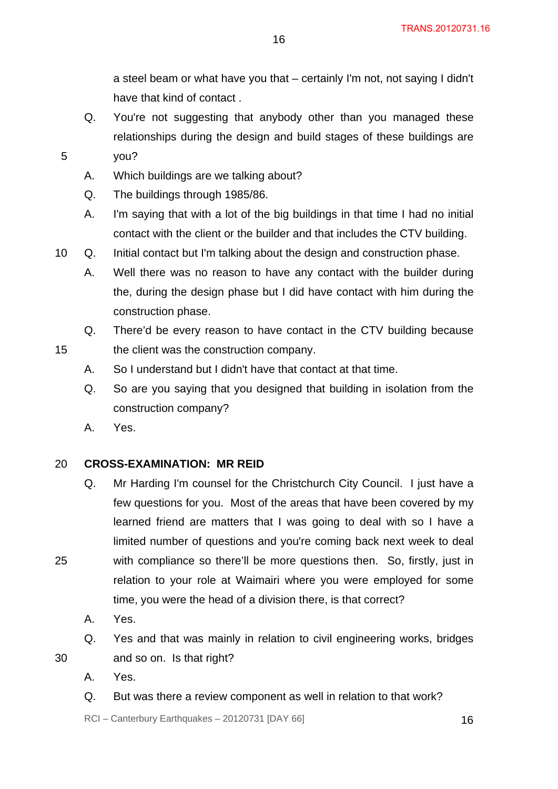a steel beam or what have you that – certainly I'm not, not saying I didn't have that kind of contact .

- Q. You're not suggesting that anybody other than you managed these relationships during the design and build stages of these buildings are
- 5 you?
	- A. Which buildings are we talking about?
	- Q. The buildings through 1985/86.
	- A. I'm saying that with a lot of the big buildings in that time I had no initial contact with the client or the builder and that includes the CTV building.
- 10 Q. Initial contact but I'm talking about the design and construction phase.
	- A. Well there was no reason to have any contact with the builder during the, during the design phase but I did have contact with him during the construction phase.
	- Q. There'd be every reason to have contact in the CTV building because the client was the construction company.
	- A. So I understand but I didn't have that contact at that time.
	- Q. So are you saying that you designed that building in isolation from the construction company?
	- A. Yes.

15

#### 20 **CROSS-EXAMINATION: MR REID**

- Q. Mr Harding I'm counsel for the Christchurch City Council. I just have a few questions for you. Most of the areas that have been covered by my learned friend are matters that I was going to deal with so I have a limited number of questions and you're coming back next week to deal with compliance so there'll be more questions then. So, firstly, just in relation to your role at Waimairi where you were employed for some time, you were the head of a division there, is that correct?
- A. Yes.
- Q. Yes and that was mainly in relation to civil engineering works, bridges

30

25

- and so on. Is that right?
- A. Yes.
- Q. But was there a review component as well in relation to that work?

 $RCI - Canterbury Earthquakes - 20120731 [DAY 66]$  16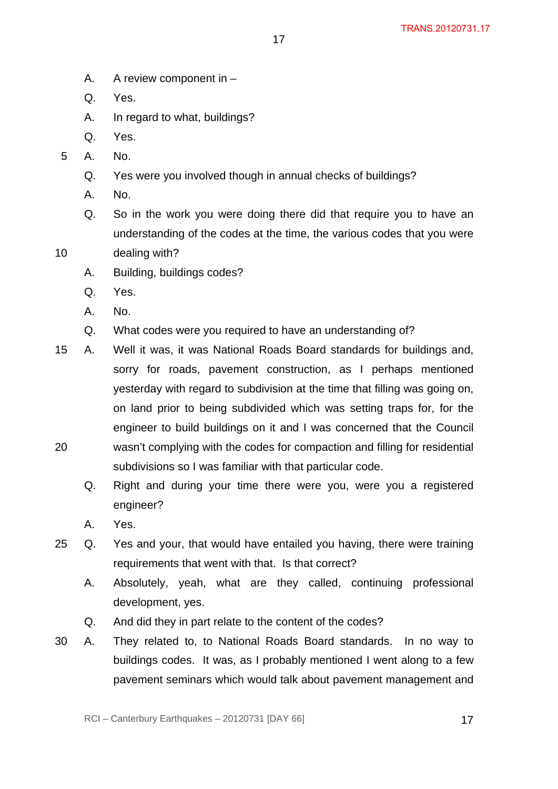- A. A review component in –
- Q. Yes.
- A. In regard to what, buildings?
- Q. Yes.
- 5 A. No.
	- Q. Yes were you involved though in annual checks of buildings?
	- A. No.
	- Q. So in the work you were doing there did that require you to have an understanding of the codes at the time, the various codes that you were

- 10 dealing with?
	- A. Building, buildings codes?
	- Q. Yes.
	- A. No.
	- Q. What codes were you required to have an understanding of?

subdivisions so I was familiar with that particular code.

- 20 15 A. Well it was, it was National Roads Board standards for buildings and, sorry for roads, pavement construction, as I perhaps mentioned yesterday with regard to subdivision at the time that filling was going on, on land prior to being subdivided which was setting traps for, for the engineer to build buildings on it and I was concerned that the Council wasn't complying with the codes for compaction and filling for residential
	- Q. Right and during your time there were you, were you a registered engineer?
	- A. Yes.
- 25 Q. Yes and your, that would have entailed you having, there were training requirements that went with that. Is that correct?
	- A. Absolutely, yeah, what are they called, continuing professional development, yes.
	- Q. And did they in part relate to the content of the codes?
- 30 A. They related to, to National Roads Board standards. In no way to buildings codes. It was, as I probably mentioned I went along to a few pavement seminars which would talk about pavement management and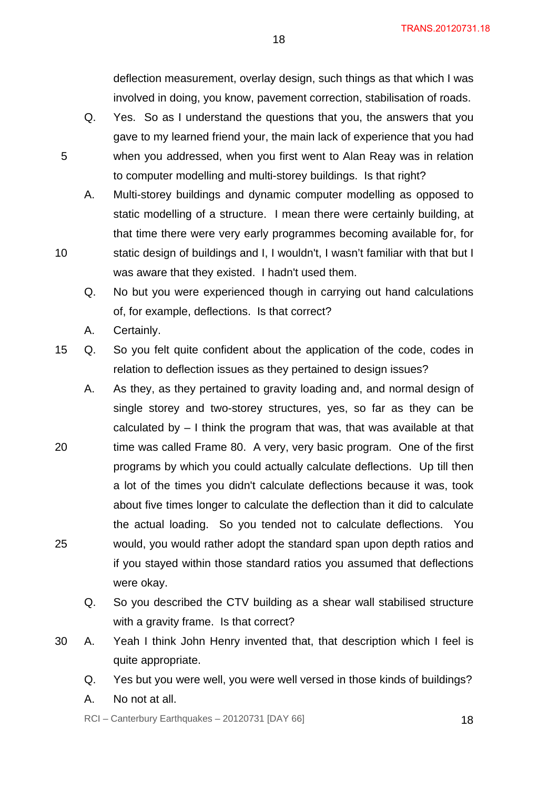deflection measurement, overlay design, such things as that which I was involved in doing, you know, pavement correction, stabilisation of roads.

- Q. Yes. So as I understand the questions that you, the answers that you gave to my learned friend your, the main lack of experience that you had when you addressed, when you first went to Alan Reay was in relation to computer modelling and multi-storey buildings. Is that right?
- A. Multi-storey buildings and dynamic computer modelling as opposed to static modelling of a structure. I mean there were certainly building, at that time there were very early programmes becoming available for, for static design of buildings and I, I wouldn't, I wasn't familiar with that but I was aware that they existed. I hadn't used them.
- Q. No but you were experienced though in carrying out hand calculations of, for example, deflections. Is that correct?
- A. Certainly.

5

10

- 15 Q. So you felt quite confident about the application of the code, codes in relation to deflection issues as they pertained to design issues?
- 20 25 A. As they, as they pertained to gravity loading and, and normal design of single storey and two-storey structures, yes, so far as they can be calculated by – I think the program that was, that was available at that time was called Frame 80. A very, very basic program. One of the first programs by which you could actually calculate deflections. Up till then a lot of the times you didn't calculate deflections because it was, took about five times longer to calculate the deflection than it did to calculate the actual loading. So you tended not to calculate deflections. You would, you would rather adopt the standard span upon depth ratios and if you stayed within those standard ratios you assumed that deflections were okay.
	- Q. So you described the CTV building as a shear wall stabilised structure with a gravity frame. Is that correct?
- 30 A. Yeah I think John Henry invented that, that description which I feel is quite appropriate.
	- Q. Yes but you were well, you were well versed in those kinds of buildings?
	- A. No not at all.

 $RCI - Canterbury Earthquakes - 20120731 [DAY 66]$  18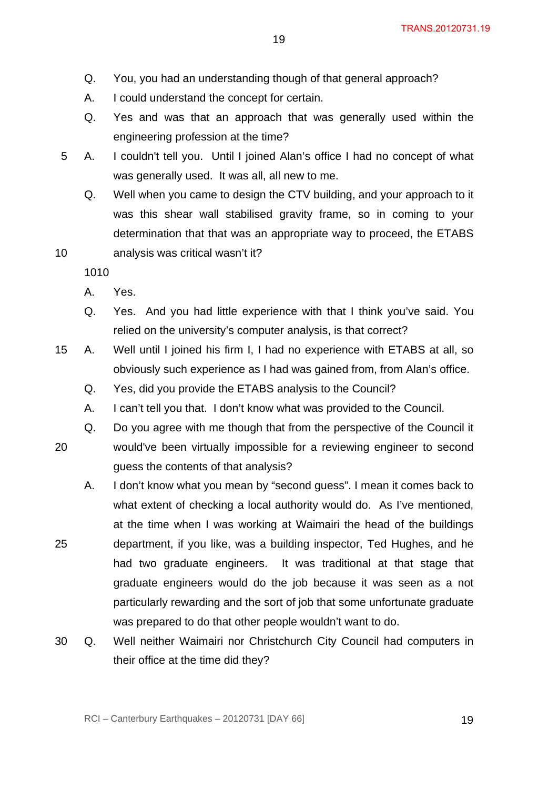- Q. You, you had an understanding though of that general approach?
- A. I could understand the concept for certain.
- Q. Yes and was that an approach that was generally used within the engineering profession at the time?
- 5 A. I couldn't tell you. Until I joined Alan's office I had no concept of what was generally used. It was all, all new to me.
	- Q. Well when you came to design the CTV building, and your approach to it was this shear wall stabilised gravity frame, so in coming to your determination that that was an appropriate way to proceed, the ETABS analysis was critical wasn't it?

10

- A. Yes.
- Q. Yes. And you had little experience with that I think you've said. You relied on the university's computer analysis, is that correct?
- 15 A. Well until I joined his firm I, I had no experience with ETABS at all, so obviously such experience as I had was gained from, from Alan's office.
	- Q. Yes, did you provide the ETABS analysis to the Council?
	- A. I can't tell you that. I don't know what was provided to the Council.
	- Q. Do you agree with me though that from the perspective of the Council it
- 20 would've been virtually impossible for a reviewing engineer to second guess the contents of that analysis?
	- A. I don't know what you mean by "second guess". I mean it comes back to what extent of checking a local authority would do. As I've mentioned, at the time when I was working at Waimairi the head of the buildings department, if you like, was a building inspector, Ted Hughes, and he had two graduate engineers. It was traditional at that stage that graduate engineers would do the job because it was seen as a not particularly rewarding and the sort of job that some unfortunate graduate was prepared to do that other people wouldn't want to do.
- 30 Q. Well neither Waimairi nor Christchurch City Council had computers in their office at the time did they?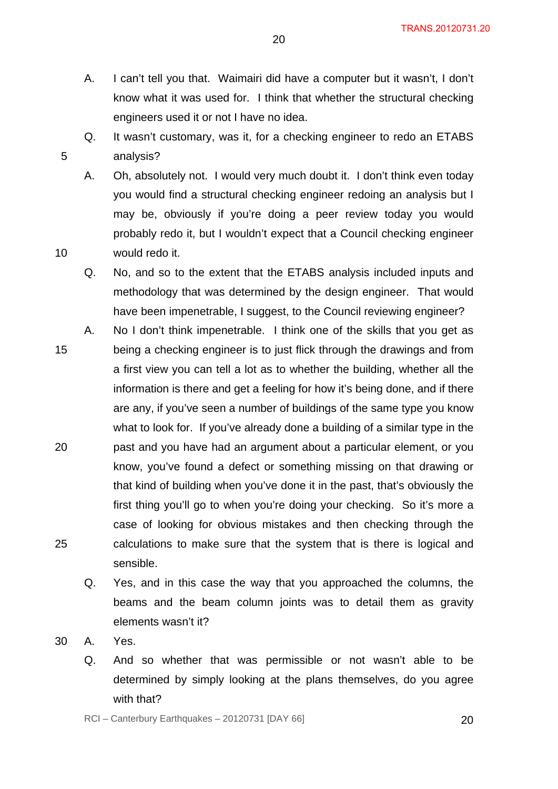- A. I can't tell you that. Waimairi did have a computer but it wasn't, I don't know what it was used for. I think that whether the structural checking engineers used it or not I have no idea.
- Q. It wasn't customary, was it, for a checking engineer to redo an ETABS analysis?
- A. Oh, absolutely not. I would very much doubt it. I don't think even today you would find a structural checking engineer redoing an analysis but I may be, obviously if you're doing a peer review today you would probably redo it, but I wouldn't expect that a Council checking engineer would redo it.
- Q. No, and so to the extent that the ETABS analysis included inputs and methodology that was determined by the design engineer. That would have been impenetrable, I suggest, to the Council reviewing engineer?
- 15 20 25 A. No I don't think impenetrable. I think one of the skills that you get as being a checking engineer is to just flick through the drawings and from a first view you can tell a lot as to whether the building, whether all the information is there and get a feeling for how it's being done, and if there are any, if you've seen a number of buildings of the same type you know what to look for. If you've already done a building of a similar type in the past and you have had an argument about a particular element, or you know, you've found a defect or something missing on that drawing or that kind of building when you've done it in the past, that's obviously the first thing you'll go to when you're doing your checking. So it's more a case of looking for obvious mistakes and then checking through the calculations to make sure that the system that is there is logical and sensible.
	- Q. Yes, and in this case the way that you approached the columns, the beams and the beam column joints was to detail them as gravity elements wasn't it?
- 30 A. Yes.

10

Q. And so whether that was permissible or not wasn't able to be determined by simply looking at the plans themselves, do you agree with that?

RCI – Canterbury Earthquakes – 20120731 [DAY 66]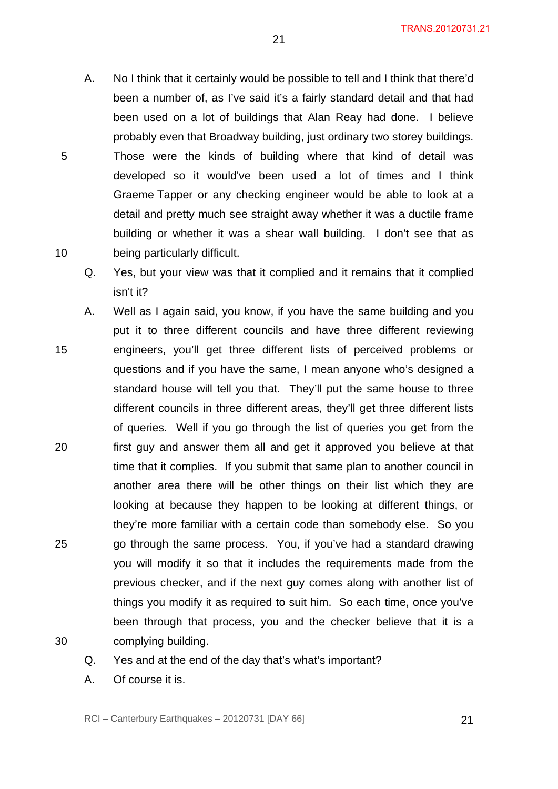- A. No I think that it certainly would be possible to tell and I think that there'd been a number of, as I've said it's a fairly standard detail and that had been used on a lot of buildings that Alan Reay had done. I believe probably even that Broadway building, just ordinary two storey buildings. Those were the kinds of building where that kind of detail was developed so it would've been used a lot of times and I think Graeme Tapper or any checking engineer would be able to look at a detail and pretty much see straight away whether it was a ductile frame building or whether it was a shear wall building. I don't see that as being particularly difficult.
- Q. Yes, but your view was that it complied and it remains that it complied isn't it?
- 15 20 25 30 A. Well as I again said, you know, if you have the same building and you put it to three different councils and have three different reviewing engineers, you'll get three different lists of perceived problems or questions and if you have the same, I mean anyone who's designed a standard house will tell you that. They'll put the same house to three different councils in three different areas, they'll get three different lists of queries. Well if you go through the list of queries you get from the first guy and answer them all and get it approved you believe at that time that it complies. If you submit that same plan to another council in another area there will be other things on their list which they are looking at because they happen to be looking at different things, or they're more familiar with a certain code than somebody else. So you go through the same process. You, if you've had a standard drawing you will modify it so that it includes the requirements made from the previous checker, and if the next guy comes along with another list of things you modify it as required to suit him. So each time, once you've been through that process, you and the checker believe that it is a complying building.
- 

10

- Q. Yes and at the end of the day that's what's important?
- A. Of course it is.

RCI – Canterbury Earthquakes – 20120731 [DAY 66]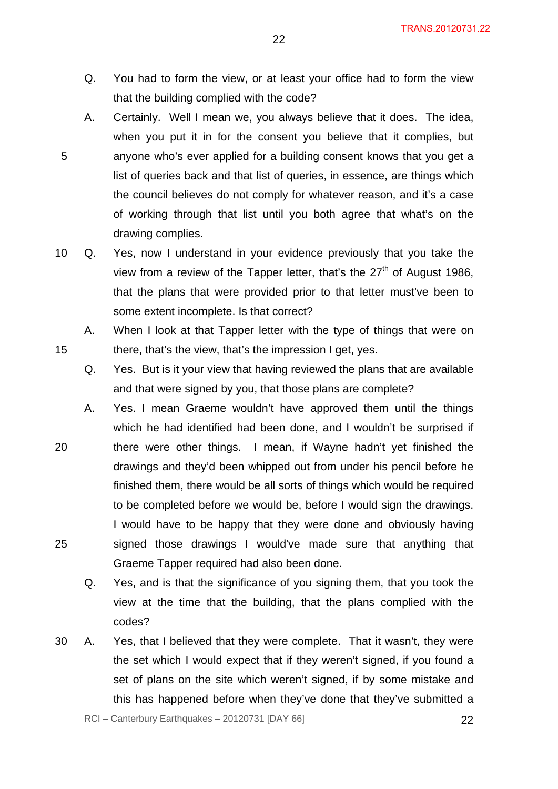- Q. You had to form the view, or at least your office had to form the view that the building complied with the code?
- A. Certainly. Well I mean we, you always believe that it does. The idea, when you put it in for the consent you believe that it complies, but anyone who's ever applied for a building consent knows that you get a list of queries back and that list of queries, in essence, are things which the council believes do not comply for whatever reason, and it's a case of working through that list until you both agree that what's on the drawing complies.

15

- 10 Q. Yes, now I understand in your evidence previously that you take the view from a review of the Tapper letter, that's the  $27<sup>th</sup>$  of August 1986, that the plans that were provided prior to that letter must've been to some extent incomplete. Is that correct?
	- A. When I look at that Tapper letter with the type of things that were on there, that's the view, that's the impression I get, yes.
		- Q. Yes. But is it your view that having reviewed the plans that are available and that were signed by you, that those plans are complete?
- 20 25 A. Yes. I mean Graeme wouldn't have approved them until the things which he had identified had been done, and I wouldn't be surprised if there were other things. I mean, if Wayne hadn't yet finished the drawings and they'd been whipped out from under his pencil before he finished them, there would be all sorts of things which would be required to be completed before we would be, before I would sign the drawings. I would have to be happy that they were done and obviously having signed those drawings I would've made sure that anything that Graeme Tapper required had also been done.
	- Q. Yes, and is that the significance of you signing them, that you took the view at the time that the building, that the plans complied with the codes?
- 30 A. Yes, that I believed that they were complete. That it wasn't, they were the set which I would expect that if they weren't signed, if you found a set of plans on the site which weren't signed, if by some mistake and this has happened before when they've done that they've submitted a

RCI – Canterbury Earthquakes – 20120731 [DAY 66] 22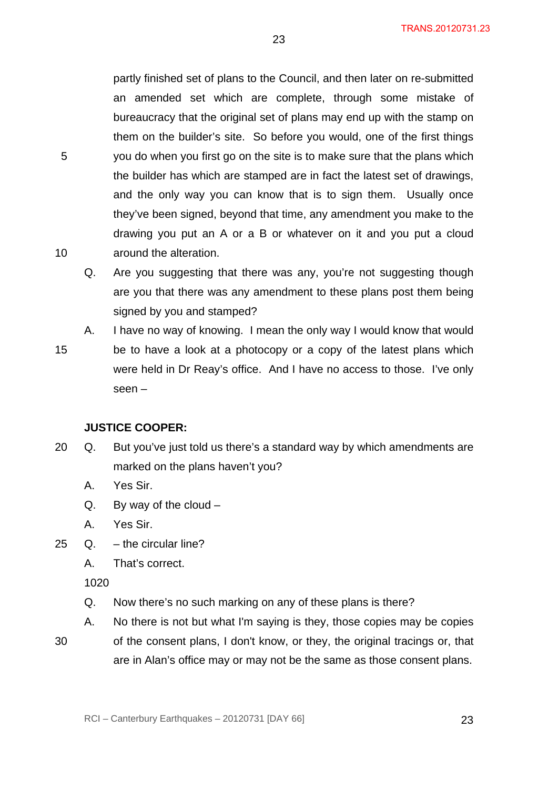partly finished set of plans to the Council, and then later on re-submitted an amended set which are complete, through some mistake of bureaucracy that the original set of plans may end up with the stamp on them on the builder's site. So before you would, one of the first things you do when you first go on the site is to make sure that the plans which the builder has which are stamped are in fact the latest set of drawings, and the only way you can know that is to sign them. Usually once they've been signed, beyond that time, any amendment you make to the drawing you put an A or a B or whatever on it and you put a cloud around the alteration.

23

- Q. Are you suggesting that there was any, you're not suggesting though are you that there was any amendment to these plans post them being signed by you and stamped?
- 15 A. I have no way of knowing. I mean the only way I would know that would be to have a look at a photocopy or a copy of the latest plans which were held in Dr Reay's office. And I have no access to those. I've only seen –

#### **JUSTICE COOPER:**

- 20 Q. But you've just told us there's a standard way by which amendments are marked on the plans haven't you?
	- A. Yes Sir.
	- Q. By way of the cloud –
	- A. Yes Sir.
- 25 Q. the circular line?
	- A. That's correct.

1020

- Q. Now there's no such marking on any of these plans is there?
- A. No there is not but what I'm saying is they, those copies may be copies
- 30

5

10

of the consent plans, I don't know, or they, the original tracings or, that are in Alan's office may or may not be the same as those consent plans.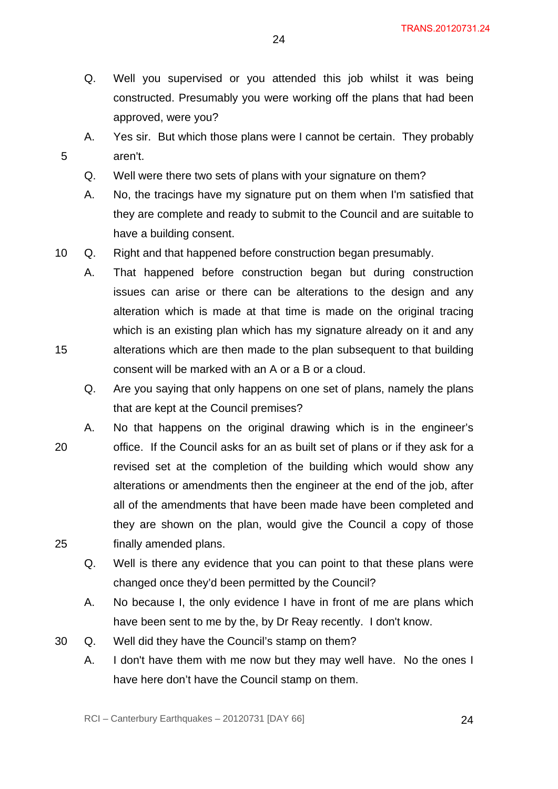- Q. Well you supervised or you attended this job whilst it was being constructed. Presumably you were working off the plans that had been approved, were you?
- A. Yes sir. But which those plans were I cannot be certain. They probably aren't.
	- Q. Well were there two sets of plans with your signature on them?

- A. No, the tracings have my signature put on them when I'm satisfied that they are complete and ready to submit to the Council and are suitable to have a building consent.
- 10 Q. Right and that happened before construction began presumably.
	- A. That happened before construction began but during construction issues can arise or there can be alterations to the design and any alteration which is made at that time is made on the original tracing which is an existing plan which has my signature already on it and any alterations which are then made to the plan subsequent to that building consent will be marked with an A or a B or a cloud.
		- Q. Are you saying that only happens on one set of plans, namely the plans that are kept at the Council premises?
- 20 25 A. No that happens on the original drawing which is in the engineer's office. If the Council asks for an as built set of plans or if they ask for a revised set at the completion of the building which would show any alterations or amendments then the engineer at the end of the job, after all of the amendments that have been made have been completed and they are shown on the plan, would give the Council a copy of those finally amended plans.
	- Q. Well is there any evidence that you can point to that these plans were changed once they'd been permitted by the Council?
	- A. No because I, the only evidence I have in front of me are plans which have been sent to me by the, by Dr Reay recently. I don't know.
- 30 Q. Well did they have the Council's stamp on them?
	- A. I don't have them with me now but they may well have. No the ones I have here don't have the Council stamp on them.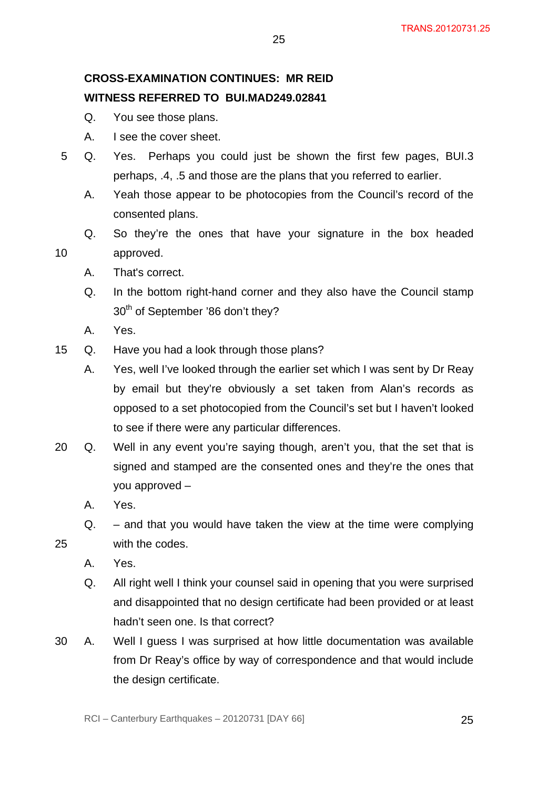# **CROSS-EXAMINATION CONTINUES: MR REID WITNESS REFERRED TO BUI.MAD249.02841**

- Q. You see those plans.
- A. I see the cover sheet.
- 5 Q. Yes. Perhaps you could just be shown the first few pages, BUI.3 perhaps, .4, .5 and those are the plans that you referred to earlier.

25

- A. Yeah those appear to be photocopies from the Council's record of the consented plans.
- Q. So they're the ones that have your signature in the box headed approved.
- A. That's correct.
- Q. In the bottom right-hand corner and they also have the Council stamp 30<sup>th</sup> of September '86 don't they?
- A. Yes.

10

- 15 Q. Have you had a look through those plans?
	- A. Yes, well I've looked through the earlier set which I was sent by Dr Reay by email but they're obviously a set taken from Alan's records as opposed to a set photocopied from the Council's set but I haven't looked to see if there were any particular differences.
- 20 Q. Well in any event you're saying though, aren't you, that the set that is signed and stamped are the consented ones and they're the ones that you approved –
	- A. Yes.
	- Q. and that you would have taken the view at the time were complying with the codes.
	- A. Yes.

- Q. All right well I think your counsel said in opening that you were surprised and disappointed that no design certificate had been provided or at least hadn't seen one. Is that correct?
- 30 A. Well I guess I was surprised at how little documentation was available from Dr Reay's office by way of correspondence and that would include the design certificate.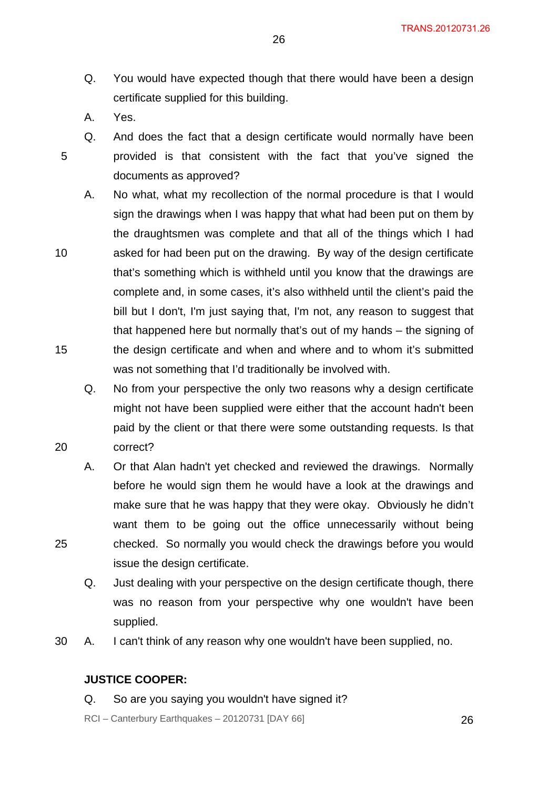- Q. You would have expected though that there would have been a design certificate supplied for this building.
- A. Yes.

10

15

20

25

- Q. And does the fact that a design certificate would normally have been provided is that consistent with the fact that you've signed the documents as approved?
- A. No what, what my recollection of the normal procedure is that I would sign the drawings when I was happy that what had been put on them by the draughtsmen was complete and that all of the things which I had asked for had been put on the drawing. By way of the design certificate that's something which is withheld until you know that the drawings are complete and, in some cases, it's also withheld until the client's paid the bill but I don't, I'm just saying that, I'm not, any reason to suggest that that happened here but normally that's out of my hands – the signing of the design certificate and when and where and to whom it's submitted was not something that I'd traditionally be involved with.
	- Q. No from your perspective the only two reasons why a design certificate might not have been supplied were either that the account hadn't been paid by the client or that there were some outstanding requests. Is that correct?
	- A. Or that Alan hadn't yet checked and reviewed the drawings. Normally before he would sign them he would have a look at the drawings and make sure that he was happy that they were okay. Obviously he didn't want them to be going out the office unnecessarily without being checked. So normally you would check the drawings before you would issue the design certificate.
	- Q. Just dealing with your perspective on the design certificate though, there was no reason from your perspective why one wouldn't have been supplied.
- 30 A. I can't think of any reason why one wouldn't have been supplied, no.

#### **JUSTICE COOPER:**

Q. So are you saying you wouldn't have signed it?

 $RCI - Canterbury Earthquakes - 20120731 [DAY 66]$  26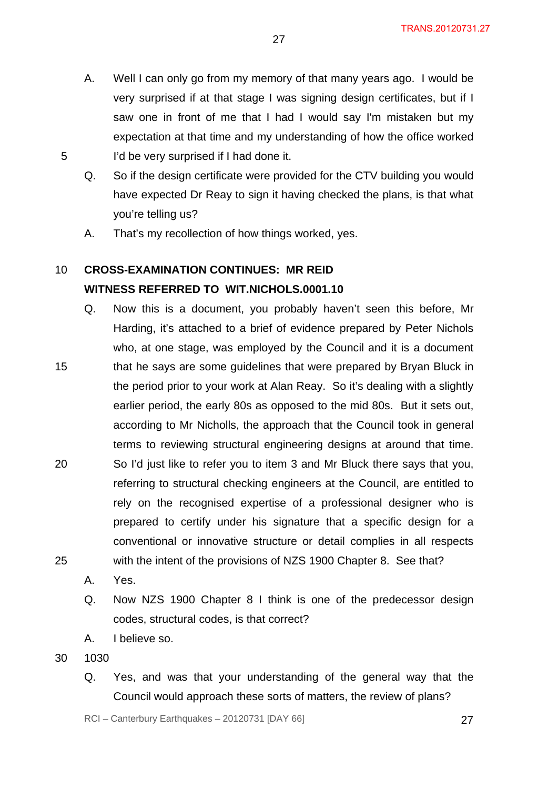- A. Well I can only go from my memory of that many years ago. I would be very surprised if at that stage I was signing design certificates, but if I saw one in front of me that I had I would say I'm mistaken but my expectation at that time and my understanding of how the office worked I'd be very surprised if I had done it.
- Q. So if the design certificate were provided for the CTV building you would have expected Dr Reay to sign it having checked the plans, is that what you're telling us?
- A. That's my recollection of how things worked, yes.

#### 10 **CROSS-EXAMINATION CONTINUES: MR REID WITNESS REFERRED TO WIT.NICHOLS.0001.10**

- 15 20 25 Q. Now this is a document, you probably haven't seen this before, Mr Harding, it's attached to a brief of evidence prepared by Peter Nichols who, at one stage, was employed by the Council and it is a document that he says are some guidelines that were prepared by Bryan Bluck in the period prior to your work at Alan Reay. So it's dealing with a slightly earlier period, the early 80s as opposed to the mid 80s. But it sets out, according to Mr Nicholls, the approach that the Council took in general terms to reviewing structural engineering designs at around that time. So I'd just like to refer you to item 3 and Mr Bluck there says that you, referring to structural checking engineers at the Council, are entitled to rely on the recognised expertise of a professional designer who is prepared to certify under his signature that a specific design for a conventional or innovative structure or detail complies in all respects with the intent of the provisions of NZS 1900 Chapter 8. See that?
	- A. Yes.
	- Q. Now NZS 1900 Chapter 8 I think is one of the predecessor design codes, structural codes, is that correct?
	- A. I believe so.
- 30 1030

5

Q. Yes, and was that your understanding of the general way that the Council would approach these sorts of matters, the review of plans?

RCI – Canterbury Earthquakes – 20120731 [DAY 66] 27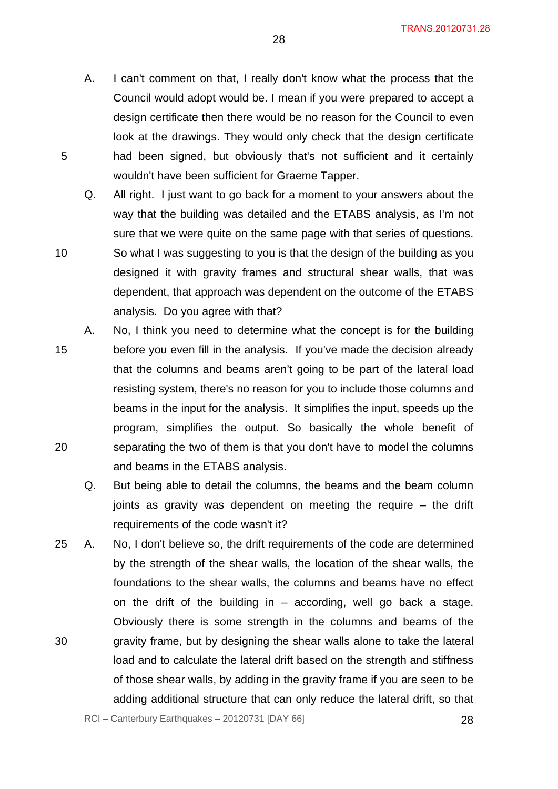A. I can't comment on that, I really don't know what the process that the Council would adopt would be. I mean if you were prepared to accept a design certificate then there would be no reason for the Council to even look at the drawings. They would only check that the design certificate had been signed, but obviously that's not sufficient and it certainly wouldn't have been sufficient for Graeme Tapper.

5

- Q. All right. I just want to go back for a moment to your answers about the way that the building was detailed and the ETABS analysis, as I'm not sure that we were quite on the same page with that series of questions. So what I was suggesting to you is that the design of the building as you designed it with gravity frames and structural shear walls, that was dependent, that approach was dependent on the outcome of the ETABS analysis. Do you agree with that?
- 15 20 A. No, I think you need to determine what the concept is for the building before you even fill in the analysis. If you've made the decision already that the columns and beams aren't going to be part of the lateral load resisting system, there's no reason for you to include those columns and beams in the input for the analysis. It simplifies the input, speeds up the program, simplifies the output. So basically the whole benefit of separating the two of them is that you don't have to model the columns and beams in the ETABS analysis.
	- Q. But being able to detail the columns, the beams and the beam column joints as gravity was dependent on meeting the require – the drift requirements of the code wasn't it?
- 30 25 A. No, I don't believe so, the drift requirements of the code are determined by the strength of the shear walls, the location of the shear walls, the foundations to the shear walls, the columns and beams have no effect on the drift of the building in  $-$  according, well go back a stage. Obviously there is some strength in the columns and beams of the gravity frame, but by designing the shear walls alone to take the lateral load and to calculate the lateral drift based on the strength and stiffness of those shear walls, by adding in the gravity frame if you are seen to be adding additional structure that can only reduce the lateral drift, so that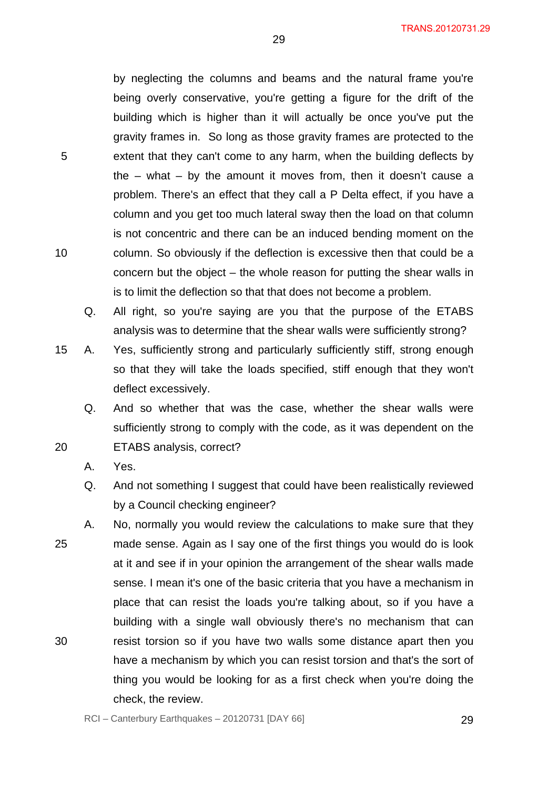by neglecting the columns and beams and the natural frame you're being overly conservative, you're getting a figure for the drift of the building which is higher than it will actually be once you've put the gravity frames in. So long as those gravity frames are protected to the extent that they can't come to any harm, when the building deflects by the – what – by the amount it moves from, then it doesn't cause a problem. There's an effect that they call a P Delta effect, if you have a column and you get too much lateral sway then the load on that column is not concentric and there can be an induced bending moment on the column. So obviously if the deflection is excessive then that could be a concern but the object – the whole reason for putting the shear walls in is to limit the deflection so that that does not become a problem.

29

Q. All right, so you're saying are you that the purpose of the ETABS analysis was to determine that the shear walls were sufficiently strong?

15 A. Yes, sufficiently strong and particularly sufficiently stiff, strong enough so that they will take the loads specified, stiff enough that they won't deflect excessively.

Q. And so whether that was the case, whether the shear walls were sufficiently strong to comply with the code, as it was dependent on the ETABS analysis, correct?

A. Yes.

- Q. And not something I suggest that could have been realistically reviewed by a Council checking engineer?
- 25 30 A. No, normally you would review the calculations to make sure that they made sense. Again as I say one of the first things you would do is look at it and see if in your opinion the arrangement of the shear walls made sense. I mean it's one of the basic criteria that you have a mechanism in place that can resist the loads you're talking about, so if you have a building with a single wall obviously there's no mechanism that can resist torsion so if you have two walls some distance apart then you have a mechanism by which you can resist torsion and that's the sort of thing you would be looking for as a first check when you're doing the check, the review.

5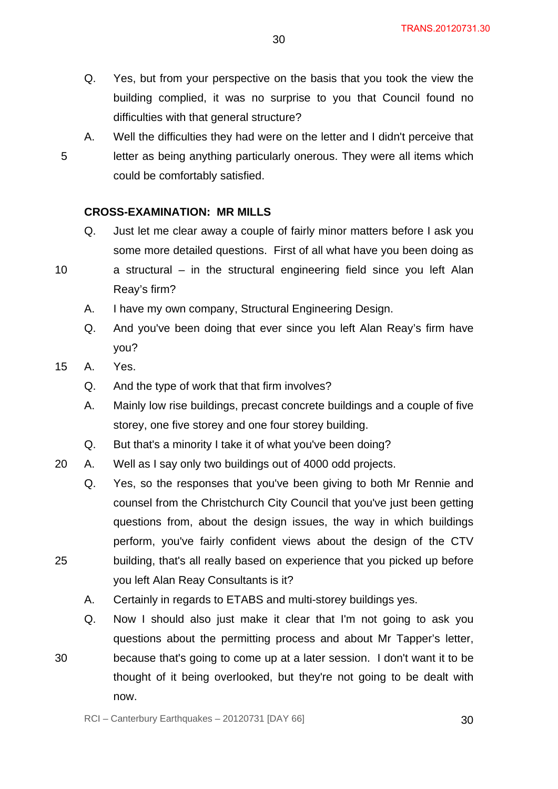- Q. Yes, but from your perspective on the basis that you took the view the building complied, it was no surprise to you that Council found no difficulties with that general structure?
- 5 A. Well the difficulties they had were on the letter and I didn't perceive that letter as being anything particularly onerous. They were all items which could be comfortably satisfied.

#### **CROSS-EXAMINATION: MR MILLS**

- Q. Just let me clear away a couple of fairly minor matters before I ask you some more detailed questions. First of all what have you been doing as
- 10

25

30

a structural – in the structural engineering field since you left Alan Reay's firm?

- A. I have my own company, Structural Engineering Design.
- Q. And you've been doing that ever since you left Alan Reay's firm have you?
- 15 A. Yes.
	- Q. And the type of work that that firm involves?
	- A. Mainly low rise buildings, precast concrete buildings and a couple of five storey, one five storey and one four storey building.
	- Q. But that's a minority I take it of what you've been doing?
- 20 A. Well as I say only two buildings out of 4000 odd projects.
	- Q. Yes, so the responses that you've been giving to both Mr Rennie and counsel from the Christchurch City Council that you've just been getting questions from, about the design issues, the way in which buildings perform, you've fairly confident views about the design of the CTV building, that's all really based on experience that you picked up before you left Alan Reay Consultants is it?
	- A. Certainly in regards to ETABS and multi-storey buildings yes.
	- Q. Now I should also just make it clear that I'm not going to ask you questions about the permitting process and about Mr Tapper's letter, because that's going to come up at a later session. I don't want it to be thought of it being overlooked, but they're not going to be dealt with now.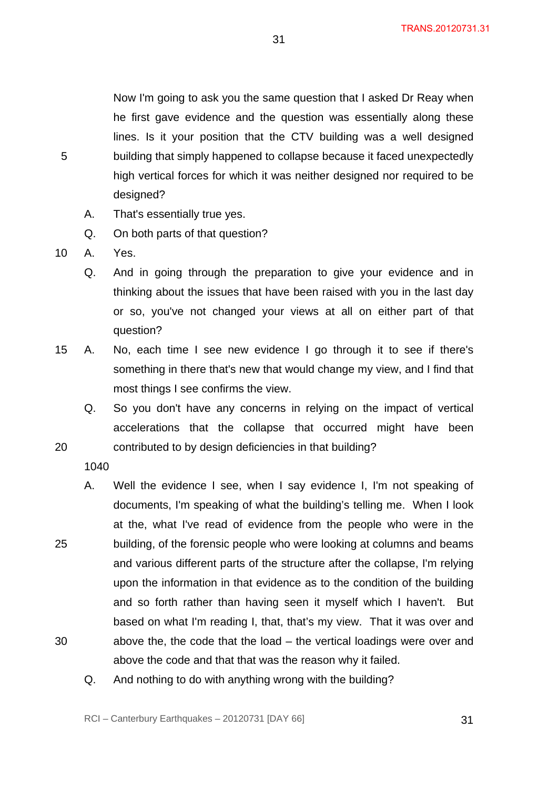Now I'm going to ask you the same question that I asked Dr Reay when he first gave evidence and the question was essentially along these lines. Is it your position that the CTV building was a well designed building that simply happened to collapse because it faced unexpectedly high vertical forces for which it was neither designed nor required to be designed?

31

- A. That's essentially true yes.
- Q. On both parts of that question?
- 10 A. Yes.

5

- Q. And in going through the preparation to give your evidence and in thinking about the issues that have been raised with you in the last day or so, you've not changed your views at all on either part of that question?
- 15 A. No, each time I see new evidence I go through it to see if there's something in there that's new that would change my view, and I find that most things I see confirms the view.
	- Q. So you don't have any concerns in relying on the impact of vertical accelerations that the collapse that occurred might have been contributed to by design deficiencies in that building?
	- - 1040
	- A. Well the evidence I see, when I say evidence I, I'm not speaking of documents, I'm speaking of what the building's telling me. When I look at the, what I've read of evidence from the people who were in the building, of the forensic people who were looking at columns and beams and various different parts of the structure after the collapse, I'm relying upon the information in that evidence as to the condition of the building and so forth rather than having seen it myself which I haven't. But based on what I'm reading I, that, that's my view. That it was over and above the, the code that the load – the vertical loadings were over and above the code and that that was the reason why it failed.
		- Q. And nothing to do with anything wrong with the building?

20

25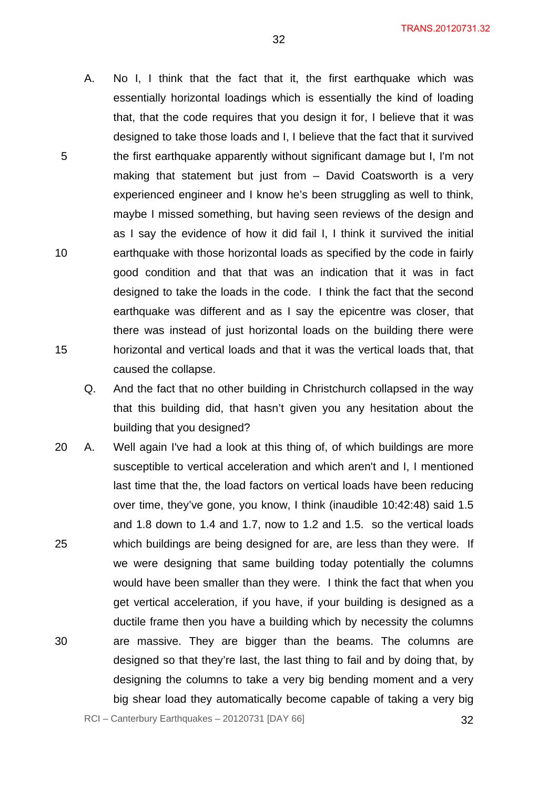A. No I, I think that the fact that it, the first earthquake which was essentially horizontal loadings which is essentially the kind of loading that, that the code requires that you design it for, I believe that it was designed to take those loads and I, I believe that the fact that it survived the first earthquake apparently without significant damage but I, I'm not making that statement but just from – David Coatsworth is a very experienced engineer and I know he's been struggling as well to think, maybe I missed something, but having seen reviews of the design and as I say the evidence of how it did fail I, I think it survived the initial earthquake with those horizontal loads as specified by the code in fairly good condition and that that was an indication that it was in fact designed to take the loads in the code. I think the fact that the second earthquake was different and as I say the epicentre was closer, that there was instead of just horizontal loads on the building there were horizontal and vertical loads and that it was the vertical loads that, that caused the collapse.

5

10

15

- Q. And the fact that no other building in Christchurch collapsed in the way that this building did, that hasn't given you any hesitation about the building that you designed?
- 25 30 20 A. Well again I've had a look at this thing of, of which buildings are more susceptible to vertical acceleration and which aren't and I, I mentioned last time that the, the load factors on vertical loads have been reducing over time, they've gone, you know, I think (inaudible 10:42:48) said 1.5 and 1.8 down to 1.4 and 1.7, now to 1.2 and 1.5. so the vertical loads which buildings are being designed for are, are less than they were. If we were designing that same building today potentially the columns would have been smaller than they were. I think the fact that when you get vertical acceleration, if you have, if your building is designed as a ductile frame then you have a building which by necessity the columns are massive. They are bigger than the beams. The columns are designed so that they're last, the last thing to fail and by doing that, by designing the columns to take a very big bending moment and a very big shear load they automatically become capable of taking a very big

 $RCI - Canterbury Earthquakes - 20120731 [DAY 66]$  32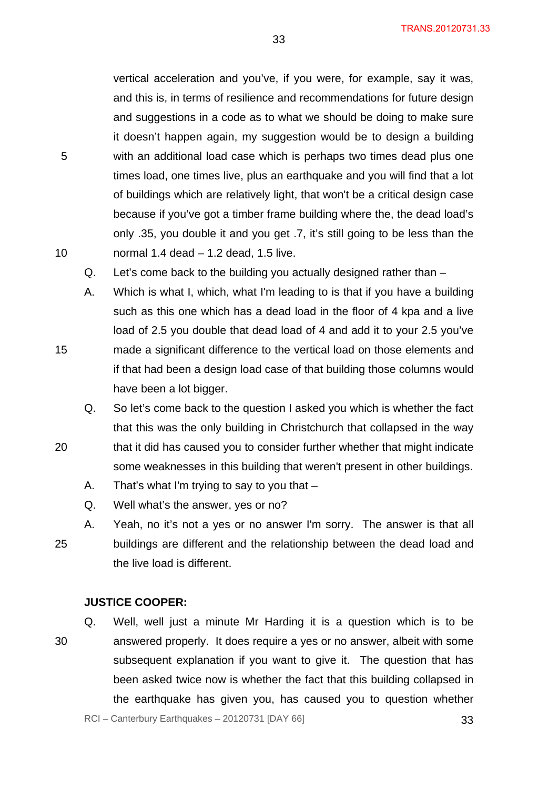vertical acceleration and you've, if you were, for example, say it was, and this is, in terms of resilience and recommendations for future design and suggestions in a code as to what we should be doing to make sure it doesn't happen again, my suggestion would be to design a building with an additional load case which is perhaps two times dead plus one times load, one times live, plus an earthquake and you will find that a lot of buildings which are relatively light, that won't be a critical design case because if you've got a timber frame building where the, the dead load's only .35, you double it and you get .7, it's still going to be less than the normal 1.4 dead – 1.2 dead, 1.5 live.

33

Q. Let's come back to the building you actually designed rather than –

A. Which is what I, which, what I'm leading to is that if you have a building such as this one which has a dead load in the floor of 4 kpa and a live load of 2.5 you double that dead load of 4 and add it to your 2.5 you've made a significant difference to the vertical load on those elements and if that had been a design load case of that building those columns would have been a lot bigger.

Q. So let's come back to the question I asked you which is whether the fact that this was the only building in Christchurch that collapsed in the way that it did has caused you to consider further whether that might indicate some weaknesses in this building that weren't present in other buildings.

- A. That's what I'm trying to say to you that –
- Q. Well what's the answer, yes or no?

25 A. Yeah, no it's not a yes or no answer I'm sorry. The answer is that all buildings are different and the relationship between the dead load and the live load is different.

#### **JUSTICE COOPER:**

30 Q. Well, well just a minute Mr Harding it is a question which is to be answered properly. It does require a yes or no answer, albeit with some subsequent explanation if you want to give it. The question that has been asked twice now is whether the fact that this building collapsed in the earthquake has given you, has caused you to question whether

 $RCI - Canterbury Earthquakes - 20120731 [DAY 66]$  33

10

5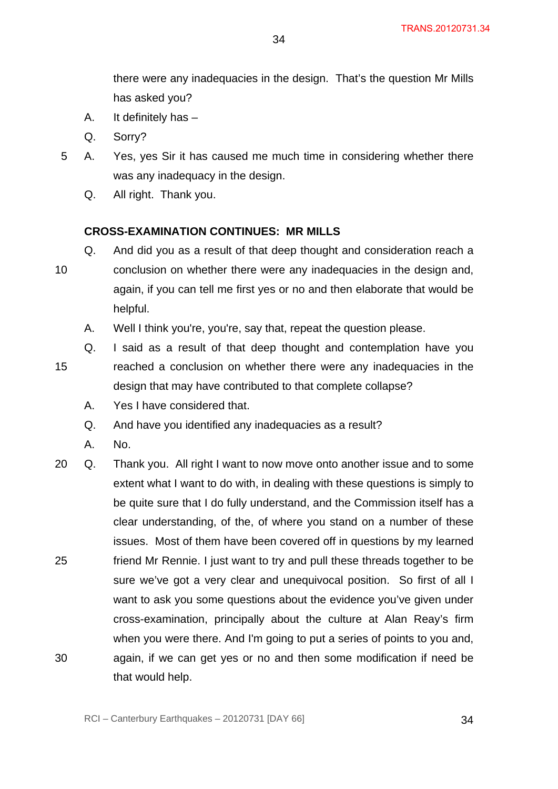there were any inadequacies in the design. That's the question Mr Mills has asked you?

- A. It definitely has –
- Q. Sorry?
- 5 A. Yes, yes Sir it has caused me much time in considering whether there was any inadequacy in the design.
	- Q. All right. Thank you.

#### **CROSS-EXAMINATION CONTINUES: MR MILLS**

- Q. And did you as a result of that deep thought and consideration reach a conclusion on whether there were any inadequacies in the design and, again, if you can tell me first yes or no and then elaborate that would be helpful.
	- A. Well I think you're, you're, say that, repeat the question please.
- 15 Q. I said as a result of that deep thought and contemplation have you reached a conclusion on whether there were any inadequacies in the design that may have contributed to that complete collapse?
	- A. Yes I have considered that.
	- Q. And have you identified any inadequacies as a result?
	- A. No.

10

25 30 20 Q. Thank you. All right I want to now move onto another issue and to some extent what I want to do with, in dealing with these questions is simply to be quite sure that I do fully understand, and the Commission itself has a clear understanding, of the, of where you stand on a number of these issues. Most of them have been covered off in questions by my learned friend Mr Rennie. I just want to try and pull these threads together to be sure we've got a very clear and unequivocal position. So first of all I want to ask you some questions about the evidence you've given under cross-examination, principally about the culture at Alan Reay's firm when you were there. And I'm going to put a series of points to you and, again, if we can get yes or no and then some modification if need be that would help.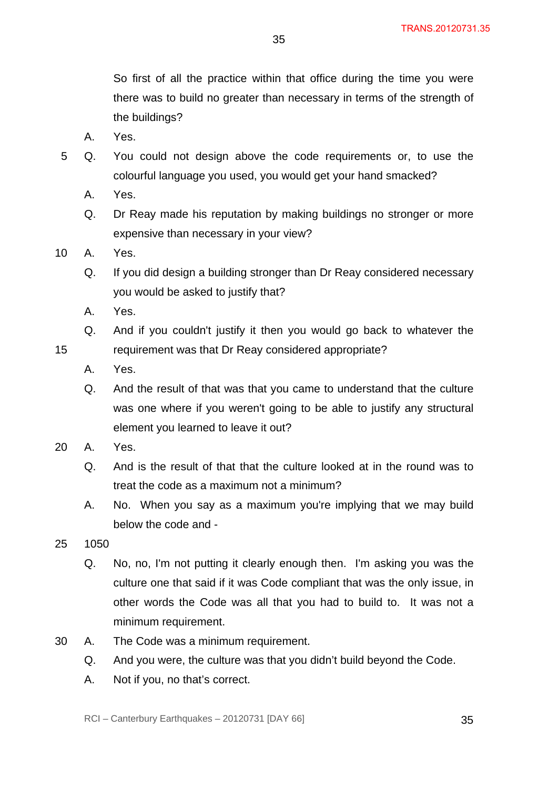So first of all the practice within that office during the time you were there was to build no greater than necessary in terms of the strength of the buildings?

- A. Yes.
- 5 Q. You could not design above the code requirements or, to use the colourful language you used, you would get your hand smacked?
	- A. Yes.
	- Q. Dr Reay made his reputation by making buildings no stronger or more expensive than necessary in your view?
- 10 A. Yes.
	- Q. If you did design a building stronger than Dr Reay considered necessary you would be asked to justify that?
	- A. Yes.
	- Q. And if you couldn't justify it then you would go back to whatever the requirement was that Dr Reay considered appropriate?
	- A. Yes.
	- Q. And the result of that was that you came to understand that the culture was one where if you weren't going to be able to justify any structural element you learned to leave it out?
- 20 A. Yes.

- Q. And is the result of that that the culture looked at in the round was to treat the code as a maximum not a minimum?
- A. No. When you say as a maximum you're implying that we may build below the code and -
- 25 1050
	- Q. No, no, I'm not putting it clearly enough then. I'm asking you was the culture one that said if it was Code compliant that was the only issue, in other words the Code was all that you had to build to. It was not a minimum requirement.
- 30 A. The Code was a minimum requirement.
	- Q. And you were, the culture was that you didn't build beyond the Code.
	- A. Not if you, no that's correct.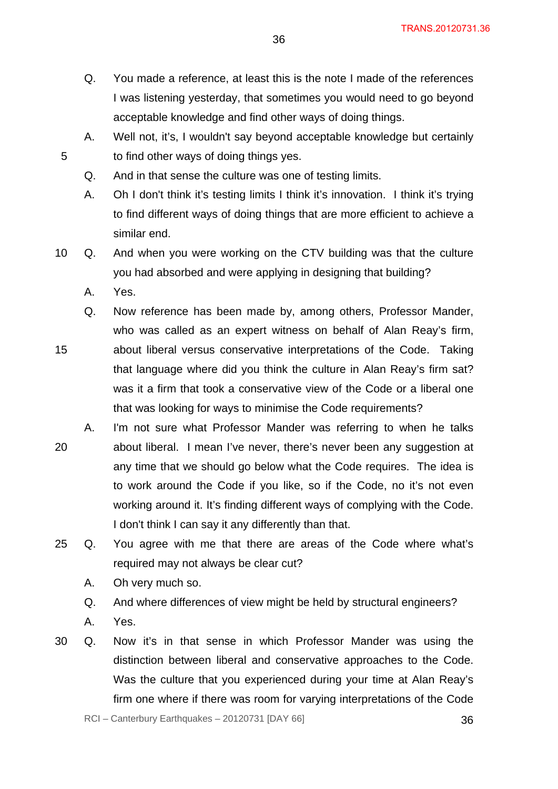- Q. You made a reference, at least this is the note I made of the references I was listening yesterday, that sometimes you would need to go beyond acceptable knowledge and find other ways of doing things.
- A. Well not, it's, I wouldn't say beyond acceptable knowledge but certainly to find other ways of doing things yes.
- Q. And in that sense the culture was one of testing limits.
- A. Oh I don't think it's testing limits I think it's innovation. I think it's trying to find different ways of doing things that are more efficient to achieve a similar end.
- 10 Q. And when you were working on the CTV building was that the culture you had absorbed and were applying in designing that building?
	- A. Yes.

- 15 Q. Now reference has been made by, among others, Professor Mander, who was called as an expert witness on behalf of Alan Reay's firm, about liberal versus conservative interpretations of the Code. Taking that language where did you think the culture in Alan Reay's firm sat? was it a firm that took a conservative view of the Code or a liberal one that was looking for ways to minimise the Code requirements?
- 20 A. I'm not sure what Professor Mander was referring to when he talks about liberal. I mean I've never, there's never been any suggestion at any time that we should go below what the Code requires. The idea is to work around the Code if you like, so if the Code, no it's not even working around it. It's finding different ways of complying with the Code. I don't think I can say it any differently than that.
- 25 Q. You agree with me that there are areas of the Code where what's required may not always be clear cut?
	- A. Oh very much so.
	- Q. And where differences of view might be held by structural engineers?
	- A. Yes.
- 30 Q. Now it's in that sense in which Professor Mander was using the distinction between liberal and conservative approaches to the Code. Was the culture that you experienced during your time at Alan Reay's firm one where if there was room for varying interpretations of the Code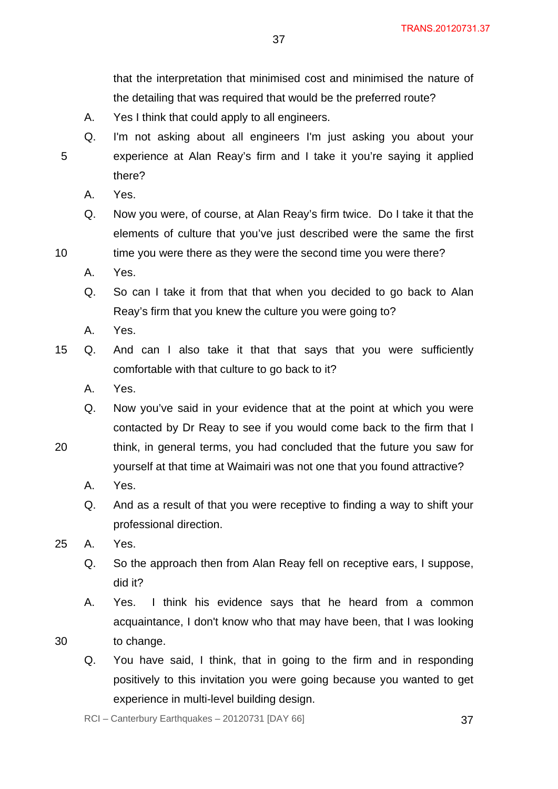that the interpretation that minimised cost and minimised the nature of the detailing that was required that would be the preferred route?

- A. Yes I think that could apply to all engineers.
- Q. I'm not asking about all engineers I'm just asking you about your experience at Alan Reay's firm and I take it you're saying it applied there?
- A. Yes.

5

10

- Q. Now you were, of course, at Alan Reay's firm twice. Do I take it that the elements of culture that you've just described were the same the first time you were there as they were the second time you were there?
- A. Yes.
- Q. So can I take it from that that when you decided to go back to Alan Reay's firm that you knew the culture you were going to?
- A. Yes.
- 15 Q. And can I also take it that that says that you were sufficiently comfortable with that culture to go back to it?
	- A. Yes.
	- Q. Now you've said in your evidence that at the point at which you were contacted by Dr Reay to see if you would come back to the firm that I
- 20 think, in general terms, you had concluded that the future you saw for yourself at that time at Waimairi was not one that you found attractive?
	- A. Yes.
	- Q. And as a result of that you were receptive to finding a way to shift your professional direction.
- 25 A. Yes.
	- Q. So the approach then from Alan Reay fell on receptive ears, I suppose, did it?
	- A. Yes. I think his evidence says that he heard from a common acquaintance, I don't know who that may have been, that I was looking to change.
- 30
- Q. You have said, I think, that in going to the firm and in responding positively to this invitation you were going because you wanted to get experience in multi-level building design.

 $RCI - Canterbury Earthquakes - 20120731 [DAY 66]$  37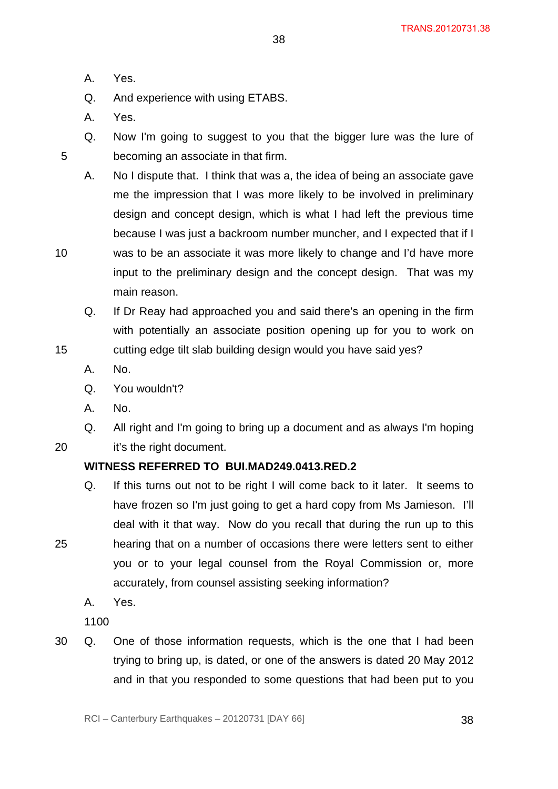A. Yes.

Q. And experience with using ETABS.

A. Yes.

5

10

15

20

25

Q. Now I'm going to suggest to you that the bigger lure was the lure of becoming an associate in that firm.

38

- A. No I dispute that. I think that was a, the idea of being an associate gave me the impression that I was more likely to be involved in preliminary design and concept design, which is what I had left the previous time because I was just a backroom number muncher, and I expected that if I was to be an associate it was more likely to change and I'd have more input to the preliminary design and the concept design. That was my main reason.
- Q. If Dr Reay had approached you and said there's an opening in the firm with potentially an associate position opening up for you to work on cutting edge tilt slab building design would you have said yes?
- A. No.
- Q. You wouldn't?
- A. No.
- Q. All right and I'm going to bring up a document and as always I'm hoping it's the right document.

# **WITNESS REFERRED TO BUI.MAD249.0413.RED.2**

- Q. If this turns out not to be right I will come back to it later. It seems to have frozen so I'm just going to get a hard copy from Ms Jamieson. I'll deal with it that way. Now do you recall that during the run up to this hearing that on a number of occasions there were letters sent to either you or to your legal counsel from the Royal Commission or, more accurately, from counsel assisting seeking information?
	- A. Yes.

1100

30 Q. One of those information requests, which is the one that I had been trying to bring up, is dated, or one of the answers is dated 20 May 2012 and in that you responded to some questions that had been put to you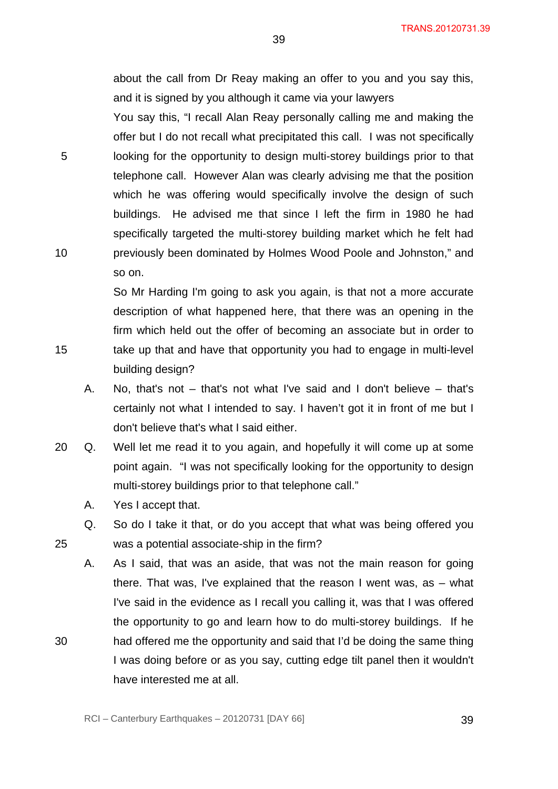about the call from Dr Reay making an offer to you and you say this, and it is signed by you although it came via your lawyers

39

You say this, "I recall Alan Reay personally calling me and making the offer but I do not recall what precipitated this call. I was not specifically 5 looking for the opportunity to design multi-storey buildings prior to that telephone call. However Alan was clearly advising me that the position which he was offering would specifically involve the design of such buildings. He advised me that since I left the firm in 1980 he had specifically targeted the multi-storey building market which he felt had 10 previously been dominated by Holmes Wood Poole and Johnston," and so on.

So Mr Harding I'm going to ask you again, is that not a more accurate description of what happened here, that there was an opening in the firm which held out the offer of becoming an associate but in order to 15 take up that and have that opportunity you had to engage in multi-level building design?

- A. No, that's not that's not what I've said and I don't believe that's certainly not what I intended to say. I haven't got it in front of me but I don't believe that's what I said either.
- 20 Q. Well let me read it to you again, and hopefully it will come up at some point again. "I was not specifically looking for the opportunity to design multi-storey buildings prior to that telephone call."
	- A. Yes I accept that.
- Q. So do I take it that, or do you accept that what was being offered you 25 was a potential associate-ship in the firm?
- A. As I said, that was an aside, that was not the main reason for going there. That was, I've explained that the reason I went was, as – what I've said in the evidence as I recall you calling it, was that I was offered the opportunity to go and learn how to do multi-storey buildings. If he 30 had offered me the opportunity and said that I'd be doing the same thing I was doing before or as you say, cutting edge tilt panel then it wouldn't have interested me at all.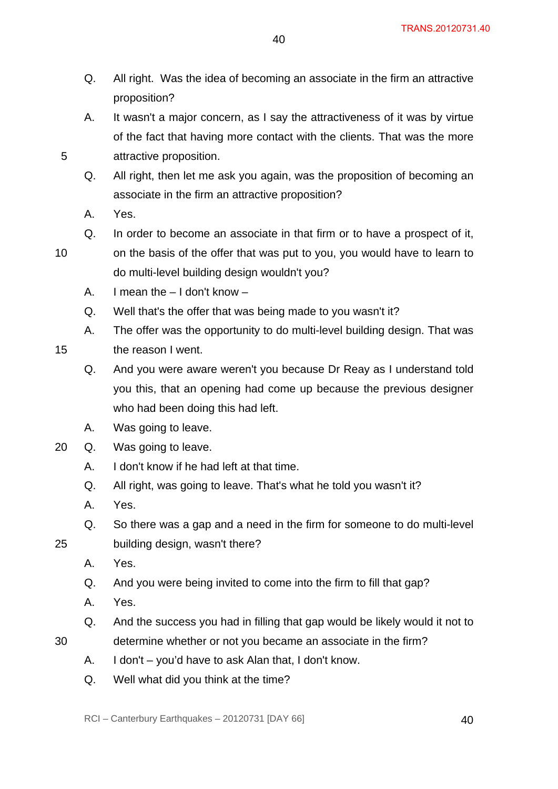Q. All right. Was the idea of becoming an associate in the firm an attractive proposition?

40

- A. It wasn't a major concern, as I say the attractiveness of it was by virtue of the fact that having more contact with the clients. That was the more attractive proposition.
- Q. All right, then let me ask you again, was the proposition of becoming an associate in the firm an attractive proposition?
- A. Yes.
- Q. In order to become an associate in that firm or to have a prospect of it,

on the basis of the offer that was put to you, you would have to learn to

10

15

25

30

5

do multi-level building design wouldn't you?

- A. I mean the I don't know –
- Q. Well that's the offer that was being made to you wasn't it?
- A. The offer was the opportunity to do multi-level building design. That was the reason I went.
	- Q. And you were aware weren't you because Dr Reay as I understand told you this, that an opening had come up because the previous designer who had been doing this had left.
- A. Was going to leave.
- 20 Q. Was going to leave.
	- A. I don't know if he had left at that time.
	- Q. All right, was going to leave. That's what he told you wasn't it?
	- A. Yes.
	- Q. So there was a gap and a need in the firm for someone to do multi-level building design, wasn't there?
	- A. Yes.
	- Q. And you were being invited to come into the firm to fill that gap?
	- A. Yes.
	- Q. And the success you had in filling that gap would be likely would it not to
	- determine whether or not you became an associate in the firm?
		- A. I don't you'd have to ask Alan that, I don't know.
		- Q. Well what did you think at the time?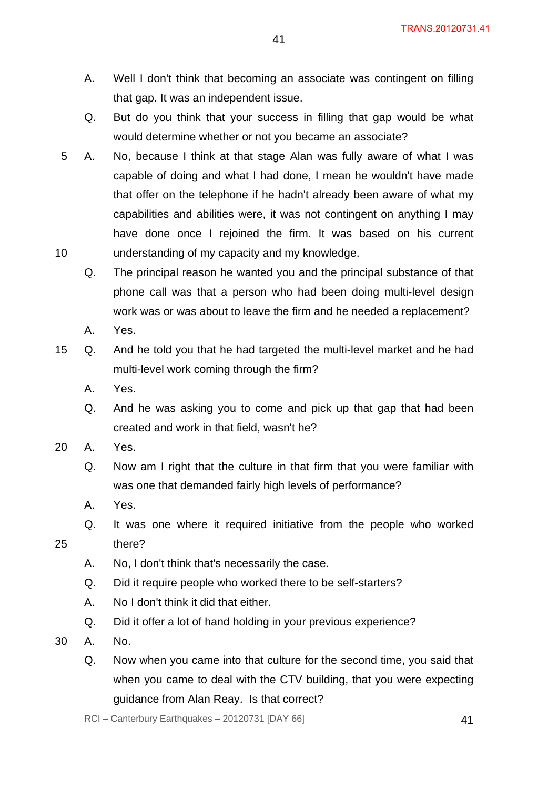TRANS.20120731.41

- A. Well I don't think that becoming an associate was contingent on filling that gap. It was an independent issue.
- Q. But do you think that your success in filling that gap would be what would determine whether or not you became an associate?
- 10 5 A. No, because I think at that stage Alan was fully aware of what I was capable of doing and what I had done, I mean he wouldn't have made that offer on the telephone if he hadn't already been aware of what my capabilities and abilities were, it was not contingent on anything I may have done once I rejoined the firm. It was based on his current understanding of my capacity and my knowledge.
	- Q. The principal reason he wanted you and the principal substance of that phone call was that a person who had been doing multi-level design work was or was about to leave the firm and he needed a replacement?
	- A. Yes.
- 15 Q. And he told you that he had targeted the multi-level market and he had multi-level work coming through the firm?
	- A. Yes.
	- Q. And he was asking you to come and pick up that gap that had been created and work in that field, wasn't he?
- 20 A. Yes.
	- Q. Now am I right that the culture in that firm that you were familiar with was one that demanded fairly high levels of performance?
	- A. Yes.
	- Q. It was one where it required initiative from the people who worked there?
	- A. No, I don't think that's necessarily the case.
	- Q. Did it require people who worked there to be self-starters?
	- A. No I don't think it did that either.
	- Q. Did it offer a lot of hand holding in your previous experience?
- 30 A. No.

25

Q. Now when you came into that culture for the second time, you said that when you came to deal with the CTV building, that you were expecting guidance from Alan Reay. Is that correct?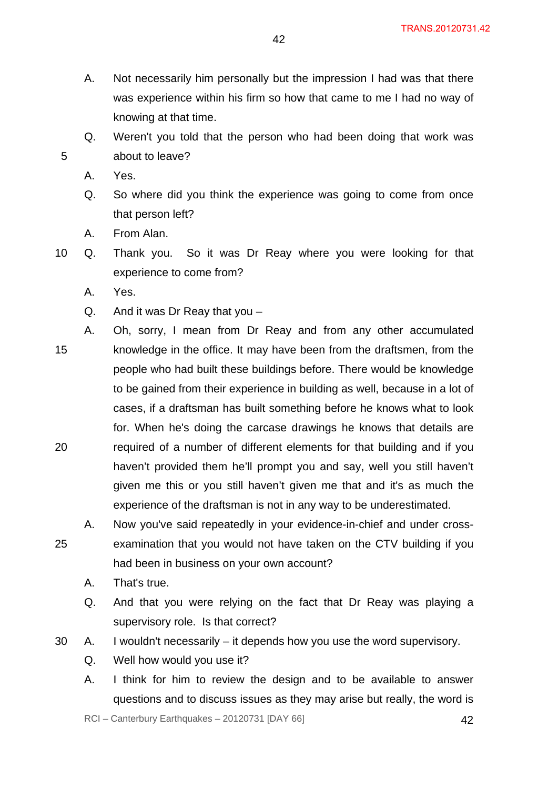- A. Not necessarily him personally but the impression I had was that there was experience within his firm so how that came to me I had no way of knowing at that time.
- Q. Weren't you told that the person who had been doing that work was about to leave?
- A. Yes.

- Q. So where did you think the experience was going to come from once that person left?
- A. From Alan.
- 10 Q. Thank you. So it was Dr Reay where you were looking for that experience to come from?
	- A. Yes.
	- Q. And it was Dr Reay that you –
- 15 20 A. Oh, sorry, I mean from Dr Reay and from any other accumulated knowledge in the office. It may have been from the draftsmen, from the people who had built these buildings before. There would be knowledge to be gained from their experience in building as well, because in a lot of cases, if a draftsman has built something before he knows what to look for. When he's doing the carcase drawings he knows that details are required of a number of different elements for that building and if you haven't provided them he'll prompt you and say, well you still haven't given me this or you still haven't given me that and it's as much the experience of the draftsman is not in any way to be underestimated.
- 25 A. Now you've said repeatedly in your evidence-in-chief and under crossexamination that you would not have taken on the CTV building if you had been in business on your own account?
	- A. That's true.
	- Q. And that you were relying on the fact that Dr Reay was playing a supervisory role. Is that correct?
- 30 A. I wouldn't necessarily it depends how you use the word supervisory.
	- Q. Well how would you use it?
	- A. I think for him to review the design and to be available to answer questions and to discuss issues as they may arise but really, the word is

 $RCI - Canterbury Earthquakes - 20120731 [DAY 66]$  42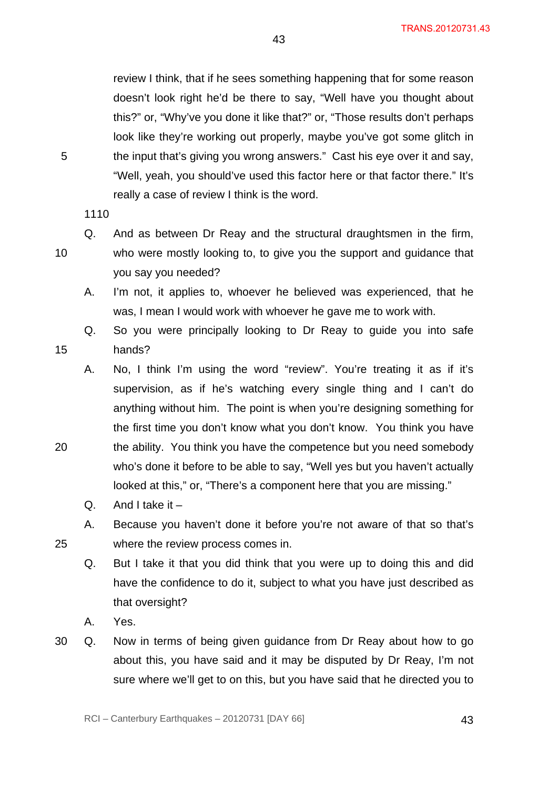review I think, that if he sees something happening that for some reason doesn't look right he'd be there to say, "Well have you thought about this?" or, "Why've you done it like that?" or, "Those results don't perhaps look like they're working out properly, maybe you've got some glitch in the input that's giving you wrong answers." Cast his eye over it and say, "Well, yeah, you should've used this factor here or that factor there." It's really a case of review I think is the word.

43

1110

10

15

20

25

5

Q. And as between Dr Reay and the structural draughtsmen in the firm, who were mostly looking to, to give you the support and guidance that you say you needed?

- A. I'm not, it applies to, whoever he believed was experienced, that he was, I mean I would work with whoever he gave me to work with.
- Q. So you were principally looking to Dr Reay to guide you into safe hands?

A. No, I think I'm using the word "review". You're treating it as if it's supervision, as if he's watching every single thing and I can't do anything without him. The point is when you're designing something for the first time you don't know what you don't know. You think you have the ability. You think you have the competence but you need somebody who's done it before to be able to say, "Well yes but you haven't actually looked at this," or, "There's a component here that you are missing."

- Q. And I take it  $-$
- A. Because you haven't done it before you're not aware of that so that's where the review process comes in.
- Q. But I take it that you did think that you were up to doing this and did have the confidence to do it, subject to what you have just described as that oversight?
- A. Yes.
- 30 Q. Now in terms of being given guidance from Dr Reay about how to go about this, you have said and it may be disputed by Dr Reay, I'm not sure where we'll get to on this, but you have said that he directed you to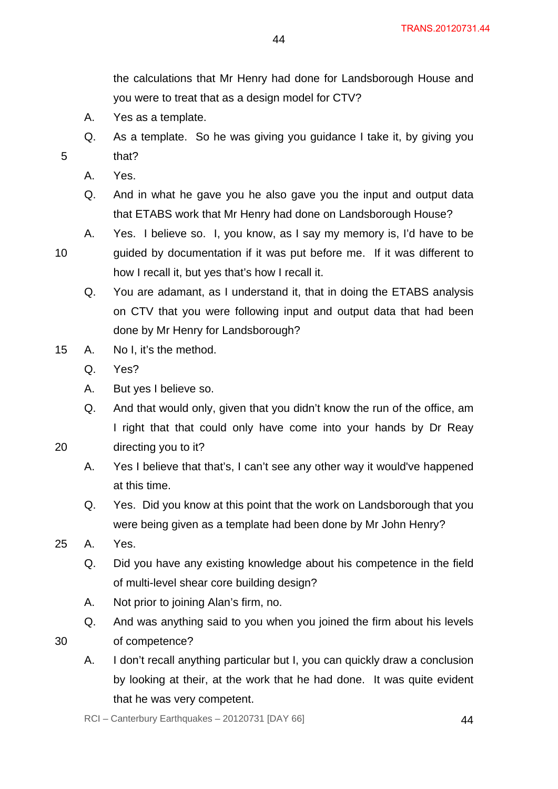the calculations that Mr Henry had done for Landsborough House and you were to treat that as a design model for CTV?

- A. Yes as a template.
- Q. As a template. So he was giving you guidance I take it, by giving you that?

44

A. Yes.

- Q. And in what he gave you he also gave you the input and output data that ETABS work that Mr Henry had done on Landsborough House?
- 10 A. Yes. I believe so. I, you know, as I say my memory is, I'd have to be guided by documentation if it was put before me. If it was different to how I recall it, but yes that's how I recall it.
	- Q. You are adamant, as I understand it, that in doing the ETABS analysis on CTV that you were following input and output data that had been done by Mr Henry for Landsborough?
- 15 A. No I, it's the method.
	- Q. Yes?
	- A. But yes I believe so.
	- Q. And that would only, given that you didn't know the run of the office, am I right that that could only have come into your hands by Dr Reay
- 20 directing you to it?
	- A. Yes I believe that that's, I can't see any other way it would've happened at this time.
	- Q. Yes. Did you know at this point that the work on Landsborough that you were being given as a template had been done by Mr John Henry?
- 25 A. Yes.
	- Q. Did you have any existing knowledge about his competence in the field of multi-level shear core building design?
	- A. Not prior to joining Alan's firm, no.
	- Q. And was anything said to you when you joined the firm about his levels
- 30
- of competence?
- A. I don't recall anything particular but I, you can quickly draw a conclusion by looking at their, at the work that he had done. It was quite evident that he was very competent.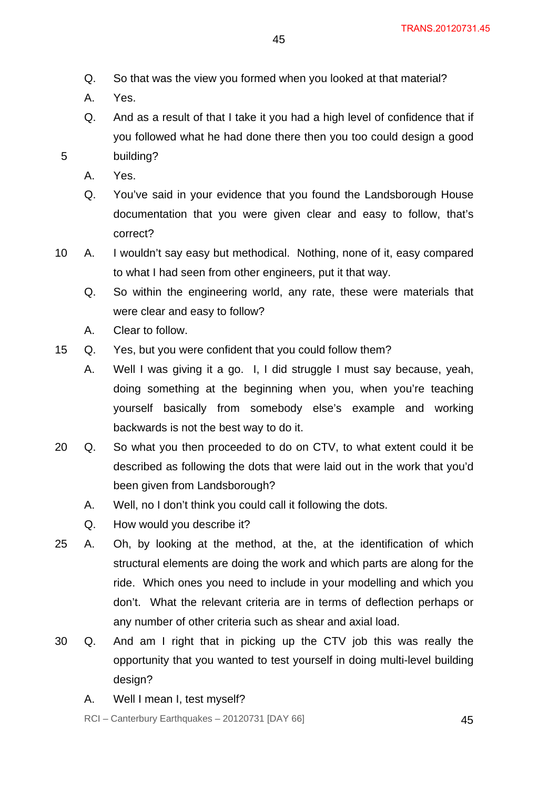- Q. So that was the view you formed when you looked at that material?
- A. Yes.
- Q. And as a result of that I take it you had a high level of confidence that if you followed what he had done there then you too could design a good building?
- A. Yes.

- Q. You've said in your evidence that you found the Landsborough House documentation that you were given clear and easy to follow, that's correct?
- 10 A. I wouldn't say easy but methodical. Nothing, none of it, easy compared to what I had seen from other engineers, put it that way.
	- Q. So within the engineering world, any rate, these were materials that were clear and easy to follow?
	- A. Clear to follow.
- 15 Q. Yes, but you were confident that you could follow them?
	- A. Well I was giving it a go. I, I did struggle I must say because, yeah, doing something at the beginning when you, when you're teaching yourself basically from somebody else's example and working backwards is not the best way to do it.
- 20 Q. So what you then proceeded to do on CTV, to what extent could it be described as following the dots that were laid out in the work that you'd been given from Landsborough?
	- A. Well, no I don't think you could call it following the dots.
	- Q. How would you describe it?
- 25 A. Oh, by looking at the method, at the, at the identification of which structural elements are doing the work and which parts are along for the ride. Which ones you need to include in your modelling and which you don't. What the relevant criteria are in terms of deflection perhaps or any number of other criteria such as shear and axial load.
- 30 Q. And am I right that in picking up the CTV job this was really the opportunity that you wanted to test yourself in doing multi-level building design?
	- A. Well I mean I, test myself?

RCI – Canterbury Earthquakes – 20120731 [DAY 66]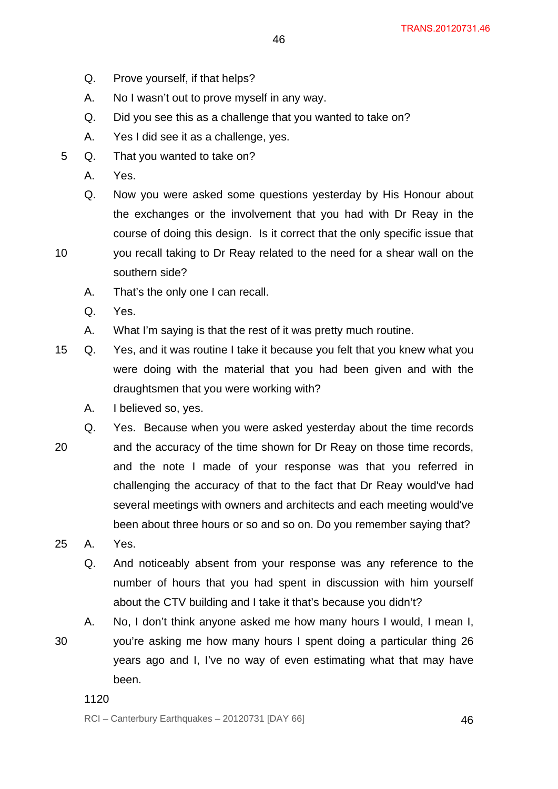- 46
- Q. Prove yourself, if that helps?
- A. No I wasn't out to prove myself in any way.
- Q. Did you see this as a challenge that you wanted to take on?
- A. Yes I did see it as a challenge, yes.
- 5 Q. That you wanted to take on?
	- A. Yes.
	- Q. Now you were asked some questions yesterday by His Honour about the exchanges or the involvement that you had with Dr Reay in the course of doing this design. Is it correct that the only specific issue that you recall taking to Dr Reay related to the need for a shear wall on the
	- southern side?
	- A. That's the only one I can recall.
	- Q. Yes.

- A. What I'm saying is that the rest of it was pretty much routine.
- 15 Q. Yes, and it was routine I take it because you felt that you knew what you were doing with the material that you had been given and with the draughtsmen that you were working with?
	- A. I believed so, yes.
- 20 Q. Yes. Because when you were asked yesterday about the time records and the accuracy of the time shown for Dr Reay on those time records, and the note I made of your response was that you referred in challenging the accuracy of that to the fact that Dr Reay would've had several meetings with owners and architects and each meeting would've been about three hours or so and so on. Do you remember saying that?
- 25 A. Yes.
	- Q. And noticeably absent from your response was any reference to the number of hours that you had spent in discussion with him yourself about the CTV building and I take it that's because you didn't?
	- A. No, I don't think anyone asked me how many hours I would, I mean I,
- 30 you're asking me how many hours I spent doing a particular thing 26 years ago and I, I've no way of even estimating what that may have been.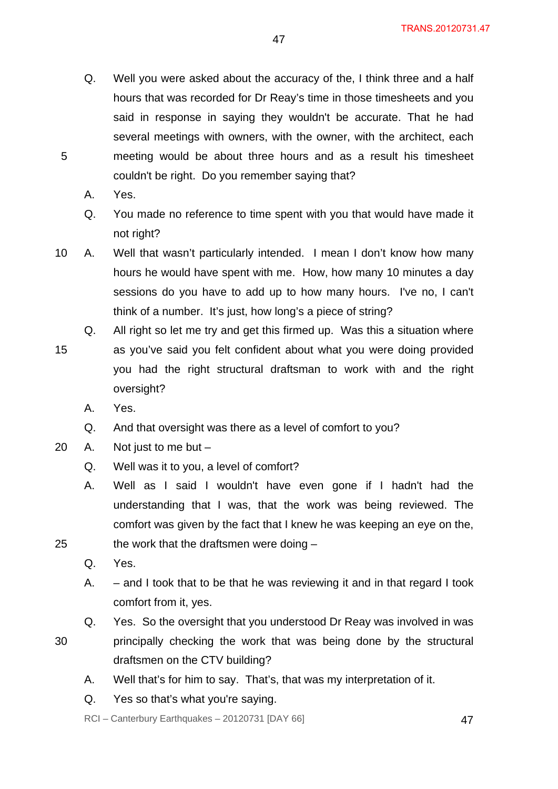- Q. Well you were asked about the accuracy of the, I think three and a half hours that was recorded for Dr Reay's time in those timesheets and you said in response in saying they wouldn't be accurate. That he had several meetings with owners, with the owner, with the architect, each meeting would be about three hours and as a result his timesheet couldn't be right. Do you remember saying that?
- A. Yes.

- Q. You made no reference to time spent with you that would have made it not right?
- 10 A. Well that wasn't particularly intended. I mean I don't know how many hours he would have spent with me. How, how many 10 minutes a day sessions do you have to add up to how many hours. I've no, I can't think of a number. It's just, how long's a piece of string?
- 15 Q. All right so let me try and get this firmed up. Was this a situation where as you've said you felt confident about what you were doing provided you had the right structural draftsman to work with and the right oversight?
	- A. Yes.
	- Q. And that oversight was there as a level of comfort to you?
- 20 A. Not just to me but
	- Q. Well was it to you, a level of comfort?
	- A. Well as I said I wouldn't have even gone if I hadn't had the understanding that I was, that the work was being reviewed. The comfort was given by the fact that I knew he was keeping an eye on the,
	- the work that the draftsmen were doing
		- Q. Yes.

25

- A. and I took that to be that he was reviewing it and in that regard I took comfort from it, yes.
- Q. Yes. So the oversight that you understood Dr Reay was involved in was
- 30 principally checking the work that was being done by the structural draftsmen on the CTV building?
	- A. Well that's for him to say. That's, that was my interpretation of it.
	- Q. Yes so that's what you're saying.

 $RCI - Canterbury Earthquakes - 20120731 [DAY 66]$  47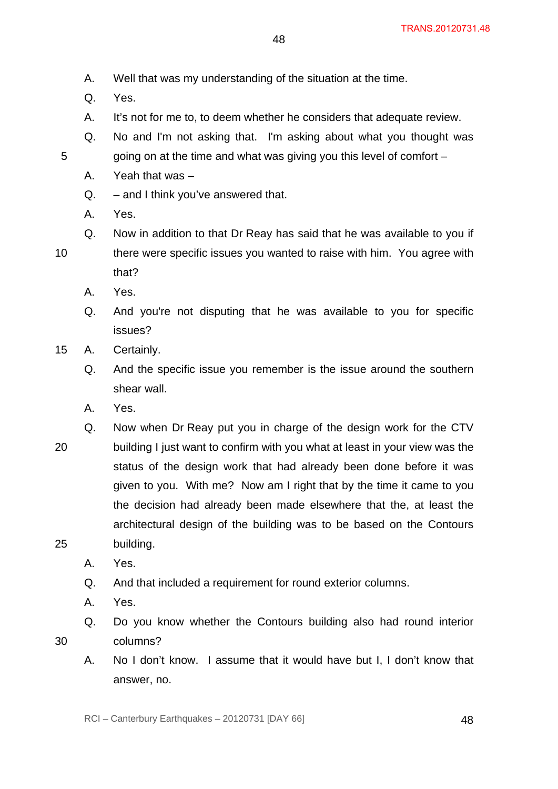- A. Well that was my understanding of the situation at the time.
- Q. Yes.

- A. It's not for me to, to deem whether he considers that adequate review.
- Q. No and I'm not asking that. I'm asking about what you thought was going on at the time and what was giving you this level of comfort –
- A. Yeah that was –
- Q. and I think you've answered that.
- A. Yes.
- 10 Q. Now in addition to that Dr Reay has said that he was available to you if there were specific issues you wanted to raise with him. You agree with that?
	- A. Yes.
	- Q. And you're not disputing that he was available to you for specific issues?
- 15 A. Certainly.
	- Q. And the specific issue you remember is the issue around the southern shear wall.
	- A. Yes.
- 20 25 Q. Now when Dr Reay put you in charge of the design work for the CTV building I just want to confirm with you what at least in your view was the status of the design work that had already been done before it was given to you. With me? Now am I right that by the time it came to you the decision had already been made elsewhere that the, at least the architectural design of the building was to be based on the Contours building.
	- A. Yes.
	- Q. And that included a requirement for round exterior columns.
	- A. Yes.

- Q. Do you know whether the Contours building also had round interior columns?
- A. No I don't know. I assume that it would have but I, I don't know that answer, no.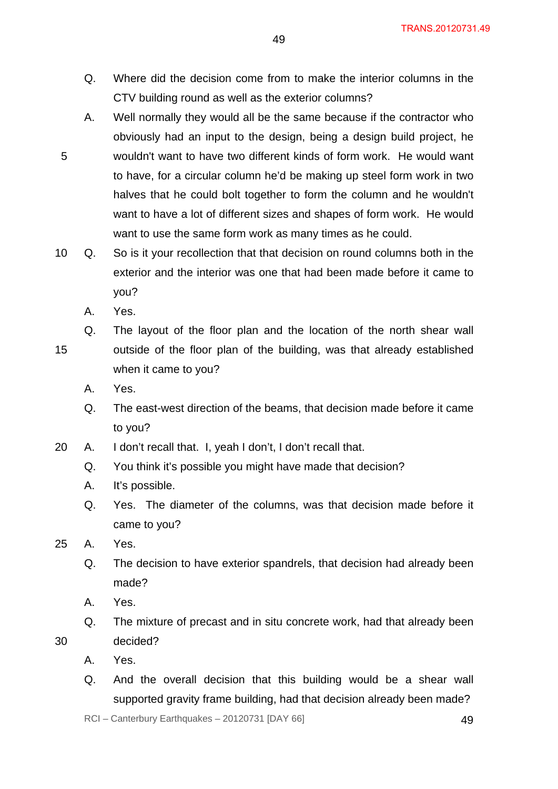- Q. Where did the decision come from to make the interior columns in the CTV building round as well as the exterior columns?
- A. Well normally they would all be the same because if the contractor who obviously had an input to the design, being a design build project, he wouldn't want to have two different kinds of form work. He would want to have, for a circular column he'd be making up steel form work in two halves that he could bolt together to form the column and he wouldn't want to have a lot of different sizes and shapes of form work. He would want to use the same form work as many times as he could.
- 10 Q. So is it your recollection that that decision on round columns both in the exterior and the interior was one that had been made before it came to you?
	- A. Yes.

- 15 Q. The layout of the floor plan and the location of the north shear wall outside of the floor plan of the building, was that already established when it came to you?
	- A. Yes.
	- Q. The east-west direction of the beams, that decision made before it came to you?
- 20 A. I don't recall that. I, yeah I don't, I don't recall that.
	- Q. You think it's possible you might have made that decision?
	- A. It's possible.
	- Q. Yes. The diameter of the columns, was that decision made before it came to you?
- 25 A. Yes.
	- Q. The decision to have exterior spandrels, that decision had already been made?
	- A. Yes.
	- Q. The mixture of precast and in situ concrete work, had that already been decided?
	- A. Yes.

30

Q. And the overall decision that this building would be a shear wall supported gravity frame building, had that decision already been made?

 $RCI - Canterbury$  Earthquakes  $-20120731$  [DAY 66]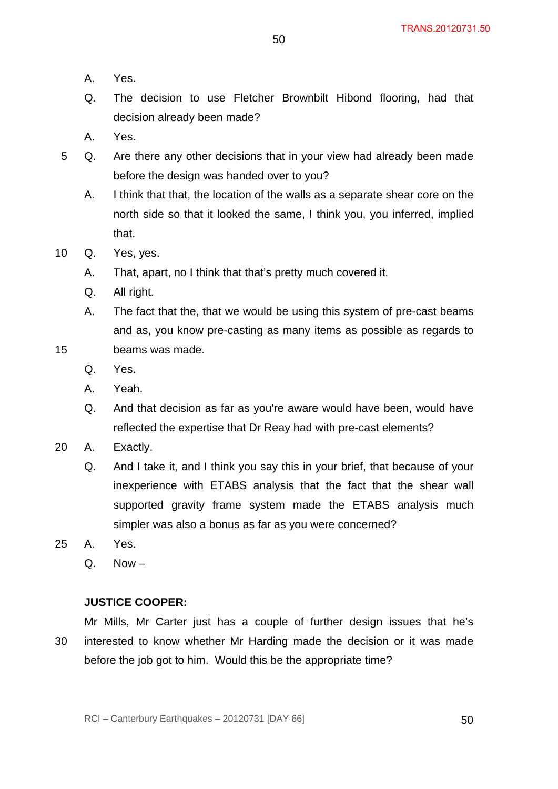- A. Yes.
- Q. The decision to use Fletcher Brownbilt Hibond flooring, had that decision already been made?
- A. Yes.
- 5 Q. Are there any other decisions that in your view had already been made before the design was handed over to you?
	- A. I think that that, the location of the walls as a separate shear core on the north side so that it looked the same, I think you, you inferred, implied that.
- 10 Q. Yes, yes.
	- A. That, apart, no I think that that's pretty much covered it.
	- Q. All right.
	- A. The fact that the, that we would be using this system of pre-cast beams and as, you know pre-casting as many items as possible as regards to beams was made.
	- Q. Yes.

- A. Yeah.
- Q. And that decision as far as you're aware would have been, would have reflected the expertise that Dr Reay had with pre-cast elements?
- 20 A. Exactly.
	- Q. And I take it, and I think you say this in your brief, that because of your inexperience with ETABS analysis that the fact that the shear wall supported gravity frame system made the ETABS analysis much simpler was also a bonus as far as you were concerned?
- 25 A. Yes.
	- $Q$  Now –

### **JUSTICE COOPER:**

30

Mr Mills, Mr Carter just has a couple of further design issues that he's interested to know whether Mr Harding made the decision or it was made before the job got to him. Would this be the appropriate time?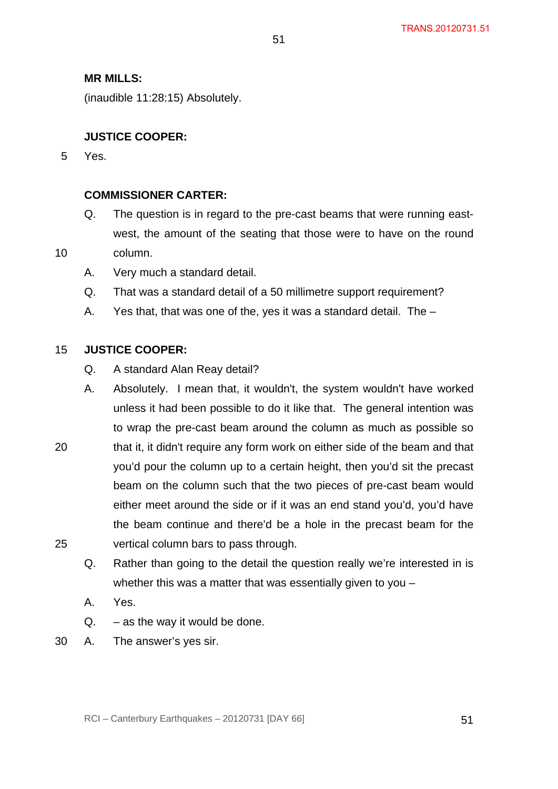## **MR MILLS:**

(inaudible 11:28:15) Absolutely.

## **JUSTICE COOPER:**

5 Yes.

10

### **COMMISSIONER CARTER:**

- Q. The question is in regard to the pre-cast beams that were running eastwest, the amount of the seating that those were to have on the round column.
- A. Very much a standard detail.
- Q. That was a standard detail of a 50 millimetre support requirement?
- A. Yes that, that was one of the, yes it was a standard detail. The –

#### 15 **JUSTICE COOPER:**

- Q. A standard Alan Reay detail?
- A. Absolutely. I mean that, it wouldn't, the system wouldn't have worked unless it had been possible to do it like that. The general intention was to wrap the pre-cast beam around the column as much as possible so
- 20 25 that it, it didn't require any form work on either side of the beam and that you'd pour the column up to a certain height, then you'd sit the precast beam on the column such that the two pieces of pre-cast beam would either meet around the side or if it was an end stand you'd, you'd have the beam continue and there'd be a hole in the precast beam for the vertical column bars to pass through.
	- Q. Rather than going to the detail the question really we're interested in is whether this was a matter that was essentially given to you –
	- A. Yes.
	- $Q. -$  as the way it would be done.
- 30 A. The answer's yes sir.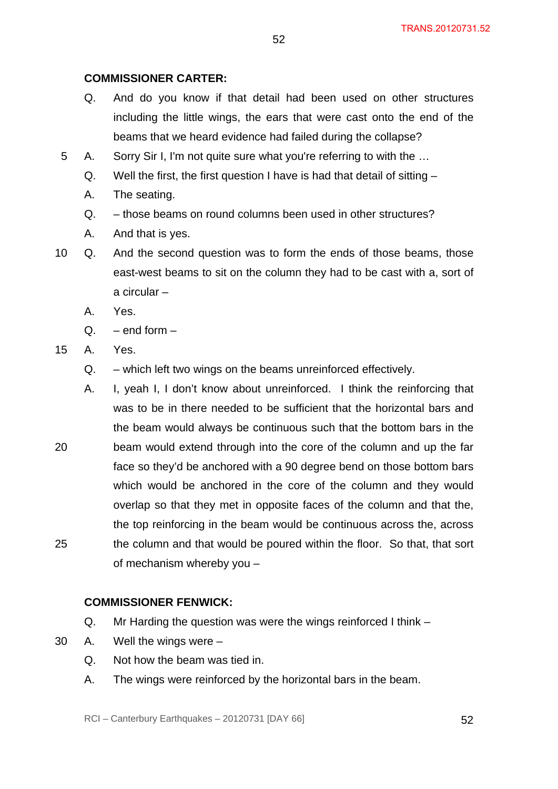# **COMMISSIONER CARTER:**

- Q. And do you know if that detail had been used on other structures including the little wings, the ears that were cast onto the end of the beams that we heard evidence had failed during the collapse?
- 5 A. Sorry Sir I, I'm not quite sure what you're referring to with the …
	- Q. Well the first, the first question I have is had that detail of sitting –
	- A. The seating.
	- Q. those beams on round columns been used in other structures?
	- A. And that is yes.
- 10 Q. And the second question was to form the ends of those beams, those east-west beams to sit on the column they had to be cast with a, sort of a circular –
	- A. Yes.
	- $Q.$  end form –
- 15 A. Yes.
	- Q. which left two wings on the beams unreinforced effectively.
- 20 25 A. I, yeah I, I don't know about unreinforced. I think the reinforcing that was to be in there needed to be sufficient that the horizontal bars and the beam would always be continuous such that the bottom bars in the beam would extend through into the core of the column and up the far face so they'd be anchored with a 90 degree bend on those bottom bars which would be anchored in the core of the column and they would overlap so that they met in opposite faces of the column and that the, the top reinforcing in the beam would be continuous across the, across the column and that would be poured within the floor. So that, that sort of mechanism whereby you –

### **COMMISSIONER FENWICK:**

- Q. Mr Harding the question was were the wings reinforced I think –
- 30 A. Well the wings were
	- Q. Not how the beam was tied in.
	- A. The wings were reinforced by the horizontal bars in the beam.

RCI – Canterbury Earthquakes – 20120731 [DAY 66] 52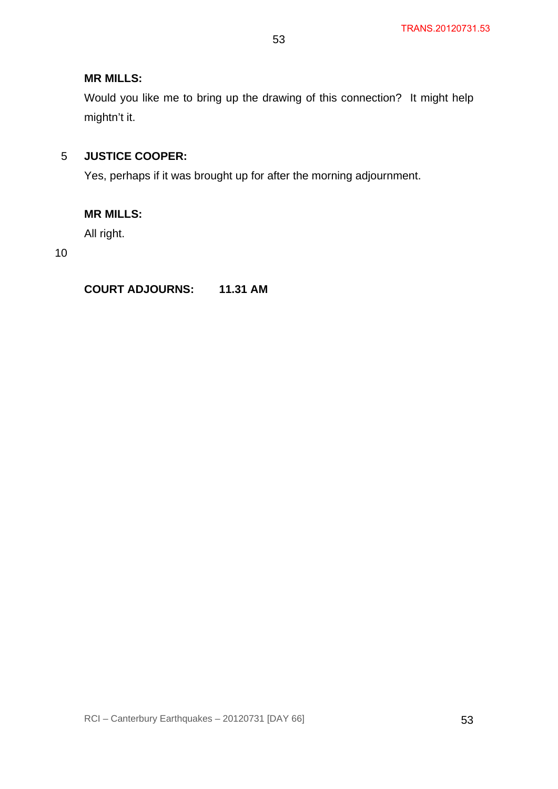# **MR MILLS:**

Would you like me to bring up the drawing of this connection? It might help mightn't it.

#### 5 **JUSTICE COOPER:**

Yes, perhaps if it was brought up for after the morning adjournment.

# **MR MILLS:**

All right.

10

# **COURT ADJOURNS: 11.31 AM**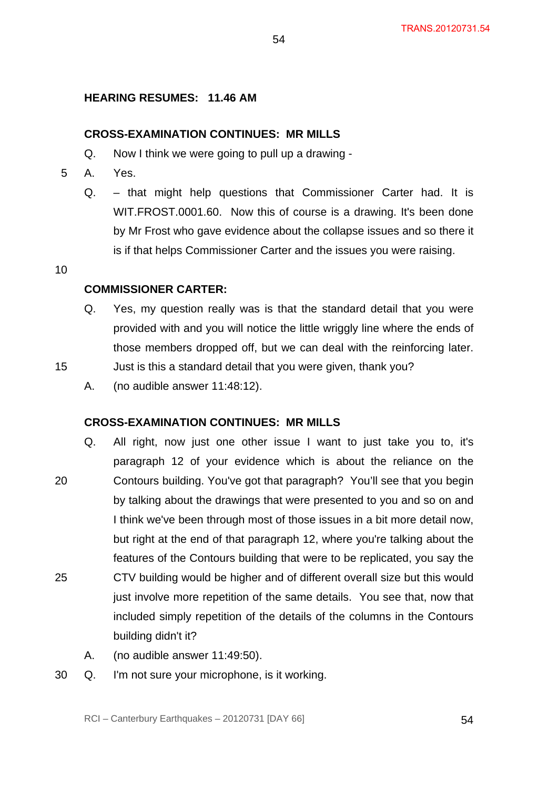## **HEARING RESUMES: 11.46 AM**

#### **CROSS-EXAMINATION CONTINUES: MR MILLS**

- Q. Now I think we were going to pull up a drawing -
- 5 A. Yes.
	- Q. that might help questions that Commissioner Carter had. It is WIT.FROST.0001.60. Now this of course is a drawing. It's been done by Mr Frost who gave evidence about the collapse issues and so there it is if that helps Commissioner Carter and the issues you were raising.

54

10

15

#### **COMMISSIONER CARTER:**

Q. Yes, my question really was is that the standard detail that you were provided with and you will notice the little wriggly line where the ends of those members dropped off, but we can deal with the reinforcing later.

Just is this a standard detail that you were given, thank you?

A. (no audible answer 11:48:12).

#### **CROSS-EXAMINATION CONTINUES: MR MILLS**

- 20 25 Q. All right, now just one other issue I want to just take you to, it's paragraph 12 of your evidence which is about the reliance on the Contours building. You've got that paragraph? You'll see that you begin by talking about the drawings that were presented to you and so on and I think we've been through most of those issues in a bit more detail now, but right at the end of that paragraph 12, where you're talking about the features of the Contours building that were to be replicated, you say the CTV building would be higher and of different overall size but this would just involve more repetition of the same details. You see that, now that included simply repetition of the details of the columns in the Contours building didn't it?
	- A. (no audible answer 11:49:50).
- 30 Q. I'm not sure your microphone, is it working.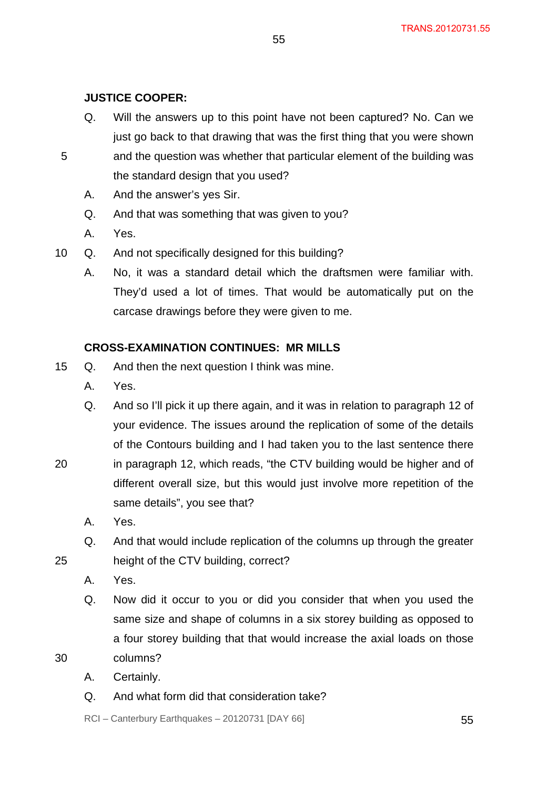# **JUSTICE COOPER:**

- Q. Will the answers up to this point have not been captured? No. Can we just go back to that drawing that was the first thing that you were shown and the question was whether that particular element of the building was
- 5 the standard design that you used?
	- A. And the answer's yes Sir.
	- Q. And that was something that was given to you?
	- A. Yes.
- 10 Q. And not specifically designed for this building?
	- A. No, it was a standard detail which the draftsmen were familiar with. They'd used a lot of times. That would be automatically put on the carcase drawings before they were given to me.

# **CROSS-EXAMINATION CONTINUES: MR MILLS**

15 Q. And then the next question I think was mine.

same details", you see that?

- A. Yes.
- Q. And so I'll pick it up there again, and it was in relation to paragraph 12 of your evidence. The issues around the replication of some of the details of the Contours building and I had taken you to the last sentence there in paragraph 12, which reads, "the CTV building would be higher and of different overall size, but this would just involve more repetition of the
	- A. Yes.
- Q. And that would include replication of the columns up through the greater height of the CTV building, correct?
- A. Yes.
- Q. Now did it occur to you or did you consider that when you used the same size and shape of columns in a six storey building as opposed to a four storey building that that would increase the axial loads on those

30

20

25

A. Certainly.

columns?

Q. And what form did that consideration take?

 $RCI - Canterbury Earthquakes - 20120731 [DAY 66]$  55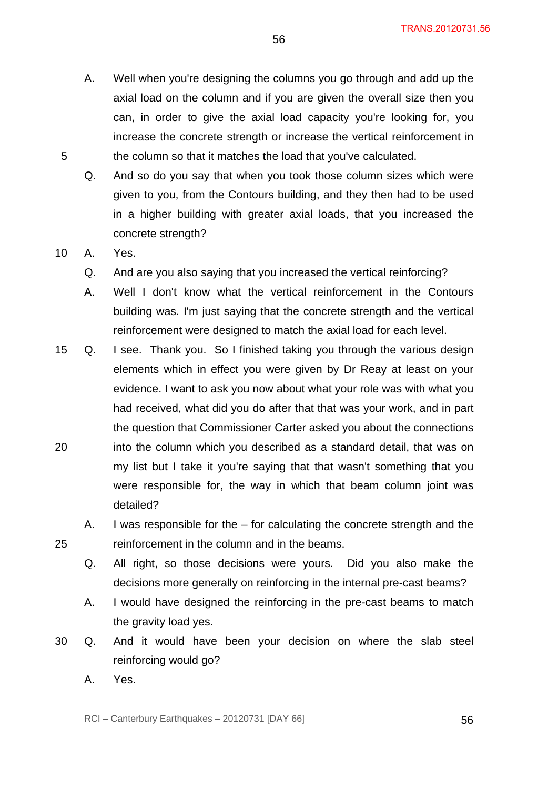- A. Well when you're designing the columns you go through and add up the axial load on the column and if you are given the overall size then you can, in order to give the axial load capacity you're looking for, you increase the concrete strength or increase the vertical reinforcement in the column so that it matches the load that you've calculated.
- Q. And so do you say that when you took those column sizes which were given to you, from the Contours building, and they then had to be used in a higher building with greater axial loads, that you increased the concrete strength?
- 10 A. Yes.

- Q. And are you also saying that you increased the vertical reinforcing?
- A. Well I don't know what the vertical reinforcement in the Contours building was. I'm just saying that the concrete strength and the vertical reinforcement were designed to match the axial load for each level.
- 20 15 Q. I see. Thank you. So I finished taking you through the various design elements which in effect you were given by Dr Reay at least on your evidence. I want to ask you now about what your role was with what you had received, what did you do after that that was your work, and in part the question that Commissioner Carter asked you about the connections into the column which you described as a standard detail, that was on my list but I take it you're saying that that wasn't something that you were responsible for, the way in which that beam column joint was detailed?
	- A. I was responsible for the for calculating the concrete strength and the reinforcement in the column and in the beams.
	- Q. All right, so those decisions were yours. Did you also make the decisions more generally on reinforcing in the internal pre-cast beams?
	- A. I would have designed the reinforcing in the pre-cast beams to match the gravity load yes.
- 30 Q. And it would have been your decision on where the slab steel reinforcing would go?
	- A. Yes.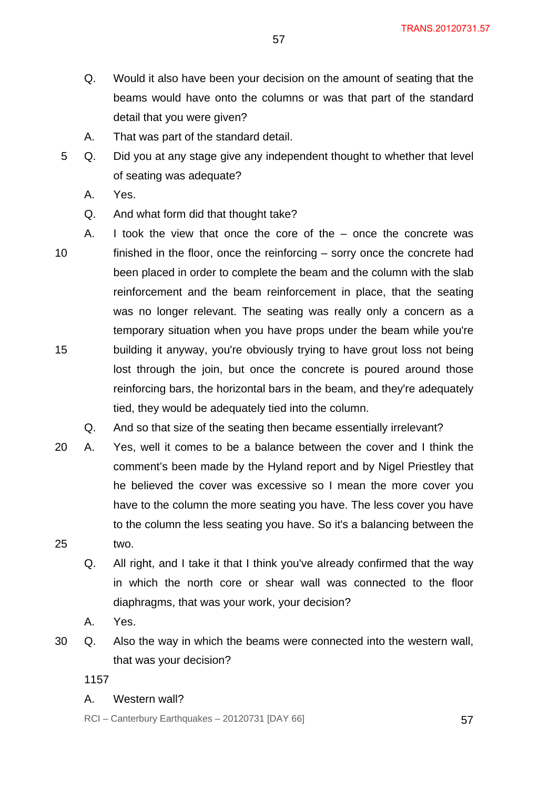- Q. Would it also have been your decision on the amount of seating that the beams would have onto the columns or was that part of the standard detail that you were given?
- A. That was part of the standard detail.
- 5 Q. Did you at any stage give any independent thought to whether that level of seating was adequate?
	- A. Yes.
	- Q. And what form did that thought take?
- 10 15 A. I took the view that once the core of the – once the concrete was finished in the floor, once the reinforcing – sorry once the concrete had been placed in order to complete the beam and the column with the slab reinforcement and the beam reinforcement in place, that the seating was no longer relevant. The seating was really only a concern as a temporary situation when you have props under the beam while you're building it anyway, you're obviously trying to have grout loss not being lost through the join, but once the concrete is poured around those reinforcing bars, the horizontal bars in the beam, and they're adequately tied, they would be adequately tied into the column.
	- Q. And so that size of the seating then became essentially irrelevant?
- 25 20 A. Yes, well it comes to be a balance between the cover and I think the comment's been made by the Hyland report and by Nigel Priestley that he believed the cover was excessive so I mean the more cover you have to the column the more seating you have. The less cover you have to the column the less seating you have. So it's a balancing between the two.
	- Q. All right, and I take it that I think you've already confirmed that the way in which the north core or shear wall was connected to the floor diaphragms, that was your work, your decision?
	- A. Yes.
- 30 Q. Also the way in which the beams were connected into the western wall, that was your decision?

A. Western wall?

 $RCI - Canterbury Earthquakes - 20120731 [DAY 66]$  57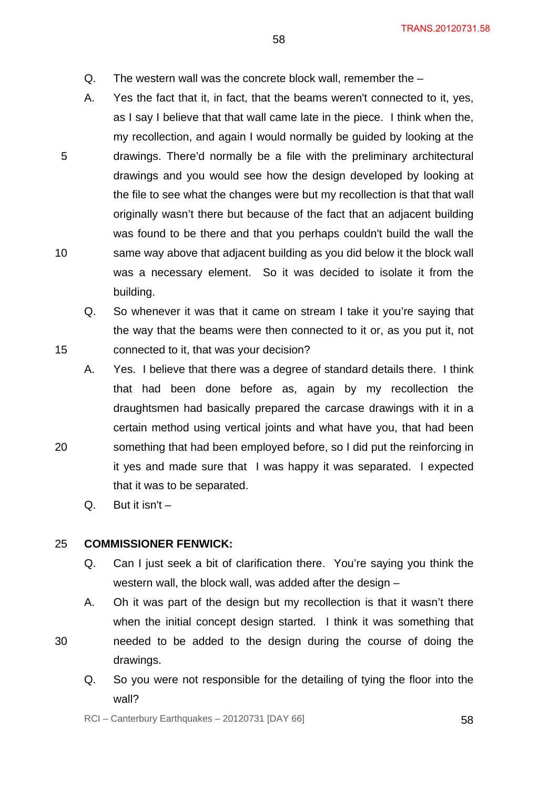- Q. The western wall was the concrete block wall, remember the –
- A. Yes the fact that it, in fact, that the beams weren't connected to it, yes, as I say I believe that that wall came late in the piece. I think when the, my recollection, and again I would normally be guided by looking at the drawings. There'd normally be a file with the preliminary architectural drawings and you would see how the design developed by looking at the file to see what the changes were but my recollection is that that wall originally wasn't there but because of the fact that an adjacent building was found to be there and that you perhaps couldn't build the wall the same way above that adjacent building as you did below it the block wall was a necessary element. So it was decided to isolate it from the building.
	- Q. So whenever it was that it came on stream I take it you're saying that the way that the beams were then connected to it or, as you put it, not connected to it, that was your decision?
- A. Yes. I believe that there was a degree of standard details there. I think that had been done before as, again by my recollection the draughtsmen had basically prepared the carcase drawings with it in a certain method using vertical joints and what have you, that had been something that had been employed before, so I did put the reinforcing in it yes and made sure that I was happy it was separated. I expected that it was to be separated.
	- $Q.$  But it isn't  $-$

10

15

20

30

#### 25 **COMMISSIONER FENWICK:**

- Q. Can I just seek a bit of clarification there. You're saying you think the western wall, the block wall, was added after the design –
- A. Oh it was part of the design but my recollection is that it wasn't there when the initial concept design started. I think it was something that needed to be added to the design during the course of doing the drawings.
	- Q. So you were not responsible for the detailing of tying the floor into the wall?

 $RCI - Canterbury Earthquakes - 20120731 [DAY 66]$  58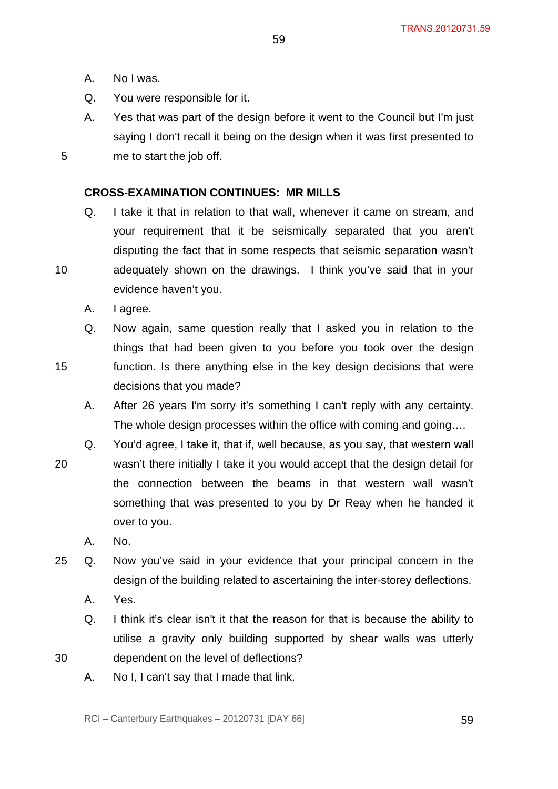A. No I was.

5

10

15

- Q. You were responsible for it.
- A. Yes that was part of the design before it went to the Council but I'm just saying I don't recall it being on the design when it was first presented to me to start the job off.

### **CROSS-EXAMINATION CONTINUES: MR MILLS**

- Q. I take it that in relation to that wall, whenever it came on stream, and your requirement that it be seismically separated that you aren't disputing the fact that in some respects that seismic separation wasn't adequately shown on the drawings. I think you've said that in your evidence haven't you.
	- A. I agree.
- Q. Now again, same question really that I asked you in relation to the things that had been given to you before you took over the design function. Is there anything else in the key design decisions that were decisions that you made?
	- A. After 26 years I'm sorry it's something I can't reply with any certainty. The whole design processes within the office with coming and going….
- 20 Q. You'd agree, I take it, that if, well because, as you say, that western wall wasn't there initially I take it you would accept that the design detail for the connection between the beams in that western wall wasn't something that was presented to you by Dr Reay when he handed it over to you.
	- A. No.
- 25 Q. Now you've said in your evidence that your principal concern in the design of the building related to ascertaining the inter-storey deflections.
	- A. Yes.
	- Q. I think it's clear isn't it that the reason for that is because the ability to utilise a gravity only building supported by shear walls was utterly dependent on the level of deflections?
- 30
- A. No I, I can't say that I made that link.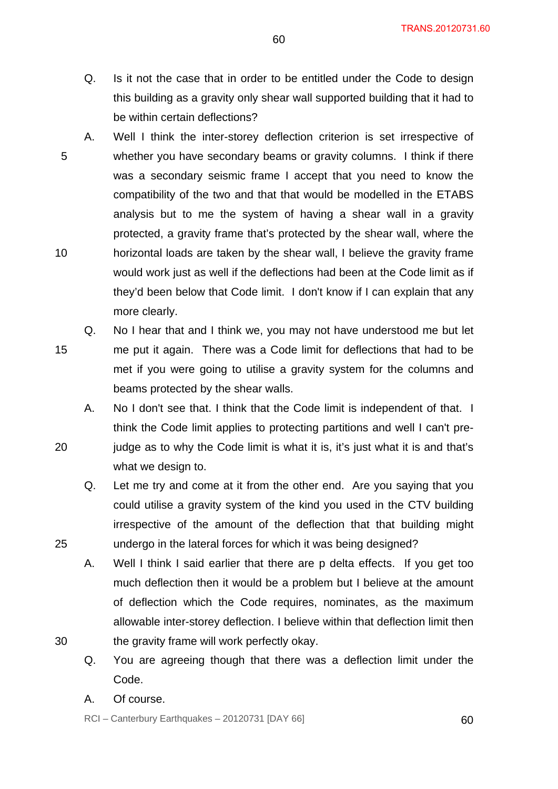TRANS.20120731.60

- Q. Is it not the case that in order to be entitled under the Code to design this building as a gravity only shear wall supported building that it had to be within certain deflections?
- 5 10 A. Well I think the inter-storey deflection criterion is set irrespective of whether you have secondary beams or gravity columns. I think if there was a secondary seismic frame I accept that you need to know the compatibility of the two and that that would be modelled in the ETABS analysis but to me the system of having a shear wall in a gravity protected, a gravity frame that's protected by the shear wall, where the horizontal loads are taken by the shear wall, I believe the gravity frame would work just as well if the deflections had been at the Code limit as if they'd been below that Code limit. I don't know if I can explain that any more clearly.
- 15 Q. No I hear that and I think we, you may not have understood me but let me put it again. There was a Code limit for deflections that had to be met if you were going to utilise a gravity system for the columns and beams protected by the shear walls.
	- A. No I don't see that. I think that the Code limit is independent of that. I think the Code limit applies to protecting partitions and well I can't prejudge as to why the Code limit is what it is, it's just what it is and that's what we design to.
		- Q. Let me try and come at it from the other end. Are you saying that you could utilise a gravity system of the kind you used in the CTV building irrespective of the amount of the deflection that that building might undergo in the lateral forces for which it was being designed?
		- A. Well I think I said earlier that there are p delta effects. If you get too much deflection then it would be a problem but I believe at the amount of deflection which the Code requires, nominates, as the maximum allowable inter-storey deflection. I believe within that deflection limit then the gravity frame will work perfectly okay.
		- Q. You are agreeing though that there was a deflection limit under the Code.
		- A. Of course.

20

25

30

 $RCI - Canterbury$  Earthquakes  $-20120731$  [DAY 66]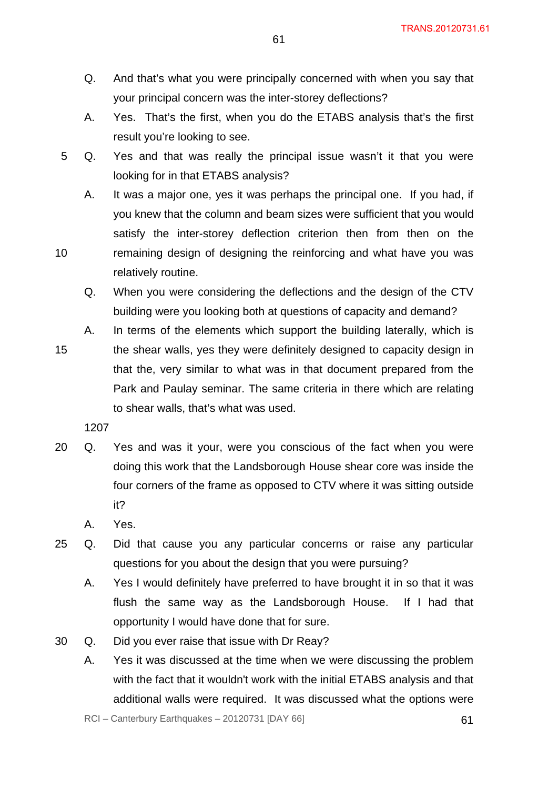- Q. And that's what you were principally concerned with when you say that your principal concern was the inter-storey deflections?
- A. Yes. That's the first, when you do the ETABS analysis that's the first result you're looking to see.
- 5 Q. Yes and that was really the principal issue wasn't it that you were looking for in that ETABS analysis?
	- A. It was a major one, yes it was perhaps the principal one. If you had, if you knew that the column and beam sizes were sufficient that you would satisfy the inter-storey deflection criterion then from then on the remaining design of designing the reinforcing and what have you was relatively routine.
		- Q. When you were considering the deflections and the design of the CTV building were you looking both at questions of capacity and demand?
- 15 A. In terms of the elements which support the building laterally, which is the shear walls, yes they were definitely designed to capacity design in that the, very similar to what was in that document prepared from the Park and Paulay seminar. The same criteria in there which are relating to shear walls, that's what was used.

- 20 Q. Yes and was it your, were you conscious of the fact when you were doing this work that the Landsborough House shear core was inside the four corners of the frame as opposed to CTV where it was sitting outside it?
	- A. Yes.
- 25 Q. Did that cause you any particular concerns or raise any particular questions for you about the design that you were pursuing?
	- A. Yes I would definitely have preferred to have brought it in so that it was flush the same way as the Landsborough House. If I had that opportunity I would have done that for sure.
- 30 Q. Did you ever raise that issue with Dr Reay?
	- A. Yes it was discussed at the time when we were discussing the problem with the fact that it wouldn't work with the initial ETABS analysis and that additional walls were required. It was discussed what the options were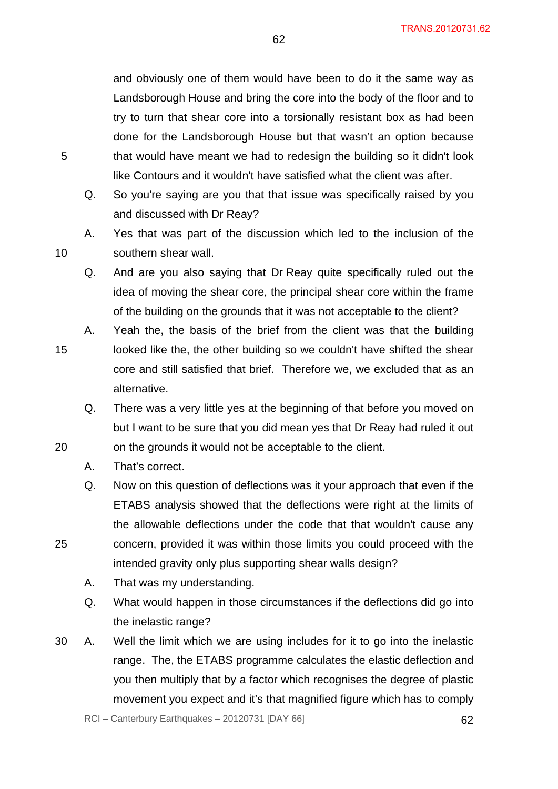and obviously one of them would have been to do it the same way as Landsborough House and bring the core into the body of the floor and to try to turn that shear core into a torsionally resistant box as had been done for the Landsborough House but that wasn't an option because that would have meant we had to redesign the building so it didn't look like Contours and it wouldn't have satisfied what the client was after.

62

- Q. So you're saying are you that that issue was specifically raised by you and discussed with Dr Reay?
- A. Yes that was part of the discussion which led to the inclusion of the southern shear wall.
- Q. And are you also saying that Dr Reay quite specifically ruled out the idea of moving the shear core, the principal shear core within the frame of the building on the grounds that it was not acceptable to the client?
- 15 A. Yeah the, the basis of the brief from the client was that the building looked like the, the other building so we couldn't have shifted the shear core and still satisfied that brief. Therefore we, we excluded that as an alternative.
	- Q. There was a very little yes at the beginning of that before you moved on but I want to be sure that you did mean yes that Dr Reay had ruled it out on the grounds it would not be acceptable to the client.
	- A. That's correct.
	- Q. Now on this question of deflections was it your approach that even if the ETABS analysis showed that the deflections were right at the limits of the allowable deflections under the code that that wouldn't cause any concern, provided it was within those limits you could proceed with the intended gravity only plus supporting shear walls design?
		- A. That was my understanding.
		- Q. What would happen in those circumstances if the deflections did go into the inelastic range?
- 30 A. Well the limit which we are using includes for it to go into the inelastic range. The, the ETABS programme calculates the elastic deflection and you then multiply that by a factor which recognises the degree of plastic movement you expect and it's that magnified figure which has to comply

5

10

20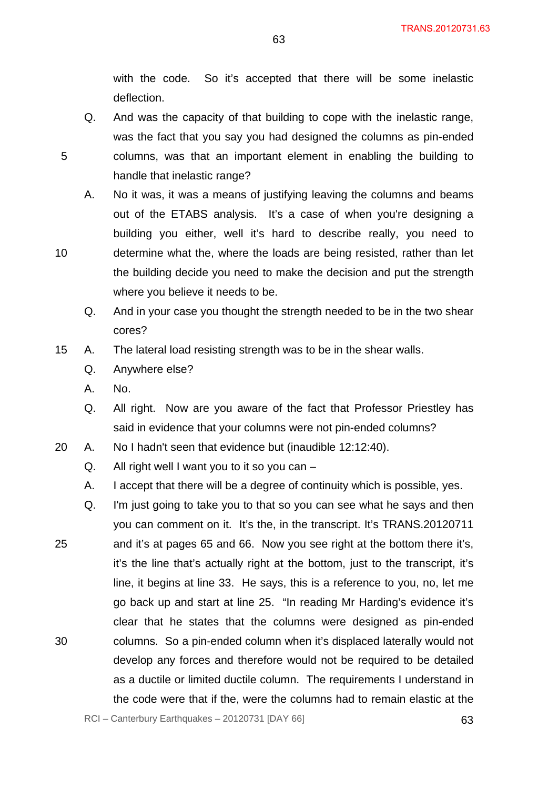with the code. So it's accepted that there will be some inelastic deflection.

63

- Q. And was the capacity of that building to cope with the inelastic range, was the fact that you say you had designed the columns as pin-ended columns, was that an important element in enabling the building to handle that inelastic range?
- A. No it was, it was a means of justifying leaving the columns and beams out of the ETABS analysis. It's a case of when you're designing a building you either, well it's hard to describe really, you need to determine what the, where the loads are being resisted, rather than let the building decide you need to make the decision and put the strength where you believe it needs to be.
	- Q. And in your case you thought the strength needed to be in the two shear cores?
- 15 A. The lateral load resisting strength was to be in the shear walls.
	- Q. Anywhere else?
	- A. No.
	- Q. All right. Now are you aware of the fact that Professor Priestley has said in evidence that your columns were not pin-ended columns?
- 20 A. No I hadn't seen that evidence but (inaudible 12:12:40).
	- Q. All right well I want you to it so you can –
	- A. I accept that there will be a degree of continuity which is possible, yes.
- 25 30 Q. I'm just going to take you to that so you can see what he says and then you can comment on it. It's the, in the transcript. It's TRANS.20120711 and it's at pages 65 and 66. Now you see right at the bottom there it's, it's the line that's actually right at the bottom, just to the transcript, it's line, it begins at line 33. He says, this is a reference to you, no, let me go back up and start at line 25. "In reading Mr Harding's evidence it's clear that he states that the columns were designed as pin-ended columns. So a pin-ended column when it's displaced laterally would not develop any forces and therefore would not be required to be detailed as a ductile or limited ductile column. The requirements I understand in the code were that if the, were the columns had to remain elastic at the

5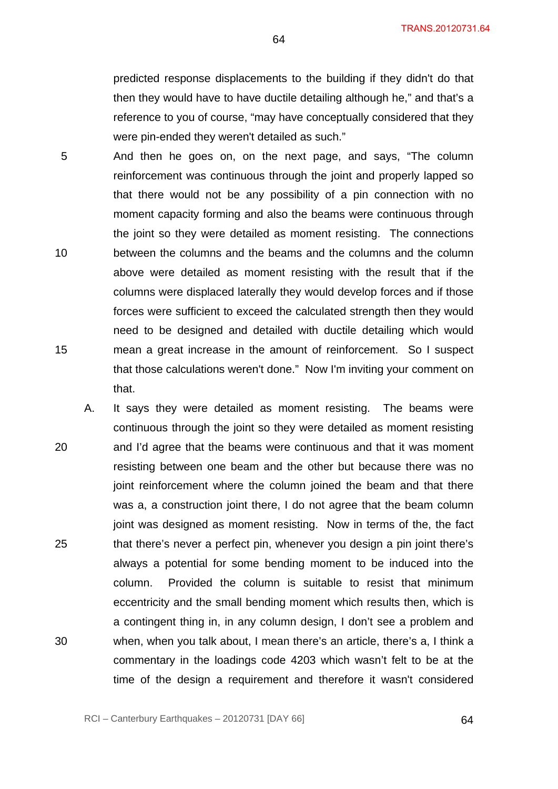predicted response displacements to the building if they didn't do that then they would have to have ductile detailing although he," and that's a reference to you of course, "may have conceptually considered that they were pin-ended they weren't detailed as such."

- 5 10 15 And then he goes on, on the next page, and says, "The column reinforcement was continuous through the joint and properly lapped so that there would not be any possibility of a pin connection with no moment capacity forming and also the beams were continuous through the joint so they were detailed as moment resisting. The connections between the columns and the beams and the columns and the column above were detailed as moment resisting with the result that if the columns were displaced laterally they would develop forces and if those forces were sufficient to exceed the calculated strength then they would need to be designed and detailed with ductile detailing which would mean a great increase in the amount of reinforcement. So I suspect that those calculations weren't done." Now I'm inviting your comment on that.
- 20 25 30 A. It says they were detailed as moment resisting. The beams were continuous through the joint so they were detailed as moment resisting and I'd agree that the beams were continuous and that it was moment resisting between one beam and the other but because there was no joint reinforcement where the column joined the beam and that there was a, a construction joint there, I do not agree that the beam column joint was designed as moment resisting. Now in terms of the, the fact that there's never a perfect pin, whenever you design a pin joint there's always a potential for some bending moment to be induced into the column. Provided the column is suitable to resist that minimum eccentricity and the small bending moment which results then, which is a contingent thing in, in any column design, I don't see a problem and when, when you talk about, I mean there's an article, there's a, I think a commentary in the loadings code 4203 which wasn't felt to be at the time of the design a requirement and therefore it wasn't considered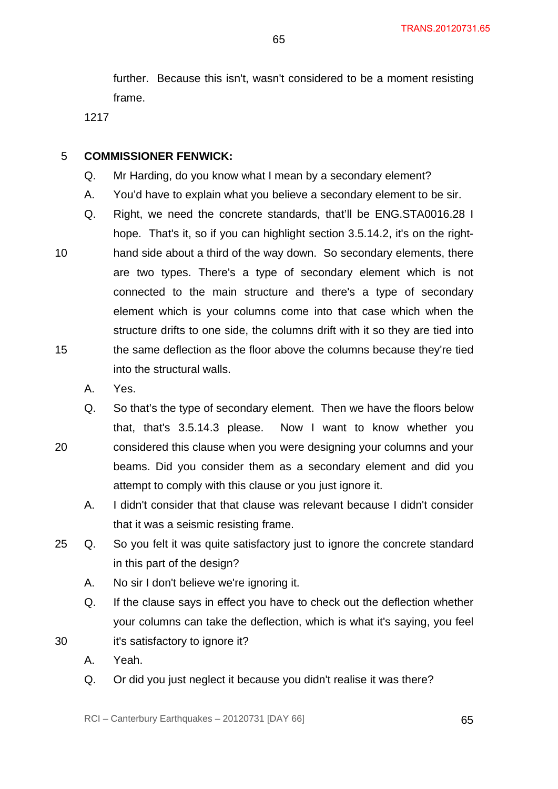further. Because this isn't, wasn't considered to be a moment resisting frame.

1217

#### 5 **COMMISSIONER FENWICK:**

- Q. Mr Harding, do you know what I mean by a secondary element?
- A. You'd have to explain what you believe a secondary element to be sir.
- 10 15 Q. Right, we need the concrete standards, that'll be ENG.STA0016.28 I hope. That's it, so if you can highlight section 3.5.14.2, it's on the righthand side about a third of the way down. So secondary elements, there are two types. There's a type of secondary element which is not connected to the main structure and there's a type of secondary element which is your columns come into that case which when the structure drifts to one side, the columns drift with it so they are tied into the same deflection as the floor above the columns because they're tied into the structural walls.
	- A. Yes.

- Q. So that's the type of secondary element. Then we have the floors below that, that's 3.5.14.3 please. Now I want to know whether you considered this clause when you were designing your columns and your beams. Did you consider them as a secondary element and did you attempt to comply with this clause or you just ignore it.
	- A. I didn't consider that that clause was relevant because I didn't consider that it was a seismic resisting frame.
- 25 Q. So you felt it was quite satisfactory just to ignore the concrete standard in this part of the design?
	- A. No sir I don't believe we're ignoring it.
	- Q. If the clause says in effect you have to check out the deflection whether your columns can take the deflection, which is what it's saying, you feel
- 30 it's satisfactory to ignore it?
	- A. Yeah.
	- Q. Or did you just neglect it because you didn't realise it was there?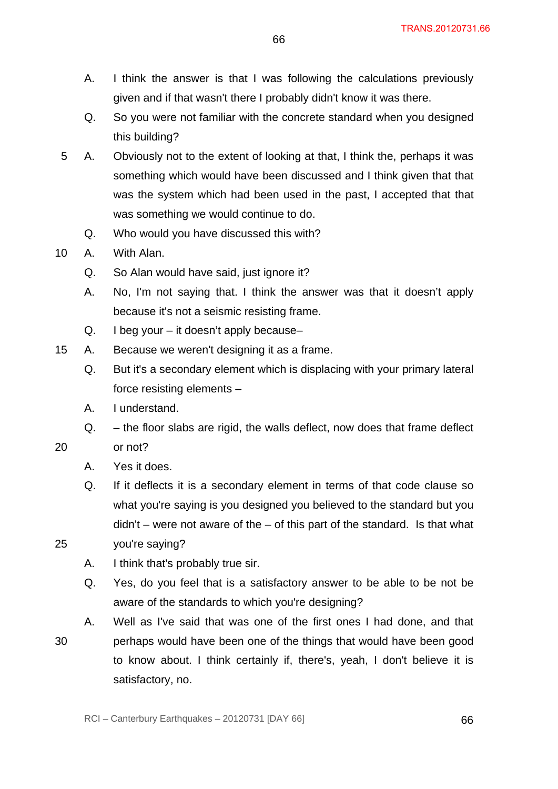- A. I think the answer is that I was following the calculations previously given and if that wasn't there I probably didn't know it was there.
- Q. So you were not familiar with the concrete standard when you designed this building?
- 5 A. Obviously not to the extent of looking at that, I think the, perhaps it was something which would have been discussed and I think given that that was the system which had been used in the past, I accepted that that was something we would continue to do.
	- Q. Who would you have discussed this with?
- 10 A. With Alan.
	- Q. So Alan would have said, just ignore it?
	- A. No, I'm not saying that. I think the answer was that it doesn't apply because it's not a seismic resisting frame.
	- Q. I beg your it doesn't apply because–
- 15 A. Because we weren't designing it as a frame.
	- Q. But it's a secondary element which is displacing with your primary lateral force resisting elements –
	- A. I understand.
	- Q. the floor slabs are rigid, the walls deflect, now does that frame deflect or not?
		- A. Yes it does.

- Q. If it deflects it is a secondary element in terms of that code clause so what you're saying is you designed you believed to the standard but you  $d$ didn't – were not aware of the – of this part of the standard. Is that what
- 25 you're saying?
	- A. I think that's probably true sir.
	- Q. Yes, do you feel that is a satisfactory answer to be able to be not be aware of the standards to which you're designing?
	- A. Well as I've said that was one of the first ones I had done, and that perhaps would have been one of the things that would have been good to know about. I think certainly if, there's, yeah, I don't believe it is satisfactory, no.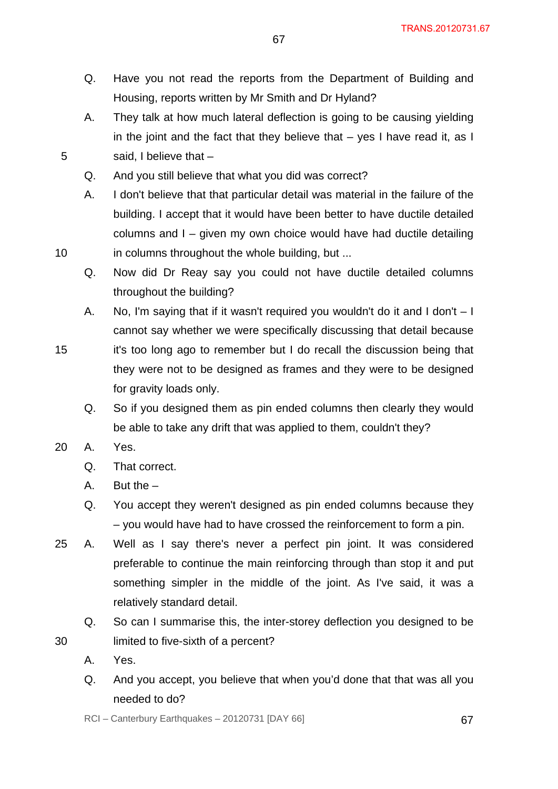- Q. Have you not read the reports from the Department of Building and Housing, reports written by Mr Smith and Dr Hyland?
- A. They talk at how much lateral deflection is going to be causing yielding in the joint and the fact that they believe that  $-$  yes I have read it, as I said, I believe that –
- Q. And you still believe that what you did was correct?
- A. I don't believe that that particular detail was material in the failure of the building. I accept that it would have been better to have ductile detailed columns and I – given my own choice would have had ductile detailing in columns throughout the whole building, but ...
- Q. Now did Dr Reay say you could not have ductile detailed columns throughout the building?
- A. No, I'm saying that if it wasn't required you wouldn't do it and I don't I cannot say whether we were specifically discussing that detail because it's too long ago to remember but I do recall the discussion being that they were not to be designed as frames and they were to be designed for gravity loads only.
	- Q. So if you designed them as pin ended columns then clearly they would be able to take any drift that was applied to them, couldn't they?
- 20 A. Yes.

10

15

- Q. That correct.
- A. But the –
- Q. You accept they weren't designed as pin ended columns because they – you would have had to have crossed the reinforcement to form a pin.
- 25 A. Well as I say there's never a perfect pin joint. It was considered preferable to continue the main reinforcing through than stop it and put something simpler in the middle of the joint. As I've said, it was a relatively standard detail.
	- Q. So can I summarise this, the inter-storey deflection you designed to be
	- limited to five-sixth of a percent?
		- A. Yes.

30

Q. And you accept, you believe that when you'd done that that was all you needed to do?

 $RCI - Canterbury Earthquakes - 20120731 [DAY 66]$  67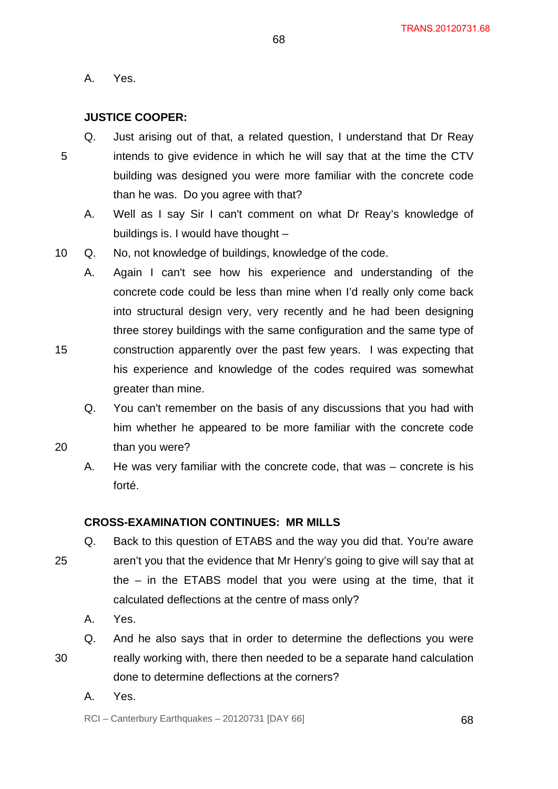A. Yes.

# **JUSTICE COOPER:**

5 Q. Just arising out of that, a related question, I understand that Dr Reay intends to give evidence in which he will say that at the time the CTV building was designed you were more familiar with the concrete code than he was. Do you agree with that?

68

- A. Well as I say Sir I can't comment on what Dr Reay's knowledge of buildings is. I would have thought –
- 10 Q. No, not knowledge of buildings, knowledge of the code.
	- A. Again I can't see how his experience and understanding of the concrete code could be less than mine when I'd really only come back into structural design very, very recently and he had been designing three storey buildings with the same configuration and the same type of construction apparently over the past few years. I was expecting that his experience and knowledge of the codes required was somewhat greater than mine.
		- Q. You can't remember on the basis of any discussions that you had with him whether he appeared to be more familiar with the concrete code
- 20 than you were?
	- A. He was very familiar with the concrete code, that was concrete is his forté.

# **CROSS-EXAMINATION CONTINUES: MR MILLS**

- 25 Q. Back to this question of ETABS and the way you did that. You're aware aren't you that the evidence that Mr Henry's going to give will say that at the – in the ETABS model that you were using at the time, that it calculated deflections at the centre of mass only?
	- A. Yes.

30

- Q. And he also says that in order to determine the deflections you were really working with, there then needed to be a separate hand calculation done to determine deflections at the corners?
	- A. Yes.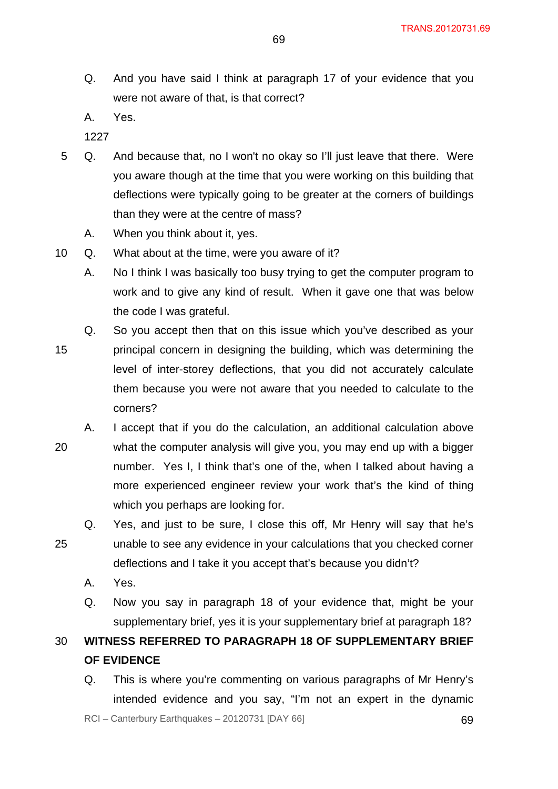- Q. And you have said I think at paragraph 17 of your evidence that you were not aware of that, is that correct?
- A. Yes.
- 1227
- 5 Q. And because that, no I won't no okay so I'll just leave that there. Were you aware though at the time that you were working on this building that deflections were typically going to be greater at the corners of buildings than they were at the centre of mass?
	- A. When you think about it, yes.
- 10 Q. What about at the time, were you aware of it?
	- A. No I think I was basically too busy trying to get the computer program to work and to give any kind of result. When it gave one that was below the code I was grateful.
- 15 Q. So you accept then that on this issue which you've described as your principal concern in designing the building, which was determining the level of inter-storey deflections, that you did not accurately calculate them because you were not aware that you needed to calculate to the corners?
- 20 A. I accept that if you do the calculation, an additional calculation above what the computer analysis will give you, you may end up with a bigger number. Yes I, I think that's one of the, when I talked about having a more experienced engineer review your work that's the kind of thing which you perhaps are looking for.
- 25 Q. Yes, and just to be sure, I close this off, Mr Henry will say that he's unable to see any evidence in your calculations that you checked corner deflections and I take it you accept that's because you didn't?
	- A. Yes.
	- Q. Now you say in paragraph 18 of your evidence that, might be your supplementary brief, yes it is your supplementary brief at paragraph 18?

30 **WITNESS REFERRED TO PARAGRAPH 18 OF SUPPLEMENTARY BRIEF OF EVIDENCE** 

Q. This is where you're commenting on various paragraphs of Mr Henry's intended evidence and you say, "I'm not an expert in the dynamic

 $RCI - Canterbury Earthquakes - 20120731 [DAY 66]$  69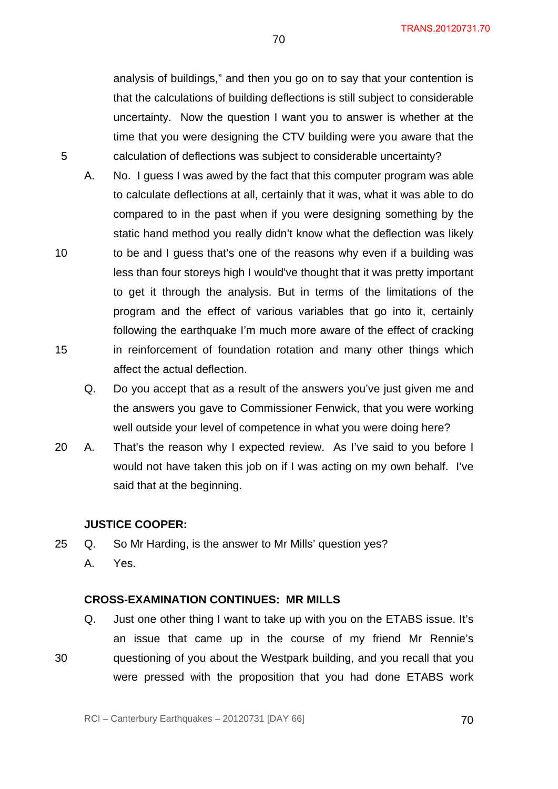analysis of buildings," and then you go on to say that your contention is that the calculations of building deflections is still subject to considerable uncertainty. Now the question I want you to answer is whether at the time that you were designing the CTV building were you aware that the 5 calculation of deflections was subject to considerable uncertainty?

- A. No. I guess I was awed by the fact that this computer program was able to calculate deflections at all, certainly that it was, what it was able to do compared to in the past when if you were designing something by the static hand method you really didn't know what the deflection was likely 10 to be and I guess that's one of the reasons why even if a building was less than four storeys high I would've thought that it was pretty important to get it through the analysis. But in terms of the limitations of the program and the effect of various variables that go into it, certainly following the earthquake I'm much more aware of the effect of cracking 15 in reinforcement of foundation rotation and many other things which affect the actual deflection.
	- Q. Do you accept that as a result of the answers you've just given me and the answers you gave to Commissioner Fenwick, that you were working well outside your level of competence in what you were doing here?
- 20 A. That's the reason why I expected review. As I've said to you before I would not have taken this job on if I was acting on my own behalf. I've said that at the beginning.

#### **JUSTICE COOPER:**

- 25 Q. So Mr Harding, is the answer to Mr Mills' question yes?
	- A. Yes.

## **CROSS-EXAMINATION CONTINUES: MR MILLS**

Q. Just one other thing I want to take up with you on the ETABS issue. It's an issue that came up in the course of my friend Mr Rennie's 30 questioning of you about the Westpark building, and you recall that you were pressed with the proposition that you had done ETABS work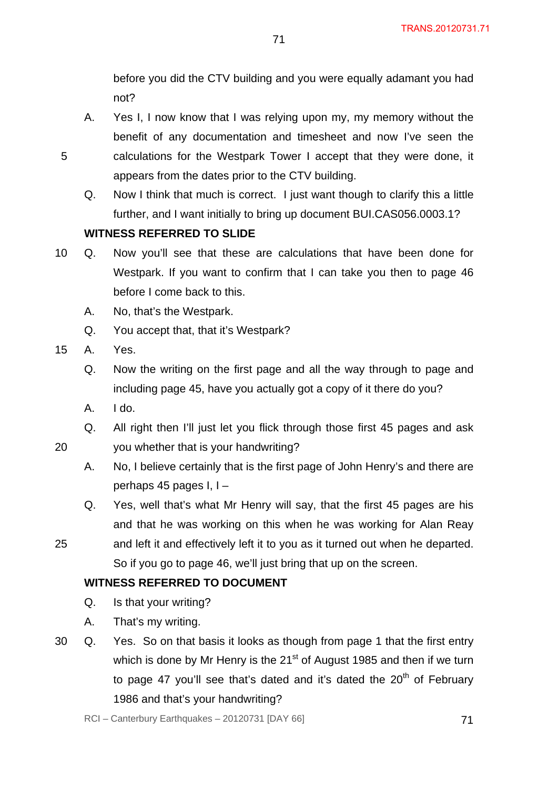before you did the CTV building and you were equally adamant you had not?

- A. Yes I, I now know that I was relying upon my, my memory without the benefit of any documentation and timesheet and now I've seen the calculations for the Westpark Tower I accept that they were done, it appears from the dates prior to the CTV building.
- Q. Now I think that much is correct. I just want though to clarify this a little further, and I want initially to bring up document BUI.CAS056.0003.1?

# **WITNESS REFERRED TO SLIDE**

- 10 Q. Now you'll see that these are calculations that have been done for Westpark. If you want to confirm that I can take you then to page 46 before I come back to this.
	- A. No, that's the Westpark.
	- Q. You accept that, that it's Westpark?
- 15 A. Yes.

20

5

- Q. Now the writing on the first page and all the way through to page and including page 45, have you actually got a copy of it there do you?
- A. I do.
- Q. All right then I'll just let you flick through those first 45 pages and ask you whether that is your handwriting?
- A. No, I believe certainly that is the first page of John Henry's and there are perhaps 45 pages I, I –
- Q. Yes, well that's what Mr Henry will say, that the first 45 pages are his and that he was working on this when he was working for Alan Reay
- 25 and left it and effectively left it to you as it turned out when he departed. So if you go to page 46, we'll just bring that up on the screen.

# **WITNESS REFERRED TO DOCUMENT**

- Q. Is that your writing?
- A. That's my writing.
- 30 Q. Yes. So on that basis it looks as though from page 1 that the first entry which is done by Mr Henry is the 21<sup>st</sup> of August 1985 and then if we turn to page 47 you'll see that's dated and it's dated the  $20<sup>th</sup>$  of February 1986 and that's your handwriting?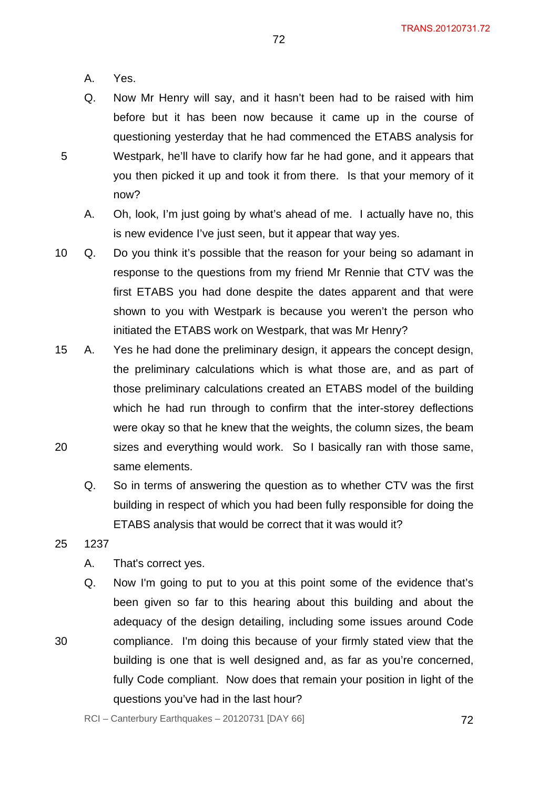A. Yes.

5

- Q. Now Mr Henry will say, and it hasn't been had to be raised with him before but it has been now because it came up in the course of questioning yesterday that he had commenced the ETABS analysis for Westpark, he'll have to clarify how far he had gone, and it appears that you then picked it up and took it from there. Is that your memory of it now?
	- A. Oh, look, I'm just going by what's ahead of me. I actually have no, this is new evidence I've just seen, but it appear that way yes.
- 10 Q. Do you think it's possible that the reason for your being so adamant in response to the questions from my friend Mr Rennie that CTV was the first ETABS you had done despite the dates apparent and that were shown to you with Westpark is because you weren't the person who initiated the ETABS work on Westpark, that was Mr Henry?
- 20 15 A. Yes he had done the preliminary design, it appears the concept design, the preliminary calculations which is what those are, and as part of those preliminary calculations created an ETABS model of the building which he had run through to confirm that the inter-storey deflections were okay so that he knew that the weights, the column sizes, the beam sizes and everything would work. So I basically ran with those same, same elements.
	- Q. So in terms of answering the question as to whether CTV was the first building in respect of which you had been fully responsible for doing the ETABS analysis that would be correct that it was would it?
- 25 1237

- A. That's correct yes.
- Q. Now I'm going to put to you at this point some of the evidence that's been given so far to this hearing about this building and about the adequacy of the design detailing, including some issues around Code compliance. I'm doing this because of your firmly stated view that the building is one that is well designed and, as far as you're concerned, fully Code compliant. Now does that remain your position in light of the questions you've had in the last hour?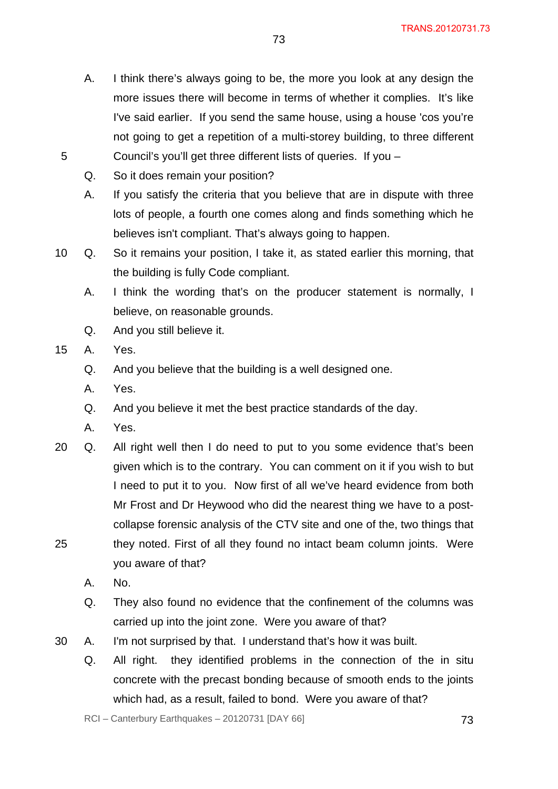- A. I think there's always going to be, the more you look at any design the more issues there will become in terms of whether it complies. It's like I've said earlier. If you send the same house, using a house 'cos you're not going to get a repetition of a multi-storey building, to three different Council's you'll get three different lists of queries. If you –
- Q. So it does remain your position?
- A. If you satisfy the criteria that you believe that are in dispute with three lots of people, a fourth one comes along and finds something which he believes isn't compliant. That's always going to happen.
- 10 Q. So it remains your position, I take it, as stated earlier this morning, that the building is fully Code compliant.
	- A. I think the wording that's on the producer statement is normally, I believe, on reasonable grounds.
	- Q. And you still believe it.
- 15 A. Yes.

- Q. And you believe that the building is a well designed one.
- A. Yes.
- Q. And you believe it met the best practice standards of the day.
- A. Yes.
- 25 20 Q. All right well then I do need to put to you some evidence that's been given which is to the contrary. You can comment on it if you wish to but I need to put it to you. Now first of all we've heard evidence from both Mr Frost and Dr Heywood who did the nearest thing we have to a postcollapse forensic analysis of the CTV site and one of the, two things that they noted. First of all they found no intact beam column joints. Were you aware of that?
	- A. No.
	- Q. They also found no evidence that the confinement of the columns was carried up into the joint zone. Were you aware of that?
- 30 A. I'm not surprised by that. I understand that's how it was built.
	- Q. All right. they identified problems in the connection of the in situ concrete with the precast bonding because of smooth ends to the joints which had, as a result, failed to bond. Were you aware of that?

 $RCI - Canterbury Earthquakes - 20120731 [DAY 66]$  73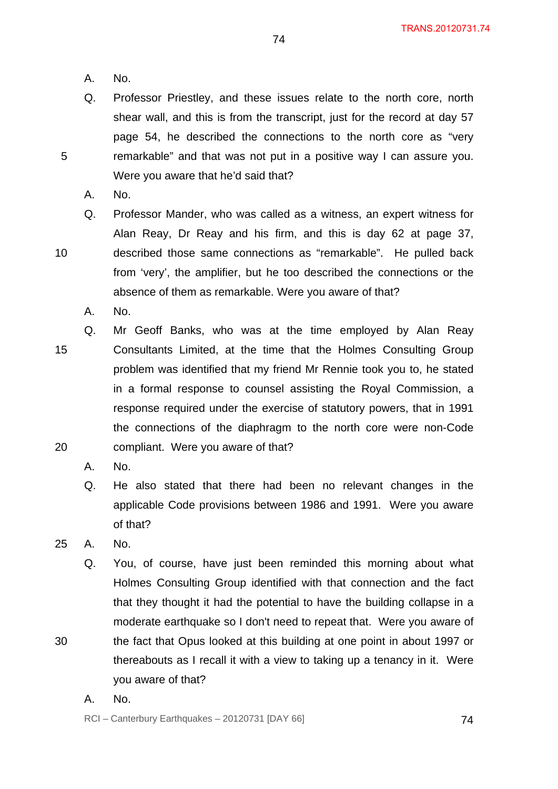- A. No.
- Q. Professor Priestley, and these issues relate to the north core, north shear wall, and this is from the transcript, just for the record at day 57 page 54, he described the connections to the north core as "very remarkable" and that was not put in a positive way I can assure you. Were you aware that he'd said that?

A. No.

5

10

- Q. Professor Mander, who was called as a witness, an expert witness for Alan Reay, Dr Reay and his firm, and this is day 62 at page 37, described those same connections as "remarkable". He pulled back from 'very', the amplifier, but he too described the connections or the absence of them as remarkable. Were you aware of that?
	- A. No.
- 15 20 Q. Mr Geoff Banks, who was at the time employed by Alan Reay Consultants Limited, at the time that the Holmes Consulting Group problem was identified that my friend Mr Rennie took you to, he stated in a formal response to counsel assisting the Royal Commission, a response required under the exercise of statutory powers, that in 1991 the connections of the diaphragm to the north core were non-Code compliant. Were you aware of that?
	- A. No.
	- Q. He also stated that there had been no relevant changes in the applicable Code provisions between 1986 and 1991. Were you aware of that?
- 25 A. No.

- Q. You, of course, have just been reminded this morning about what Holmes Consulting Group identified with that connection and the fact that they thought it had the potential to have the building collapse in a moderate earthquake so I don't need to repeat that. Were you aware of the fact that Opus looked at this building at one point in about 1997 or thereabouts as I recall it with a view to taking up a tenancy in it. Were
	- you aware of that?
- A. No.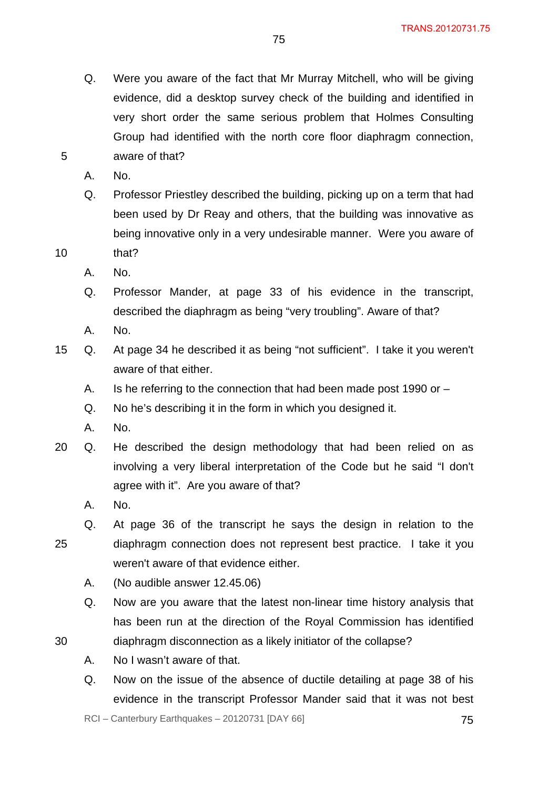Q. Were you aware of the fact that Mr Murray Mitchell, who will be giving evidence, did a desktop survey check of the building and identified in very short order the same serious problem that Holmes Consulting Group had identified with the north core floor diaphragm connection, aware of that?

75

A. No.

5

Q. Professor Priestley described the building, picking up on a term that had been used by Dr Reay and others, that the building was innovative as being innovative only in a very undesirable manner. Were you aware of

10 that?

- A. No.
- Q. Professor Mander, at page 33 of his evidence in the transcript, described the diaphragm as being "very troubling". Aware of that?
- A. No.
- 15 Q. At page 34 he described it as being "not sufficient". I take it you weren't aware of that either.
	- A. Is he referring to the connection that had been made post 1990 or –
	- Q. No he's describing it in the form in which you designed it.
	- A. No.
- 20 Q. He described the design methodology that had been relied on as involving a very liberal interpretation of the Code but he said "I don't agree with it". Are you aware of that?
	- A. No.
- 25 Q. At page 36 of the transcript he says the design in relation to the diaphragm connection does not represent best practice. I take it you weren't aware of that evidence either.
	- A. (No audible answer 12.45.06)
	- Q. Now are you aware that the latest non-linear time history analysis that has been run at the direction of the Royal Commission has identified
- 30 diaphragm disconnection as a likely initiator of the collapse?
	- A. No I wasn't aware of that.
	- Q. Now on the issue of the absence of ductile detailing at page 38 of his evidence in the transcript Professor Mander said that it was not best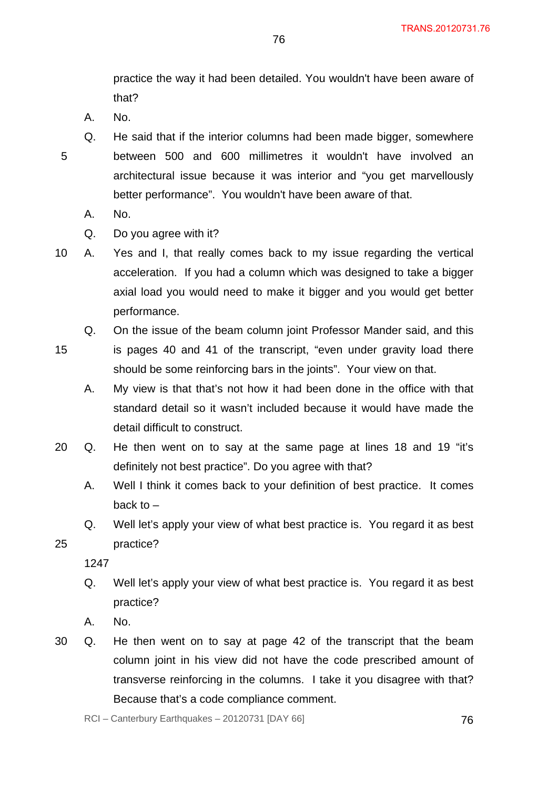practice the way it had been detailed. You wouldn't have been aware of that?

A. No.

5

- Q. He said that if the interior columns had been made bigger, somewhere between 500 and 600 millimetres it wouldn't have involved an architectural issue because it was interior and "you get marvellously better performance". You wouldn't have been aware of that.
	- A. No.
	- Q. Do you agree with it?

10 A. Yes and I, that really comes back to my issue regarding the vertical acceleration. If you had a column which was designed to take a bigger axial load you would need to make it bigger and you would get better performance.

15 Q. On the issue of the beam column joint Professor Mander said, and this is pages 40 and 41 of the transcript, "even under gravity load there should be some reinforcing bars in the joints". Your view on that.

A. My view is that that's not how it had been done in the office with that standard detail so it wasn't included because it would have made the detail difficult to construct.

- 20 Q. He then went on to say at the same page at lines 18 and 19 "it's definitely not best practice". Do you agree with that?
	- A. Well I think it comes back to your definition of best practice. It comes back to  $-$
	- Q. Well let's apply your view of what best practice is. You regard it as best practice?
	- 1247

25

- Q. Well let's apply your view of what best practice is. You regard it as best practice?
- A. No.
- 30 Q. He then went on to say at page 42 of the transcript that the beam column joint in his view did not have the code prescribed amount of transverse reinforcing in the columns. I take it you disagree with that? Because that's a code compliance comment.

 $RCI - Canterbury Earthquakes - 20120731 [DAY 66]$  76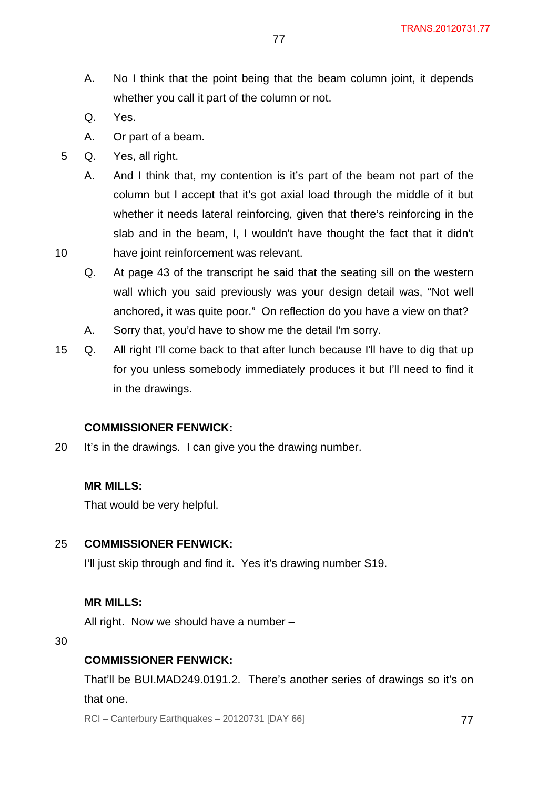- A. No I think that the point being that the beam column joint, it depends whether you call it part of the column or not.
- Q. Yes.

- A. Or part of a beam.
- 5 Q. Yes, all right.
	- A. And I think that, my contention is it's part of the beam not part of the column but I accept that it's got axial load through the middle of it but whether it needs lateral reinforcing, given that there's reinforcing in the slab and in the beam, I, I wouldn't have thought the fact that it didn't have joint reinforcement was relevant.
	- Q. At page 43 of the transcript he said that the seating sill on the western wall which you said previously was your design detail was, "Not well anchored, it was quite poor." On reflection do you have a view on that?
	- A. Sorry that, you'd have to show me the detail I'm sorry.
- 15 Q. All right I'll come back to that after lunch because I'll have to dig that up for you unless somebody immediately produces it but I'll need to find it in the drawings.

#### **COMMISSIONER FENWICK:**

20 It's in the drawings. I can give you the drawing number.

#### **MR MILLS:**

That would be very helpful.

#### 25 **COMMISSIONER FENWICK:**

I'll just skip through and find it. Yes it's drawing number S19.

#### **MR MILLS:**

All right. Now we should have a number –

30

#### **COMMISSIONER FENWICK:**

That'll be BUI.MAD249.0191.2. There's another series of drawings so it's on that one.

 $RCI - Canterbury Earthquakes - 20120731 [DAY 66]$  77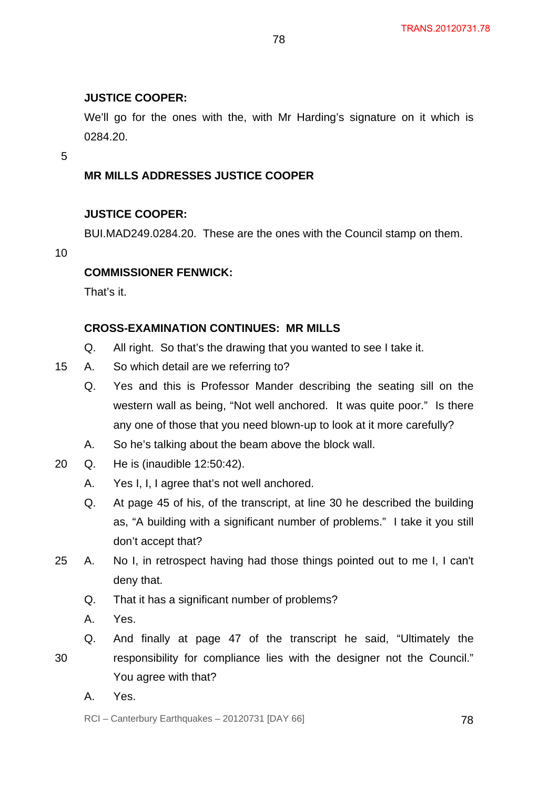#### **JUSTICE COOPER:**

We'll go for the ones with the, with Mr Harding's signature on it which is 0284.20.

78

5

# **MR MILLS ADDRESSES JUSTICE COOPER**

#### **JUSTICE COOPER:**

BUI.MAD249.0284.20. These are the ones with the Council stamp on them.

10

# **COMMISSIONER FENWICK:**

That's it.

#### **CROSS-EXAMINATION CONTINUES: MR MILLS**

- Q. All right. So that's the drawing that you wanted to see I take it.
- 15 A. So which detail are we referring to?
	- Q. Yes and this is Professor Mander describing the seating sill on the western wall as being, "Not well anchored. It was quite poor." Is there any one of those that you need blown-up to look at it more carefully?
	- A. So he's talking about the beam above the block wall.
- 20 Q. He is (inaudible 12:50:42).
	- A. Yes I, I, I agree that's not well anchored.
	- Q. At page 45 of his, of the transcript, at line 30 he described the building as, "A building with a significant number of problems." I take it you still don't accept that?
- 25 A. No I, in retrospect having had those things pointed out to me I, I can't deny that.
	- Q. That it has a significant number of problems?
	- A. Yes.
- 30 Q. And finally at page 47 of the transcript he said, "Ultimately the responsibility for compliance lies with the designer not the Council." You agree with that?
	- A. Yes.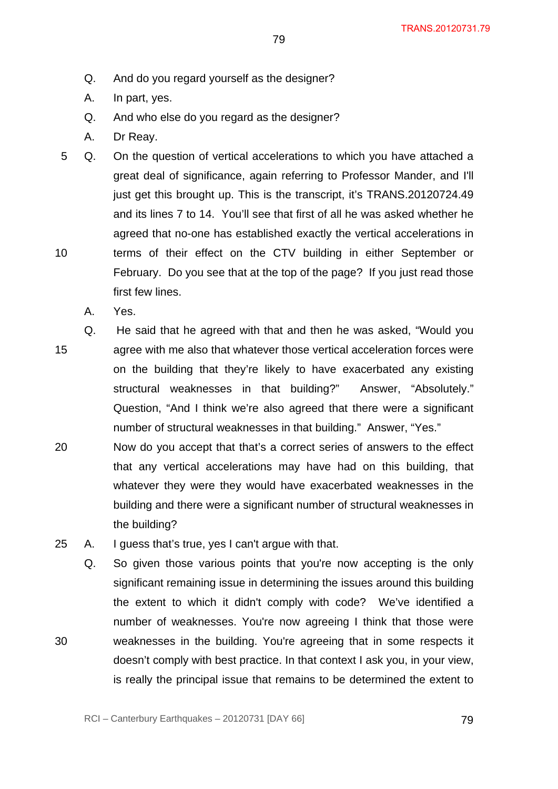- Q. And do you regard yourself as the designer?
- A. In part, yes.
- Q. And who else do you regard as the designer?
- A. Dr Reay.
- 10 5 Q. On the question of vertical accelerations to which you have attached a great deal of significance, again referring to Professor Mander, and I'll just get this brought up. This is the transcript, it's TRANS.20120724.49 and its lines 7 to 14. You'll see that first of all he was asked whether he agreed that no-one has established exactly the vertical accelerations in terms of their effect on the CTV building in either September or February. Do you see that at the top of the page? If you just read those first few lines.
	- A. Yes.

15 Q. He said that he agreed with that and then he was asked, "Would you agree with me also that whatever those vertical acceleration forces were on the building that they're likely to have exacerbated any existing structural weaknesses in that building?" Answer, "Absolutely." Question, "And I think we're also agreed that there were a significant number of structural weaknesses in that building." Answer, "Yes."

- 20 Now do you accept that that's a correct series of answers to the effect that any vertical accelerations may have had on this building, that whatever they were they would have exacerbated weaknesses in the building and there were a significant number of structural weaknesses in the building?
- 25 A. I guess that's true, yes I can't argue with that.
	- Q. So given those various points that you're now accepting is the only significant remaining issue in determining the issues around this building the extent to which it didn't comply with code? We've identified a number of weaknesses. You're now agreeing I think that those were weaknesses in the building. You're agreeing that in some respects it doesn't comply with best practice. In that context I ask you, in your view, is really the principal issue that remains to be determined the extent to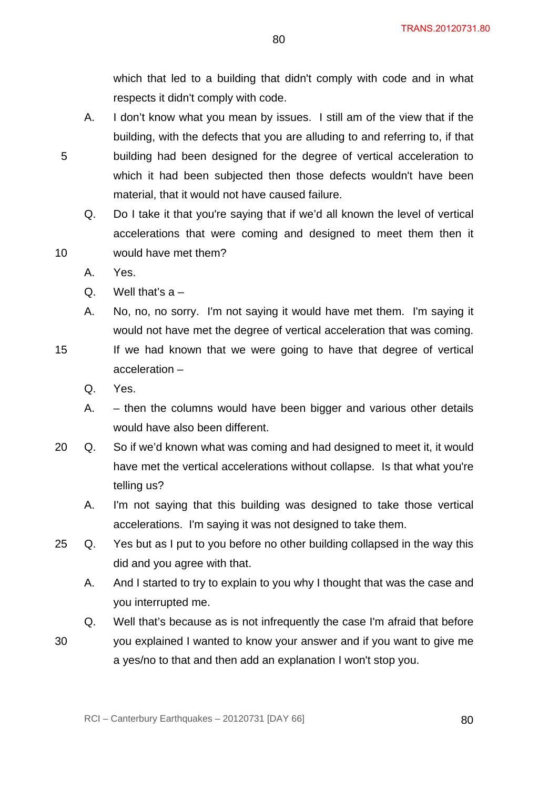which that led to a building that didn't comply with code and in what respects it didn't comply with code.

80

- A. I don't know what you mean by issues. I still am of the view that if the building, with the defects that you are alluding to and referring to, if that building had been designed for the degree of vertical acceleration to which it had been subjected then those defects wouldn't have been material, that it would not have caused failure.
- Q. Do I take it that you're saying that if we'd all known the level of vertical accelerations that were coming and designed to meet them then it would have met them?
- A. Yes.

5

10

- Q. Well that's  $a -$
- A. No, no, no sorry. I'm not saying it would have met them. I'm saying it would not have met the degree of vertical acceleration that was coming. If we had known that we were going to have that degree of vertical acceleration –
	- Q. Yes.
	- A. then the columns would have been bigger and various other details would have also been different.
- 20 Q. So if we'd known what was coming and had designed to meet it, it would have met the vertical accelerations without collapse. Is that what you're telling us?
	- A. I'm not saying that this building was designed to take those vertical accelerations. I'm saying it was not designed to take them.
- 25 Q. Yes but as I put to you before no other building collapsed in the way this did and you agree with that.
	- A. And I started to try to explain to you why I thought that was the case and you interrupted me.
	- Q. Well that's because as is not infrequently the case I'm afraid that before
- 30 you explained I wanted to know your answer and if you want to give me a yes/no to that and then add an explanation I won't stop you.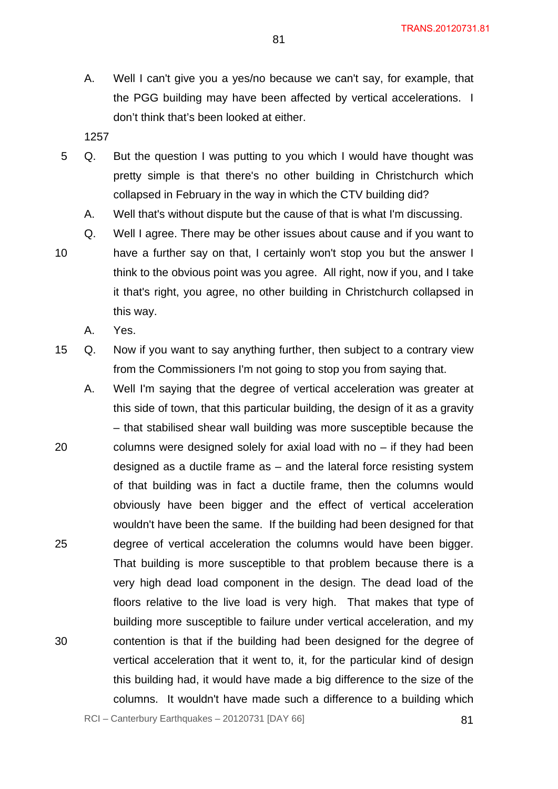A. Well I can't give you a yes/no because we can't say, for example, that the PGG building may have been affected by vertical accelerations. I don't think that's been looked at either.

- 5 Q. But the question I was putting to you which I would have thought was pretty simple is that there's no other building in Christchurch which collapsed in February in the way in which the CTV building did?
	- A. Well that's without dispute but the cause of that is what I'm discussing.
- 10 Q. Well I agree. There may be other issues about cause and if you want to have a further say on that, I certainly won't stop you but the answer I think to the obvious point was you agree. All right, now if you, and I take it that's right, you agree, no other building in Christchurch collapsed in this way.
	- A. Yes.
- 15 Q. Now if you want to say anything further, then subject to a contrary view from the Commissioners I'm not going to stop you from saying that.
- 20 25 30 A. Well I'm saying that the degree of vertical acceleration was greater at this side of town, that this particular building, the design of it as a gravity – that stabilised shear wall building was more susceptible because the columns were designed solely for axial load with no – if they had been designed as a ductile frame as – and the lateral force resisting system of that building was in fact a ductile frame, then the columns would obviously have been bigger and the effect of vertical acceleration wouldn't have been the same. If the building had been designed for that degree of vertical acceleration the columns would have been bigger. That building is more susceptible to that problem because there is a very high dead load component in the design. The dead load of the floors relative to the live load is very high. That makes that type of building more susceptible to failure under vertical acceleration, and my contention is that if the building had been designed for the degree of vertical acceleration that it went to, it, for the particular kind of design this building had, it would have made a big difference to the size of the columns. It wouldn't have made such a difference to a building which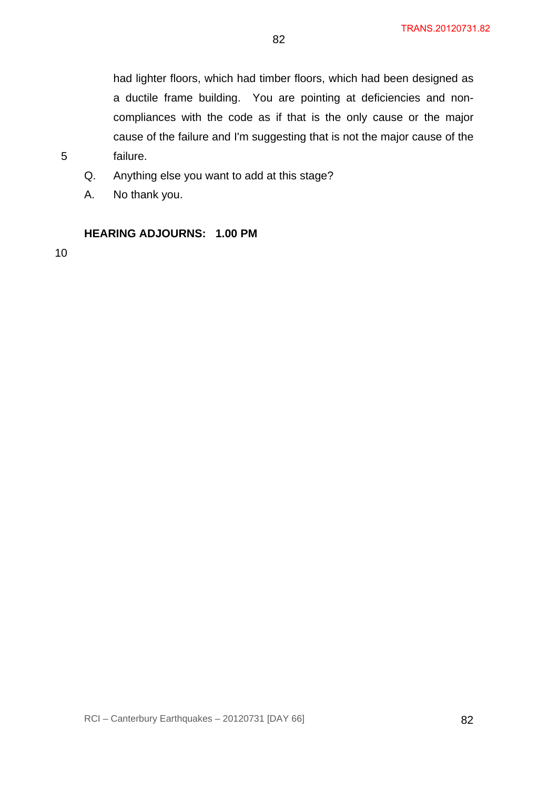had lighter floors, which had timber floors, which had been designed as a ductile frame building. You are pointing at deficiencies and noncompliances with the code as if that is the only cause or the major cause of the failure and I'm suggesting that is not the major cause of the failure.

- Q. Anything else you want to add at this stage?
- A. No thank you.

# **HEARING ADJOURNS: 1.00 PM**

10

5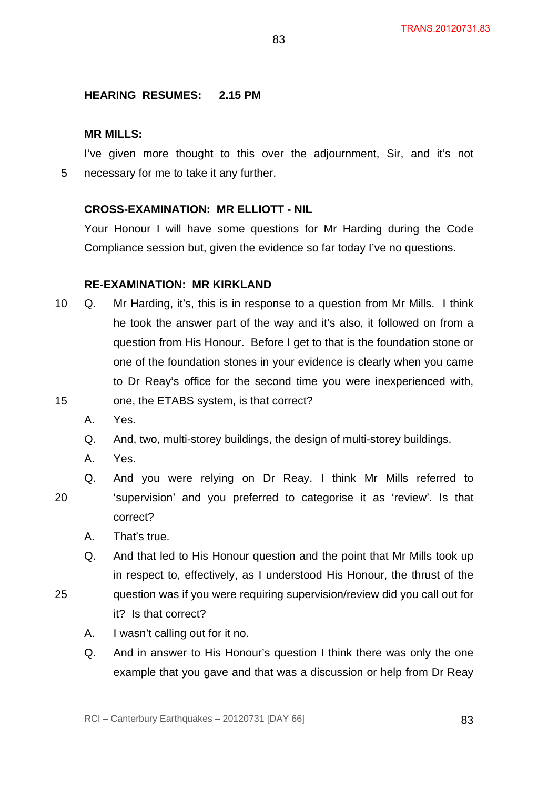# **HEARING RESUMES: 2.15 PM**

#### **MR MILLS:**

5 I've given more thought to this over the adjournment, Sir, and it's not necessary for me to take it any further.

83

#### **CROSS-EXAMINATION: MR ELLIOTT - NIL**

Your Honour I will have some questions for Mr Harding during the Code Compliance session but, given the evidence so far today I've no questions.

#### **RE-EXAMINATION: MR KIRKLAND**

- 15 10 Q. Mr Harding, it's, this is in response to a question from Mr Mills. I think he took the answer part of the way and it's also, it followed on from a question from His Honour. Before I get to that is the foundation stone or one of the foundation stones in your evidence is clearly when you came to Dr Reay's office for the second time you were inexperienced with, one, the ETABS system, is that correct?
	- A. Yes.
	- Q. And, two, multi-storey buildings, the design of multi-storey buildings.
	- A. Yes.

- 20 Q. And you were relying on Dr Reay. I think Mr Mills referred to 'supervision' and you preferred to categorise it as 'review'. Is that correct?
	- A. That's true.
	- Q. And that led to His Honour question and the point that Mr Mills took up in respect to, effectively, as I understood His Honour, the thrust of the question was if you were requiring supervision/review did you call out for it? Is that correct?
		- A. I wasn't calling out for it no.
		- Q. And in answer to His Honour's question I think there was only the one example that you gave and that was a discussion or help from Dr Reay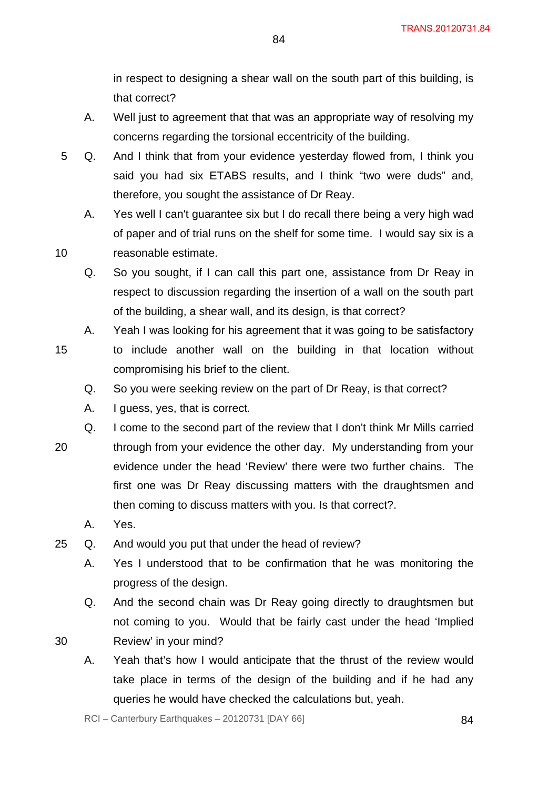in respect to designing a shear wall on the south part of this building, is that correct?

A. Well just to agreement that that was an appropriate way of resolving my concerns regarding the torsional eccentricity of the building.

84

- 5 Q. And I think that from your evidence yesterday flowed from, I think you said you had six ETABS results, and I think "two were duds" and, therefore, you sought the assistance of Dr Reay.
	- A. Yes well I can't guarantee six but I do recall there being a very high wad of paper and of trial runs on the shelf for some time. I would say six is a reasonable estimate.
	- Q. So you sought, if I can call this part one, assistance from Dr Reay in respect to discussion regarding the insertion of a wall on the south part of the building, a shear wall, and its design, is that correct?
- 15 A. Yeah I was looking for his agreement that it was going to be satisfactory to include another wall on the building in that location without compromising his brief to the client.
	- Q. So you were seeking review on the part of Dr Reay, is that correct?
	- A. I guess, yes, that is correct.
- 20 Q. I come to the second part of the review that I don't think Mr Mills carried through from your evidence the other day. My understanding from your evidence under the head 'Review' there were two further chains. The first one was Dr Reay discussing matters with the draughtsmen and then coming to discuss matters with you. Is that correct?.
	- A. Yes.
- 25 Q. And would you put that under the head of review?
	- A. Yes I understood that to be confirmation that he was monitoring the progress of the design.
	- Q. And the second chain was Dr Reay going directly to draughtsmen but not coming to you. Would that be fairly cast under the head 'Implied
- 30

- Review' in your mind?
- A. Yeah that's how I would anticipate that the thrust of the review would take place in terms of the design of the building and if he had any queries he would have checked the calculations but, yeah.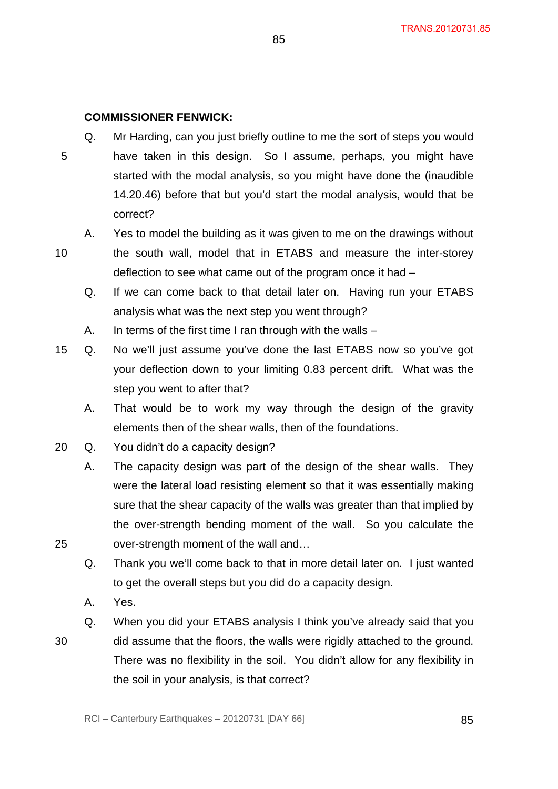# **COMMISSIONER FENWICK:**

5 Q. Mr Harding, can you just briefly outline to me the sort of steps you would have taken in this design. So I assume, perhaps, you might have started with the modal analysis, so you might have done the (inaudible 14.20.46) before that but you'd start the modal analysis, would that be correct?

85

- A. Yes to model the building as it was given to me on the drawings without the south wall, model that in ETABS and measure the inter-storey deflection to see what came out of the program once it had –
	- Q. If we can come back to that detail later on. Having run your ETABS analysis what was the next step you went through?
	- A. In terms of the first time I ran through with the walls –
- 15 Q. No we'll just assume you've done the last ETABS now so you've got your deflection down to your limiting 0.83 percent drift. What was the step you went to after that?
	- A. That would be to work my way through the design of the gravity elements then of the shear walls, then of the foundations.
- 20 Q. You didn't do a capacity design?
	- A. The capacity design was part of the design of the shear walls. They were the lateral load resisting element so that it was essentially making sure that the shear capacity of the walls was greater than that implied by the over-strength bending moment of the wall. So you calculate the over-strength moment of the wall and…
	- Q. Thank you we'll come back to that in more detail later on. I just wanted to get the overall steps but you did do a capacity design.
	- A. Yes.
	- Q. When you did your ETABS analysis I think you've already said that you
- 30

25

10

did assume that the floors, the walls were rigidly attached to the ground. There was no flexibility in the soil. You didn't allow for any flexibility in the soil in your analysis, is that correct?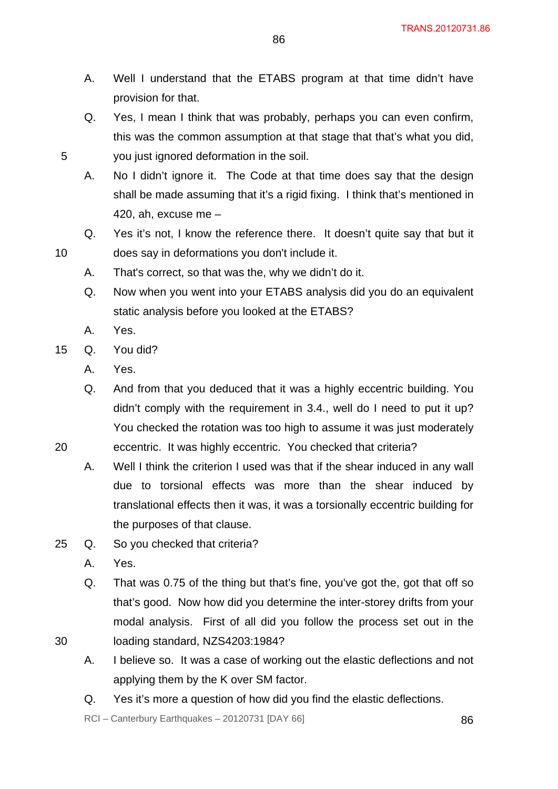- A. Well I understand that the ETABS program at that time didn't have provision for that.
- Q. Yes, I mean I think that was probably, perhaps you can even confirm, this was the common assumption at that stage that that's what you did, you just ignored deformation in the soil.
- A. No I didn't ignore it. The Code at that time does say that the design shall be made assuming that it's a rigid fixing. I think that's mentioned in 420, ah, excuse me –
- Q. Yes it's not, I know the reference there. It doesn't quite say that but it does say in deformations you don't include it.
- A. That's correct, so that was the, why we didn't do it.
- Q. Now when you went into your ETABS analysis did you do an equivalent static analysis before you looked at the ETABS?
- A. Yes.

10

- 15 Q. You did?
	- A. Yes.
	- Q. And from that you deduced that it was a highly eccentric building. You didn't comply with the requirement in 3.4., well do I need to put it up? You checked the rotation was too high to assume it was just moderately
- 20 eccentric. It was highly eccentric. You checked that criteria?
	- A. Well I think the criterion I used was that if the shear induced in any wall due to torsional effects was more than the shear induced by translational effects then it was, it was a torsionally eccentric building for the purposes of that clause.
- 25 Q. So you checked that criteria?
	- A. Yes.
	- Q. That was 0.75 of the thing but that's fine, you've got the, got that off so that's good. Now how did you determine the inter-storey drifts from your modal analysis. First of all did you follow the process set out in the loading standard, NZS4203:1984?
- 30
- 
- A. I believe so. It was a case of working out the elastic deflections and not applying them by the K over SM factor.
- Q. Yes it's more a question of how did you find the elastic deflections.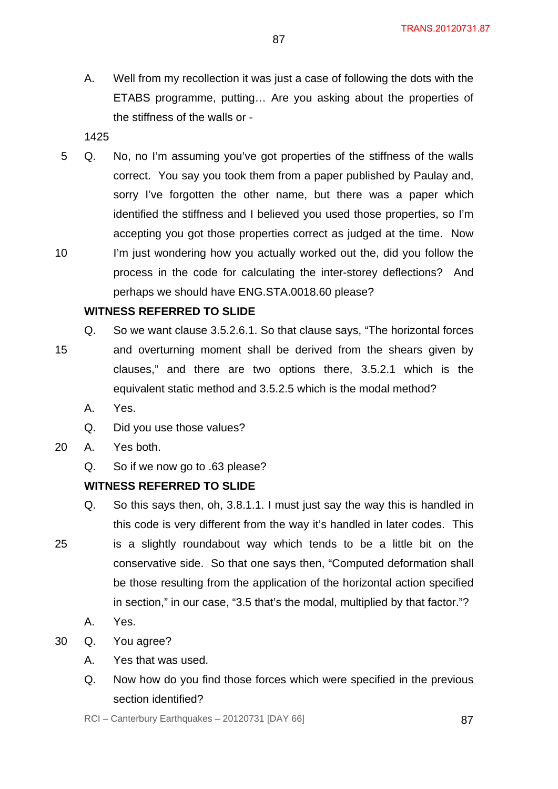A. Well from my recollection it was just a case of following the dots with the ETABS programme, putting… Are you asking about the properties of the stiffness of the walls or -

1425

10 5 Q. No, no I'm assuming you've got properties of the stiffness of the walls correct. You say you took them from a paper published by Paulay and, sorry I've forgotten the other name, but there was a paper which identified the stiffness and I believed you used those properties, so I'm accepting you got those properties correct as judged at the time. Now I'm just wondering how you actually worked out the, did you follow the process in the code for calculating the inter-storey deflections? And perhaps we should have ENG.STA.0018.60 please?

# **WITNESS REFERRED TO SLIDE**

- 15 Q. So we want clause 3.5.2.6.1. So that clause says, "The horizontal forces and overturning moment shall be derived from the shears given by clauses," and there are two options there, 3.5.2.1 which is the equivalent static method and 3.5.2.5 which is the modal method?
	- A. Yes.
	- Q. Did you use those values?
- 20 A. Yes both.
	- Q. So if we now go to .63 please?

# **WITNESS REFERRED TO SLIDE**

- Q. So this says then, oh, 3.8.1.1. I must just say the way this is handled in this code is very different from the way it's handled in later codes. This
- 25 is a slightly roundabout way which tends to be a little bit on the conservative side. So that one says then, "Computed deformation shall be those resulting from the application of the horizontal action specified in section," in our case, "3.5 that's the modal, multiplied by that factor."?
	- A. Yes.
- 30 Q. You agree?
	- A. Yes that was used.
	- Q. Now how do you find those forces which were specified in the previous section identified?

 $RCI - Canterbury Earthquakes - 20120731 [DAY 66]$  87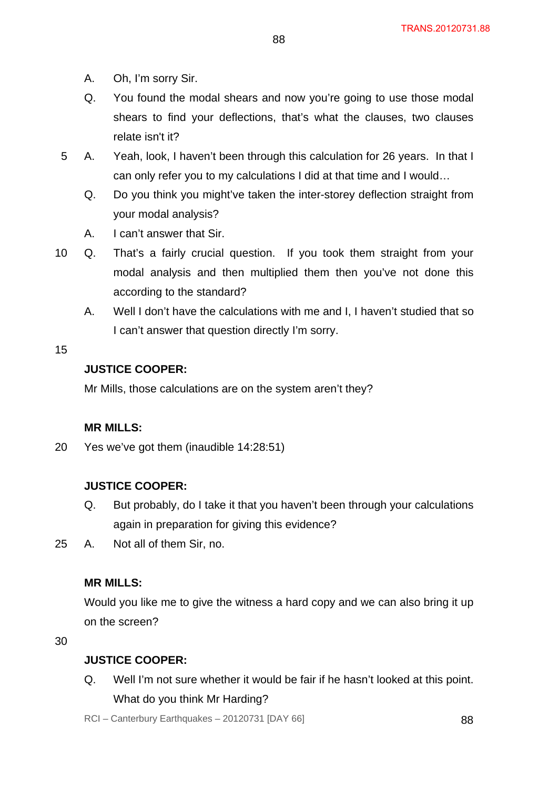- A. Oh, I'm sorry Sir.
- Q. You found the modal shears and now you're going to use those modal shears to find your deflections, that's what the clauses, two clauses relate isn't it?
- 5 A. Yeah, look, I haven't been through this calculation for 26 years. In that I can only refer you to my calculations I did at that time and I would…
	- Q. Do you think you might've taken the inter-storey deflection straight from your modal analysis?
	- A. I can't answer that Sir.
- 10 Q. That's a fairly crucial question. If you took them straight from your modal analysis and then multiplied them then you've not done this according to the standard?
	- A. Well I don't have the calculations with me and I, I haven't studied that so I can't answer that question directly I'm sorry.

# **JUSTICE COOPER:**

Mr Mills, those calculations are on the system aren't they?

#### **MR MILLS:**

20 Yes we've got them (inaudible 14:28:51)

# **JUSTICE COOPER:**

- Q. But probably, do I take it that you haven't been through your calculations again in preparation for giving this evidence?
- 25 A. Not all of them Sir, no.

#### **MR MILLS:**

Would you like me to give the witness a hard copy and we can also bring it up on the screen?

30

# **JUSTICE COOPER:**

Q. Well I'm not sure whether it would be fair if he hasn't looked at this point. What do you think Mr Harding?

 $RCI - Canterbury Earthquakes - 20120731 [DAY 66]$  88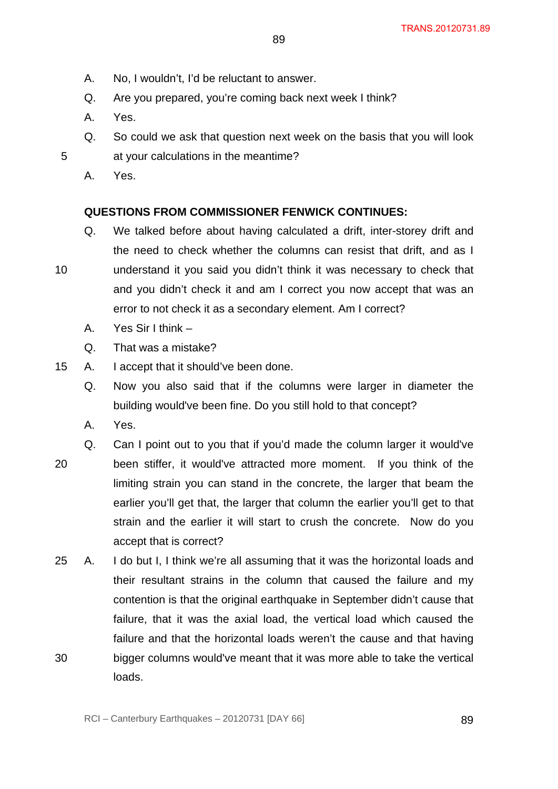- A. No, I wouldn't, I'd be reluctant to answer.
- Q. Are you prepared, you're coming back next week I think?
- A. Yes.
- Q. So could we ask that question next week on the basis that you will look at your calculations in the meantime?
- A. Yes.

10

# **QUESTIONS FROM COMMISSIONER FENWICK CONTINUES:**

- Q. We talked before about having calculated a drift, inter-storey drift and the need to check whether the columns can resist that drift, and as I understand it you said you didn't think it was necessary to check that and you didn't check it and am I correct you now accept that was an error to not check it as a secondary element. Am I correct?
	- A. Yes Sir I think –
	- Q. That was a mistake?
- 15 A. I accept that it should've been done.
	- Q. Now you also said that if the columns were larger in diameter the building would've been fine. Do you still hold to that concept?
	- A. Yes.
- 20 Q. Can I point out to you that if you'd made the column larger it would've been stiffer, it would've attracted more moment. If you think of the limiting strain you can stand in the concrete, the larger that beam the earlier you'll get that, the larger that column the earlier you'll get to that strain and the earlier it will start to crush the concrete. Now do you accept that is correct?
- 30 25 A. I do but I, I think we're all assuming that it was the horizontal loads and their resultant strains in the column that caused the failure and my contention is that the original earthquake in September didn't cause that failure, that it was the axial load, the vertical load which caused the failure and that the horizontal loads weren't the cause and that having bigger columns would've meant that it was more able to take the vertical loads.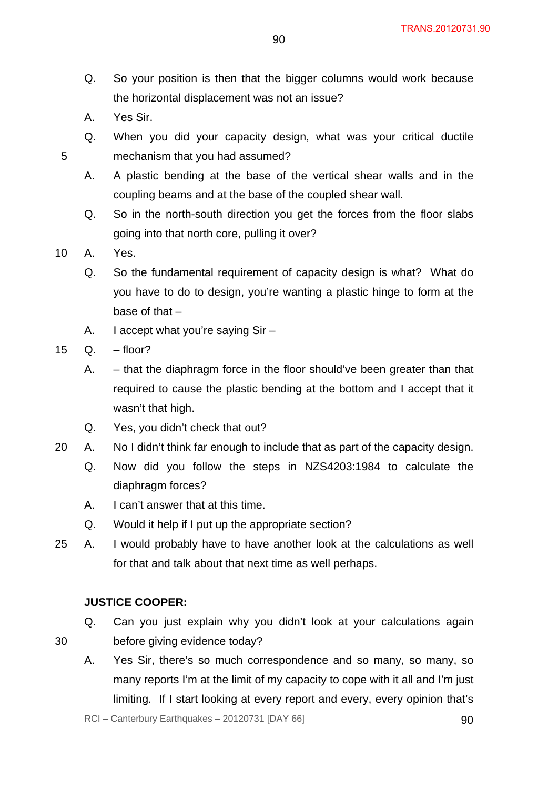- Q. So your position is then that the bigger columns would work because the horizontal displacement was not an issue?
- A. Yes Sir.
- Q. When you did your capacity design, what was your critical ductile mechanism that you had assumed?
- A. A plastic bending at the base of the vertical shear walls and in the coupling beams and at the base of the coupled shear wall.
- Q. So in the north-south direction you get the forces from the floor slabs going into that north core, pulling it over?
- 10 A. Yes.

- Q. So the fundamental requirement of capacity design is what? What do you have to do to design, you're wanting a plastic hinge to form at the base of that –
- A. I accept what you're saying Sir –
- 15 Q. floor?
	- A. that the diaphragm force in the floor should've been greater than that required to cause the plastic bending at the bottom and I accept that it wasn't that high.
	- Q. Yes, you didn't check that out?
- 20 A. No I didn't think far enough to include that as part of the capacity design.
	- Q. Now did you follow the steps in NZS4203:1984 to calculate the diaphragm forces?
	- A. I can't answer that at this time.
	- Q. Would it help if I put up the appropriate section?
- 25 A. I would probably have to have another look at the calculations as well for that and talk about that next time as well perhaps.

# **JUSTICE COOPER:**

- Q. Can you just explain why you didn't look at your calculations again before giving evidence today?
- 30
- A. Yes Sir, there's so much correspondence and so many, so many, so many reports I'm at the limit of my capacity to cope with it all and I'm just limiting. If I start looking at every report and every, every opinion that's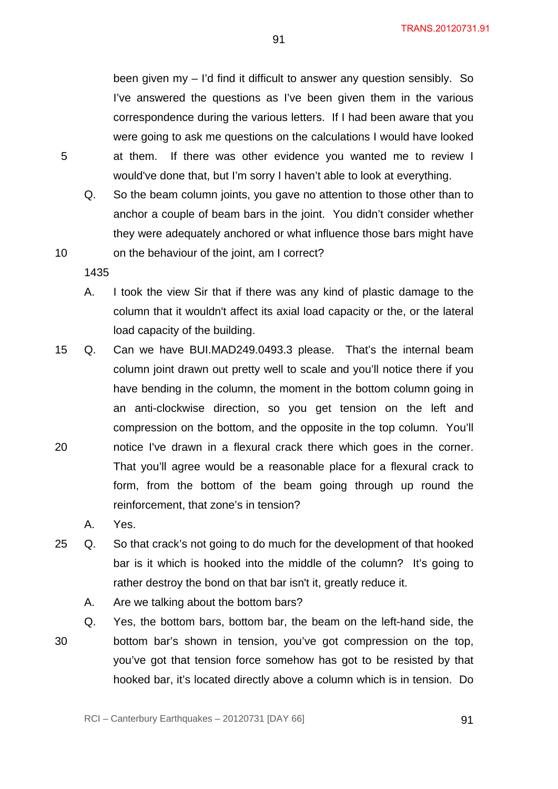been given my – I'd find it difficult to answer any question sensibly. So I've answered the questions as I've been given them in the various correspondence during the various letters. If I had been aware that you were going to ask me questions on the calculations I would have looked at them. If there was other evidence you wanted me to review I would've done that, but I'm sorry I haven't able to look at everything.

- Q. So the beam column joints, you gave no attention to those other than to anchor a couple of beam bars in the joint. You didn't consider whether they were adequately anchored or what influence those bars might have on the behaviour of the joint, am I correct?
- 1435
- A. I took the view Sir that if there was any kind of plastic damage to the column that it wouldn't affect its axial load capacity or the, or the lateral load capacity of the building.
- 20 15 Q. Can we have BUI.MAD249.0493.3 please. That's the internal beam column joint drawn out pretty well to scale and you'll notice there if you have bending in the column, the moment in the bottom column going in an anti-clockwise direction, so you get tension on the left and compression on the bottom, and the opposite in the top column. You'll notice I've drawn in a flexural crack there which goes in the corner. That you'll agree would be a reasonable place for a flexural crack to form, from the bottom of the beam going through up round the reinforcement, that zone's in tension?
	- A. Yes.
- 25 Q. So that crack's not going to do much for the development of that hooked bar is it which is hooked into the middle of the column? It's going to rather destroy the bond on that bar isn't it, greatly reduce it.
	- A. Are we talking about the bottom bars?
	- Q. Yes, the bottom bars, bottom bar, the beam on the left-hand side, the
- 30

bottom bar's shown in tension, you've got compression on the top, you've got that tension force somehow has got to be resisted by that hooked bar, it's located directly above a column which is in tension. Do

5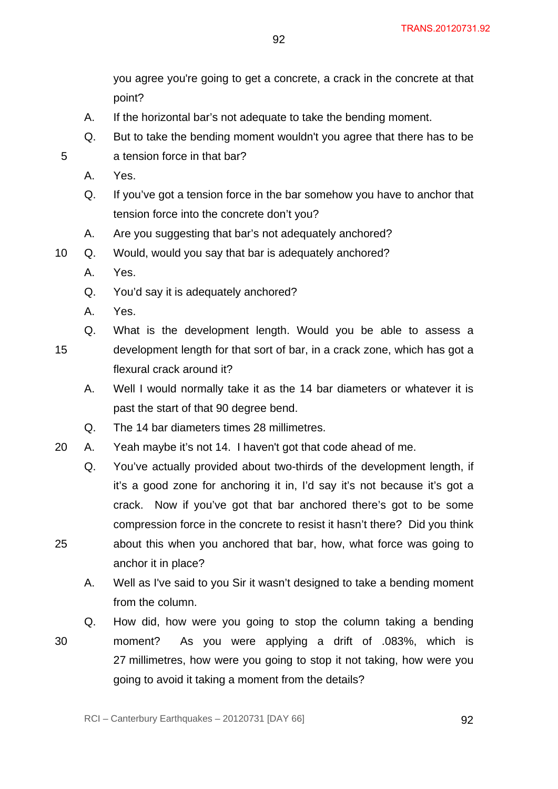you agree you're going to get a concrete, a crack in the concrete at that point?

- A. If the horizontal bar's not adequate to take the bending moment.
- Q. But to take the bending moment wouldn't you agree that there has to be a tension force in that bar?

92

A. Yes.

5

25

- Q. If you've got a tension force in the bar somehow you have to anchor that tension force into the concrete don't you?
- A. Are you suggesting that bar's not adequately anchored?
- 10 Q. Would, would you say that bar is adequately anchored?
	- A. Yes.
	- Q. You'd say it is adequately anchored?
	- A. Yes.

15 Q. What is the development length. Would you be able to assess a development length for that sort of bar, in a crack zone, which has got a flexural crack around it?

- A. Well I would normally take it as the 14 bar diameters or whatever it is past the start of that 90 degree bend.
- Q. The 14 bar diameters times 28 millimetres.
- 20 A. Yeah maybe it's not 14. I haven't got that code ahead of me.
	- Q. You've actually provided about two-thirds of the development length, if it's a good zone for anchoring it in, I'd say it's not because it's got a crack. Now if you've got that bar anchored there's got to be some compression force in the concrete to resist it hasn't there? Did you think about this when you anchored that bar, how, what force was going to anchor it in place?
	- A. Well as I've said to you Sir it wasn't designed to take a bending moment from the column.
- 30 Q. How did, how were you going to stop the column taking a bending moment? As you were applying a drift of .083%, which is 27 millimetres, how were you going to stop it not taking, how were you going to avoid it taking a moment from the details?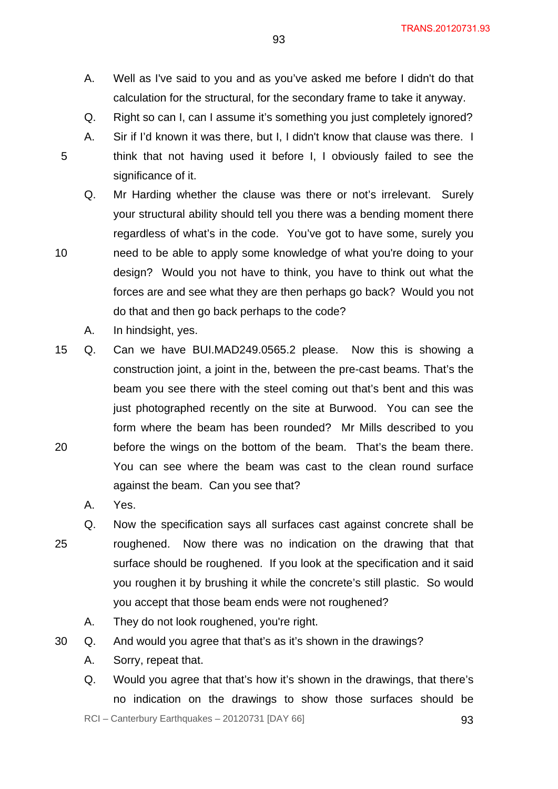TRANS.20120731.93

- A. Well as I've said to you and as you've asked me before I didn't do that calculation for the structural, for the secondary frame to take it anyway.
- Q. Right so can I, can I assume it's something you just completely ignored?
- A. Sir if I'd known it was there, but I, I didn't know that clause was there. I think that not having used it before I, I obviously failed to see the significance of it.
- Q. Mr Harding whether the clause was there or not's irrelevant. Surely your structural ability should tell you there was a bending moment there regardless of what's in the code. You've got to have some, surely you need to be able to apply some knowledge of what you're doing to your design? Would you not have to think, you have to think out what the forces are and see what they are then perhaps go back? Would you not do that and then go back perhaps to the code?
	- A. In hindsight, yes.

5

10

- 20 15 Q. Can we have BUI.MAD249.0565.2 please. Now this is showing a construction joint, a joint in the, between the pre-cast beams. That's the beam you see there with the steel coming out that's bent and this was just photographed recently on the site at Burwood. You can see the form where the beam has been rounded? Mr Mills described to you before the wings on the bottom of the beam. That's the beam there. You can see where the beam was cast to the clean round surface against the beam. Can you see that?
	- A. Yes.
- 25 Q. Now the specification says all surfaces cast against concrete shall be roughened. Now there was no indication on the drawing that that surface should be roughened. If you look at the specification and it said you roughen it by brushing it while the concrete's still plastic. So would you accept that those beam ends were not roughened?
	- A. They do not look roughened, you're right.
- 30 Q. And would you agree that that's as it's shown in the drawings?
	- A. Sorry, repeat that.
	- Q. Would you agree that that's how it's shown in the drawings, that there's no indication on the drawings to show those surfaces should be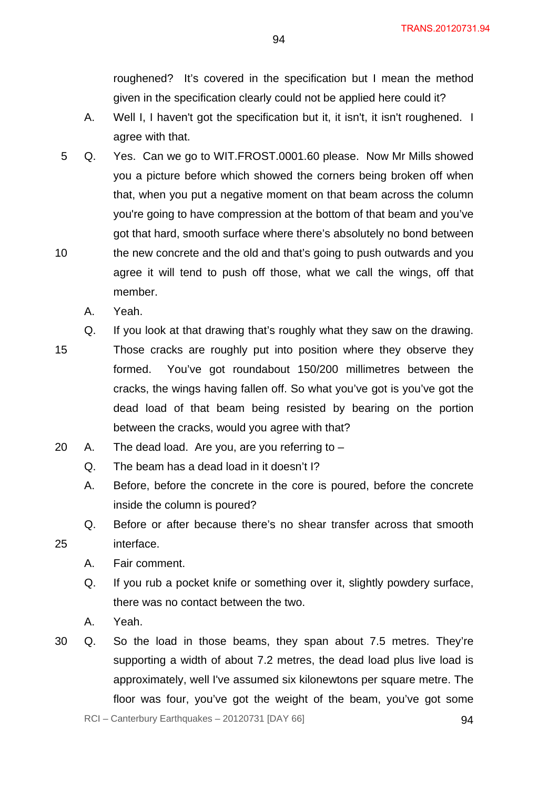roughened? It's covered in the specification but I mean the method given in the specification clearly could not be applied here could it?

- A. Well I, I haven't got the specification but it, it isn't, it isn't roughened. I agree with that.
- 10 5 Q. Yes. Can we go to WIT.FROST.0001.60 please. Now Mr Mills showed you a picture before which showed the corners being broken off when that, when you put a negative moment on that beam across the column you're going to have compression at the bottom of that beam and you've got that hard, smooth surface where there's absolutely no bond between the new concrete and the old and that's going to push outwards and you agree it will tend to push off those, what we call the wings, off that member.
	- A. Yeah.
- 15 Q. If you look at that drawing that's roughly what they saw on the drawing. Those cracks are roughly put into position where they observe they formed. You've got roundabout 150/200 millimetres between the cracks, the wings having fallen off. So what you've got is you've got the dead load of that beam being resisted by bearing on the portion between the cracks, would you agree with that?
- 20 A. The dead load. Are you, are you referring to  $-$ 
	- Q. The beam has a dead load in it doesn't I?
	- A. Before, before the concrete in the core is poured, before the concrete inside the column is poured?
	- Q. Before or after because there's no shear transfer across that smooth interface.
	- A. Fair comment.
	- Q. If you rub a pocket knife or something over it, slightly powdery surface, there was no contact between the two.
	- A. Yeah.

25

30 Q. So the load in those beams, they span about 7.5 metres. They're supporting a width of about 7.2 metres, the dead load plus live load is approximately, well I've assumed six kilonewtons per square metre. The floor was four, you've got the weight of the beam, you've got some

 $RCI - Canterbury Earthquakes - 20120731 [DAY 66]$  94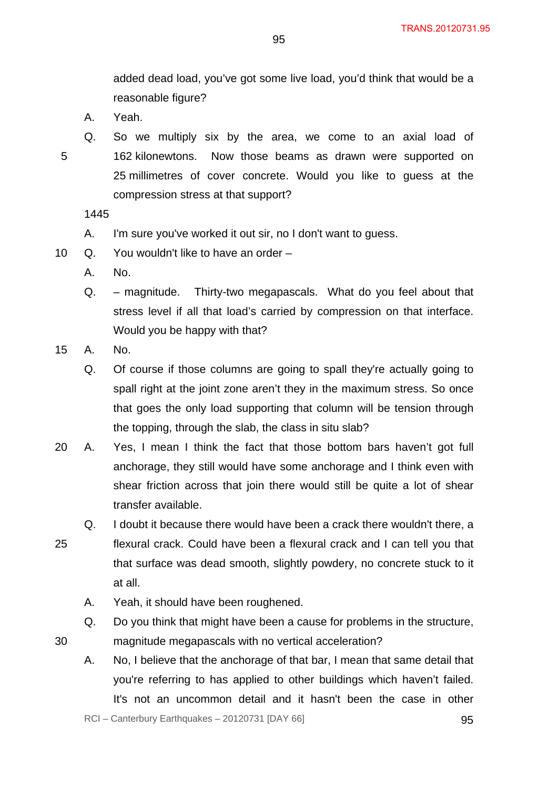added dead load, you've got some live load, you'd think that would be a reasonable figure?

- A. Yeah.
- 5
- Q. So we multiply six by the area, we come to an axial load of 162 kilonewtons. Now those beams as drawn were supported on 25 millimetres of cover concrete. Would you like to guess at the compression stress at that support?

1445

- A. I'm sure you've worked it out sir, no I don't want to guess.
- 10 Q. You wouldn't like to have an order
	- A. No.
	- Q. magnitude. Thirty-two megapascals. What do you feel about that stress level if all that load's carried by compression on that interface. Would you be happy with that?
- 15 A. No.

30

- Q. Of course if those columns are going to spall they're actually going to spall right at the joint zone aren't they in the maximum stress. So once that goes the only load supporting that column will be tension through the topping, through the slab, the class in situ slab?
- 20 A. Yes, I mean I think the fact that those bottom bars haven't got full anchorage, they still would have some anchorage and I think even with shear friction across that join there would still be quite a lot of shear transfer available.
- 25 Q. I doubt it because there would have been a crack there wouldn't there, a flexural crack. Could have been a flexural crack and I can tell you that that surface was dead smooth, slightly powdery, no concrete stuck to it at all.
	- A. Yeah, it should have been roughened.
	- Q. Do you think that might have been a cause for problems in the structure,

magnitude megapascals with no vertical acceleration?

A. No, I believe that the anchorage of that bar, I mean that same detail that you're referring to has applied to other buildings which haven't failed. It's not an uncommon detail and it hasn't been the case in other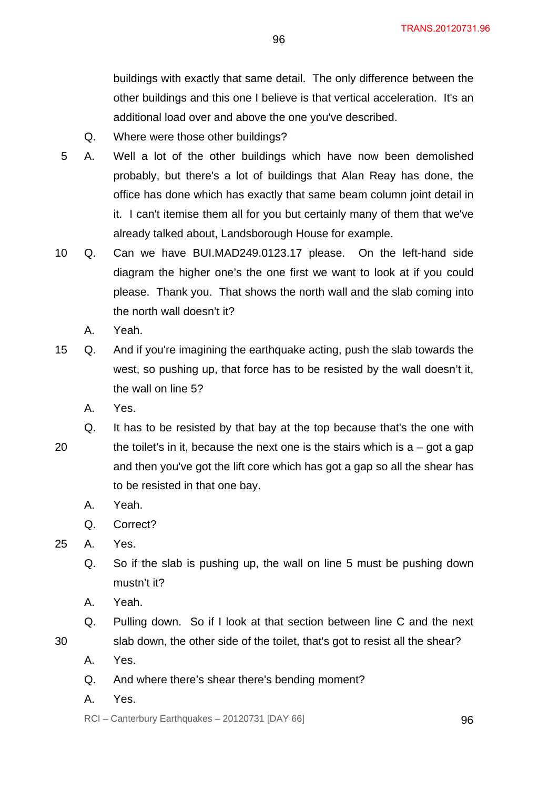buildings with exactly that same detail. The only difference between the other buildings and this one I believe is that vertical acceleration. It's an additional load over and above the one you've described.

- Q. Where were those other buildings?
- 5 A. Well a lot of the other buildings which have now been demolished probably, but there's a lot of buildings that Alan Reay has done, the office has done which has exactly that same beam column joint detail in it. I can't itemise them all for you but certainly many of them that we've already talked about, Landsborough House for example.
- 10 Q. Can we have BUI.MAD249.0123.17 please. On the left-hand side diagram the higher one's the one first we want to look at if you could please. Thank you. That shows the north wall and the slab coming into the north wall doesn't it?
	- A. Yeah.
- 15 Q. And if you're imagining the earthquake acting, push the slab towards the west, so pushing up, that force has to be resisted by the wall doesn't it, the wall on line 5?
	- A. Yes.
- 20 Q. It has to be resisted by that bay at the top because that's the one with the toilet's in it, because the next one is the stairs which is  $a - q$  ot a gap and then you've got the lift core which has got a gap so all the shear has to be resisted in that one bay.
	- A. Yeah.
	- Q. Correct?
- 25 A. Yes.
	- Q. So if the slab is pushing up, the wall on line 5 must be pushing down mustn't it?
	- A. Yeah.
	- Q. Pulling down. So if I look at that section between line C and the next

slab down, the other side of the toilet, that's got to resist all the shear?

- 30
- A. Yes.
- Q. And where there's shear there's bending moment?
- A. Yes.

 $RCI - Canterbury Earthquakes - 20120731 [DAY 66]$  96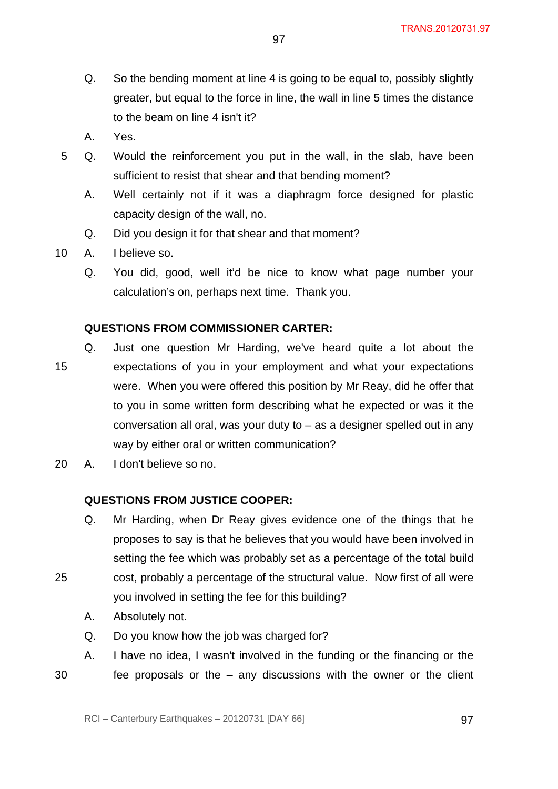Q. So the bending moment at line 4 is going to be equal to, possibly slightly greater, but equal to the force in line, the wall in line 5 times the distance to the beam on line 4 isn't it?

97

- A. Yes.
- 5 Q. Would the reinforcement you put in the wall, in the slab, have been sufficient to resist that shear and that bending moment?
	- A. Well certainly not if it was a diaphragm force designed for plastic capacity design of the wall, no.
	- Q. Did you design it for that shear and that moment?
- 10 A. I believe so.
	- Q. You did, good, well it'd be nice to know what page number your calculation's on, perhaps next time. Thank you.

# **QUESTIONS FROM COMMISSIONER CARTER:**

- 15 Q. Just one question Mr Harding, we've heard quite a lot about the expectations of you in your employment and what your expectations were. When you were offered this position by Mr Reay, did he offer that to you in some written form describing what he expected or was it the conversation all oral, was your duty to  $-$  as a designer spelled out in any way by either oral or written communication?
- 20 A. I don't believe so no.

#### **QUESTIONS FROM JUSTICE COOPER:**

- Q. Mr Harding, when Dr Reay gives evidence one of the things that he proposes to say is that he believes that you would have been involved in setting the fee which was probably set as a percentage of the total build
- 25 cost, probably a percentage of the structural value. Now first of all were you involved in setting the fee for this building?
	- A. Absolutely not.
	- Q. Do you know how the job was charged for?
- 30 A. I have no idea, I wasn't involved in the funding or the financing or the fee proposals or the  $-$  any discussions with the owner or the client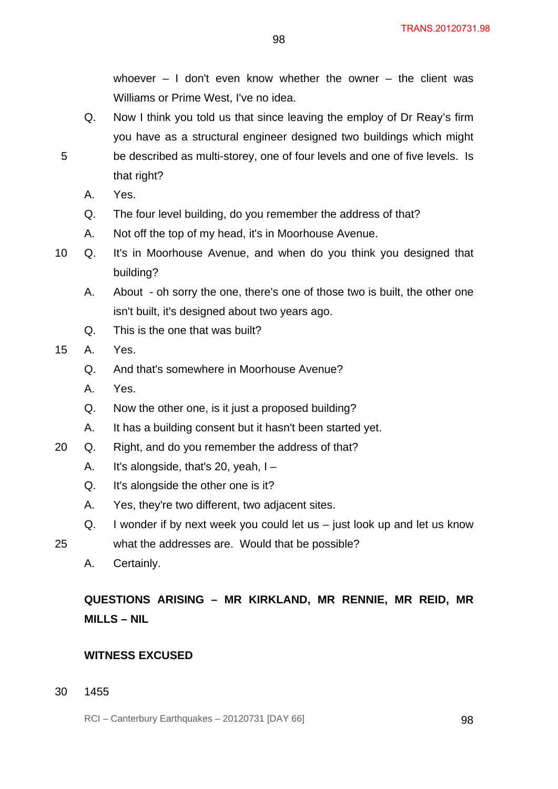whoever  $-1$  don't even know whether the owner  $-$  the client was Williams or Prime West, I've no idea.

- Q. Now I think you told us that since leaving the employ of Dr Reay's firm you have as a structural engineer designed two buildings which might be described as multi-storey, one of four levels and one of five levels. Is that right?
- A. Yes.

5

- Q. The four level building, do you remember the address of that?
- A. Not off the top of my head, it's in Moorhouse Avenue.
- 10 Q. It's in Moorhouse Avenue, and when do you think you designed that building?
	- A. About oh sorry the one, there's one of those two is built, the other one isn't built, it's designed about two years ago.
	- Q. This is the one that was built?
- 15 A. Yes.
	- Q. And that's somewhere in Moorhouse Avenue?
	- A. Yes.
	- Q. Now the other one, is it just a proposed building?
	- A. It has a building consent but it hasn't been started yet.
- 20 Q. Right, and do you remember the address of that?
	- A. It's alongside, that's 20, yeah, I –
	- Q. It's alongside the other one is it?
	- A. Yes, they're two different, two adjacent sites.
	- Q. I wonder if by next week you could let us just look up and let us know
- 25 what the addresses are. Would that be possible?
	- A. Certainly.

**QUESTIONS ARISING – MR KIRKLAND, MR RENNIE, MR REID, MR MILLS – NIL** 

# **WITNESS EXCUSED**

30 1455

RCI – Canterbury Earthquakes – 20120731 [DAY 66] 98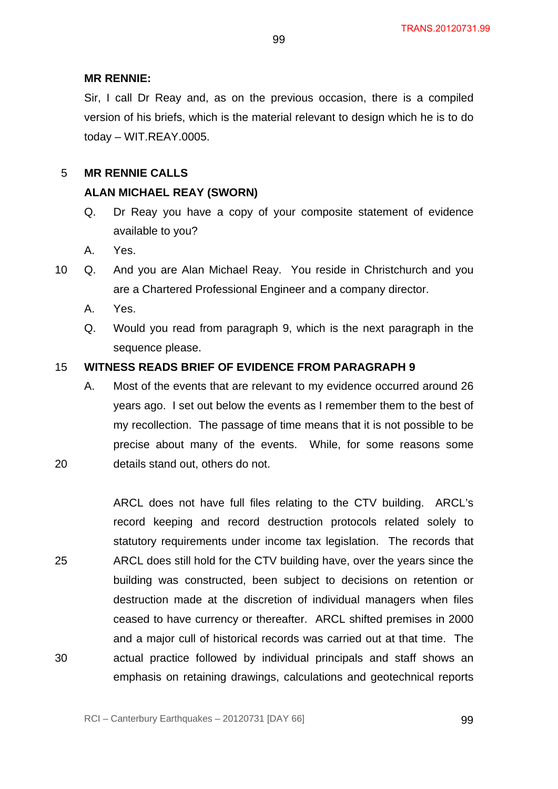#### **MR RENNIE:**

Sir, I call Dr Reay and, as on the previous occasion, there is a compiled version of his briefs, which is the material relevant to design which he is to do today – WIT.REAY.0005.

#### 5 **MR RENNIE CALLS**

#### **ALAN MICHAEL REAY (SWORN)**

- Q. Dr Reay you have a copy of your composite statement of evidence available to you?
- A. Yes.
- 10 Q. And you are Alan Michael Reay. You reside in Christchurch and you are a Chartered Professional Engineer and a company director.
	- A. Yes.

20

Q. Would you read from paragraph 9, which is the next paragraph in the sequence please.

#### 15 **WITNESS READS BRIEF OF EVIDENCE FROM PARAGRAPH 9**

A. Most of the events that are relevant to my evidence occurred around 26 years ago. I set out below the events as I remember them to the best of my recollection. The passage of time means that it is not possible to be precise about many of the events. While, for some reasons some details stand out, others do not.

25 30 ARCL does not have full files relating to the CTV building. ARCL's record keeping and record destruction protocols related solely to statutory requirements under income tax legislation. The records that ARCL does still hold for the CTV building have, over the years since the building was constructed, been subject to decisions on retention or destruction made at the discretion of individual managers when files ceased to have currency or thereafter. ARCL shifted premises in 2000 and a major cull of historical records was carried out at that time. The actual practice followed by individual principals and staff shows an emphasis on retaining drawings, calculations and geotechnical reports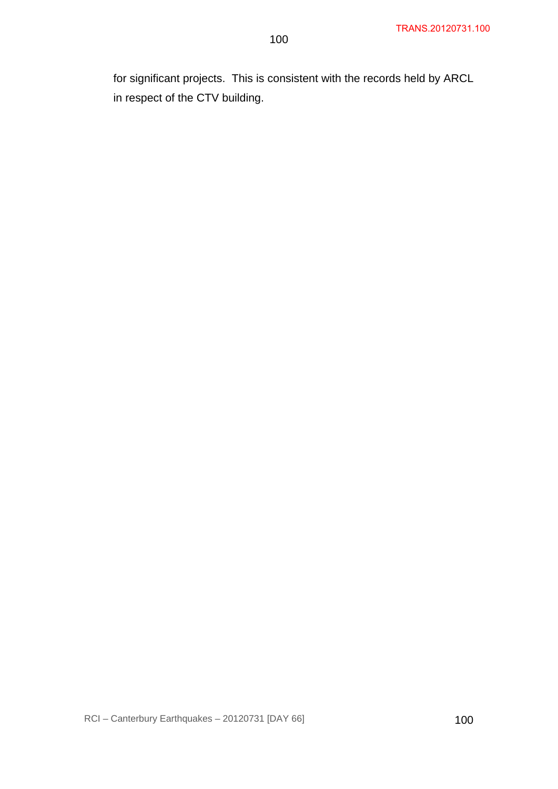for significant projects. This is consistent with the records held by ARCL in respect of the CTV building.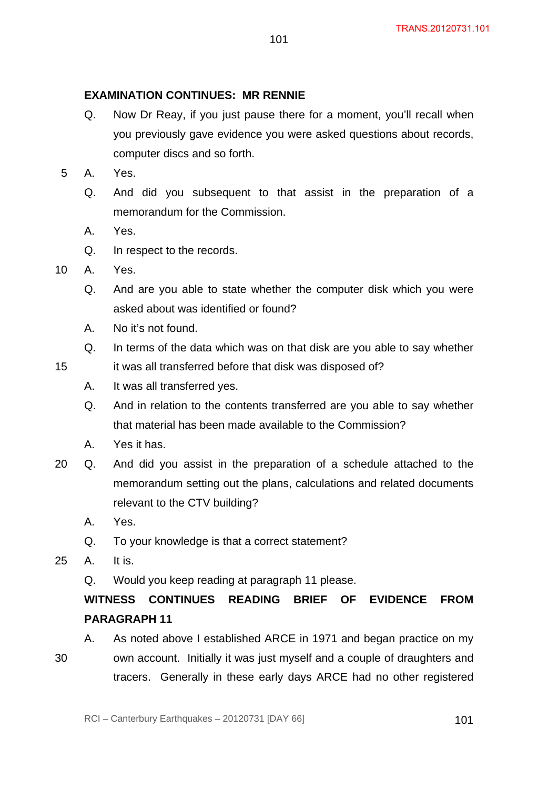#### **EXAMINATION CONTINUES: MR RENNIE**

- Q. Now Dr Reay, if you just pause there for a moment, you'll recall when you previously gave evidence you were asked questions about records, computer discs and so forth.
- 5 A. Yes.
	- Q. And did you subsequent to that assist in the preparation of a memorandum for the Commission.
	- A. Yes.
	- Q. In respect to the records.
- 10 A. Yes.

15

- Q. And are you able to state whether the computer disk which you were asked about was identified or found?
- A. No it's not found.
- Q. In terms of the data which was on that disk are you able to say whether it was all transferred before that disk was disposed of?
- A. It was all transferred yes.
- Q. And in relation to the contents transferred are you able to say whether that material has been made available to the Commission?
- A. Yes it has.
- 20 Q. And did you assist in the preparation of a schedule attached to the memorandum setting out the plans, calculations and related documents relevant to the CTV building?
	- A. Yes.
	- Q. To your knowledge is that a correct statement?
- 25 A. It is.
	- Q. Would you keep reading at paragraph 11 please.

# **WITNESS CONTINUES READING BRIEF OF EVIDENCE FROM PARAGRAPH 11**

A. As noted above I established ARCE in 1971 and began practice on my

own account. Initially it was just myself and a couple of draughters and

tracers. Generally in these early days ARCE had no other registered

30

RCI – Canterbury Earthquakes – 20120731 [DAY 66] 101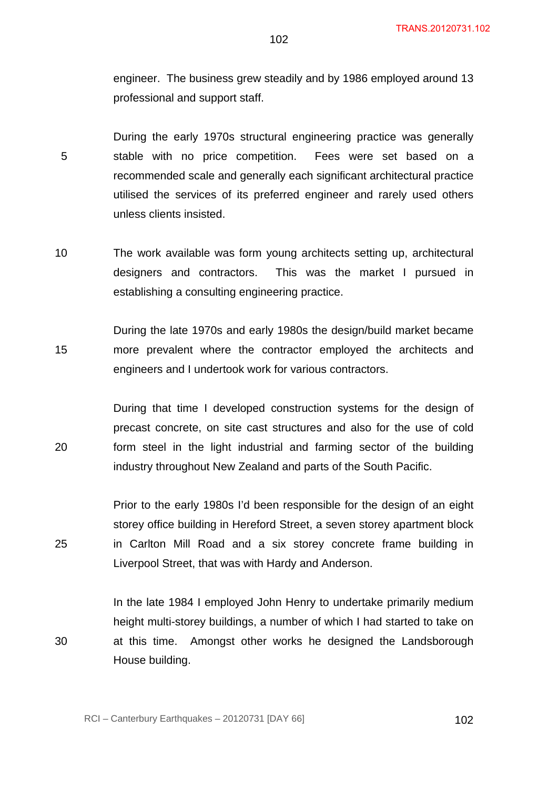engineer. The business grew steadily and by 1986 employed around 13 professional and support staff.

5 During the early 1970s structural engineering practice was generally stable with no price competition. Fees were set based on a recommended scale and generally each significant architectural practice utilised the services of its preferred engineer and rarely used others unless clients insisted.

10 The work available was form young architects setting up, architectural designers and contractors. This was the market I pursued in establishing a consulting engineering practice.

15 During the late 1970s and early 1980s the design/build market became more prevalent where the contractor employed the architects and engineers and I undertook work for various contractors.

20 During that time I developed construction systems for the design of precast concrete, on site cast structures and also for the use of cold form steel in the light industrial and farming sector of the building industry throughout New Zealand and parts of the South Pacific.

Prior to the early 1980s I'd been responsible for the design of an eight storey office building in Hereford Street, a seven storey apartment block in Carlton Mill Road and a six storey concrete frame building in Liverpool Street, that was with Hardy and Anderson.

In the late 1984 I employed John Henry to undertake primarily medium height multi-storey buildings, a number of which I had started to take on at this time. Amongst other works he designed the Landsborough House building.

25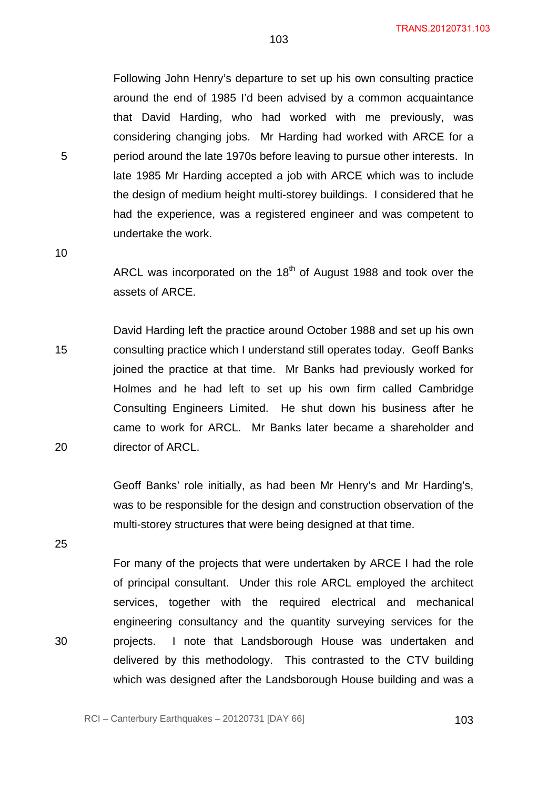Following John Henry's departure to set up his own consulting practice around the end of 1985 I'd been advised by a common acquaintance that David Harding, who had worked with me previously, was considering changing jobs. Mr Harding had worked with ARCE for a period around the late 1970s before leaving to pursue other interests. In late 1985 Mr Harding accepted a job with ARCE which was to include the design of medium height multi-storey buildings. I considered that he had the experience, was a registered engineer and was competent to undertake the work.

10

5

ARCL was incorporated on the  $18<sup>th</sup>$  of August 1988 and took over the assets of ARCE.

15 20 David Harding left the practice around October 1988 and set up his own consulting practice which I understand still operates today. Geoff Banks joined the practice at that time. Mr Banks had previously worked for Holmes and he had left to set up his own firm called Cambridge Consulting Engineers Limited. He shut down his business after he came to work for ARCL. Mr Banks later became a shareholder and director of ARCL.

> Geoff Banks' role initially, as had been Mr Henry's and Mr Harding's, was to be responsible for the design and construction observation of the multi-storey structures that were being designed at that time.

25

30

For many of the projects that were undertaken by ARCE I had the role of principal consultant. Under this role ARCL employed the architect services, together with the required electrical and mechanical engineering consultancy and the quantity surveying services for the projects. I note that Landsborough House was undertaken and delivered by this methodology. This contrasted to the CTV building which was designed after the Landsborough House building and was a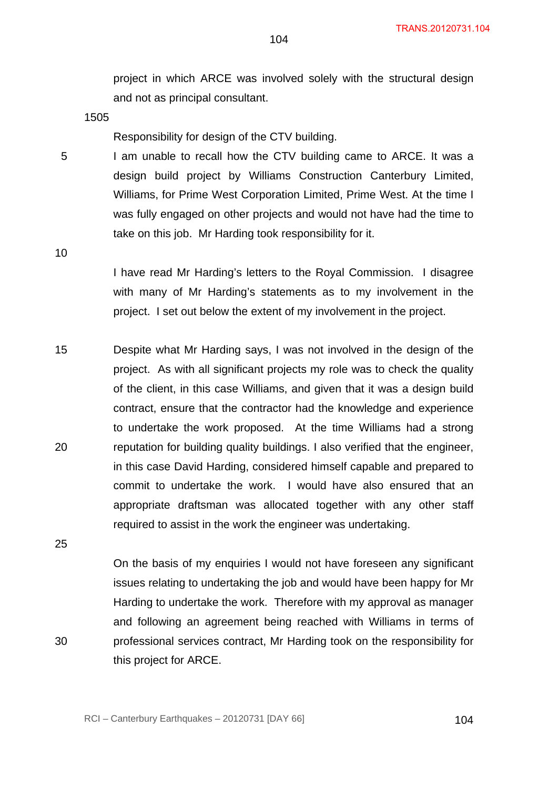project in which ARCE was involved solely with the structural design and not as principal consultant.

1505

Responsibility for design of the CTV building.

I am unable to recall how the CTV building came to ARCE. It was a design build project by Williams Construction Canterbury Limited, Williams, for Prime West Corporation Limited, Prime West. At the time I was fully engaged on other projects and would not have had the time to take on this job. Mr Harding took responsibility for it.

10

5

I have read Mr Harding's letters to the Royal Commission. I disagree with many of Mr Harding's statements as to my involvement in the project. I set out below the extent of my involvement in the project.

15 20 Despite what Mr Harding says, I was not involved in the design of the project. As with all significant projects my role was to check the quality of the client, in this case Williams, and given that it was a design build contract, ensure that the contractor had the knowledge and experience to undertake the work proposed. At the time Williams had a strong reputation for building quality buildings. I also verified that the engineer, in this case David Harding, considered himself capable and prepared to commit to undertake the work. I would have also ensured that an appropriate draftsman was allocated together with any other staff required to assist in the work the engineer was undertaking.

25

30

On the basis of my enquiries I would not have foreseen any significant issues relating to undertaking the job and would have been happy for Mr Harding to undertake the work. Therefore with my approval as manager and following an agreement being reached with Williams in terms of professional services contract, Mr Harding took on the responsibility for this project for ARCE.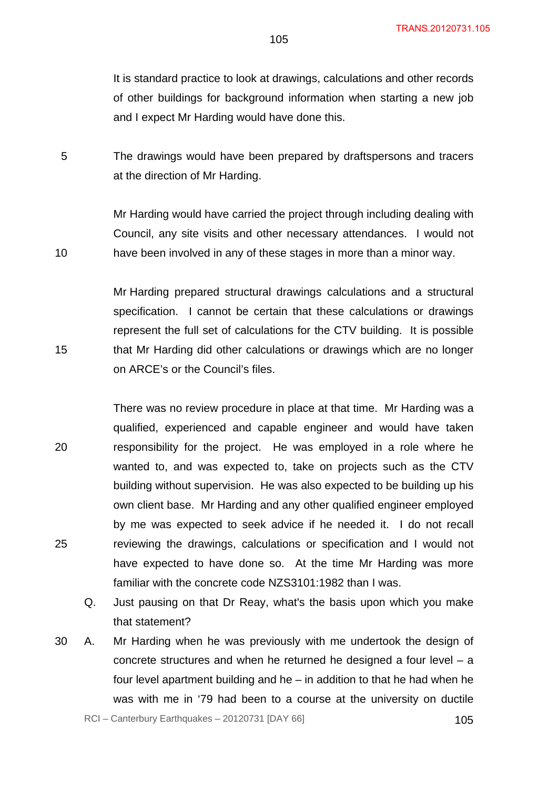It is standard practice to look at drawings, calculations and other records of other buildings for background information when starting a new job and I expect Mr Harding would have done this.

5 The drawings would have been prepared by draftspersons and tracers at the direction of Mr Harding.

10

15

Mr Harding would have carried the project through including dealing with Council, any site visits and other necessary attendances. I would not have been involved in any of these stages in more than a minor way.

Mr Harding prepared structural drawings calculations and a structural specification. I cannot be certain that these calculations or drawings represent the full set of calculations for the CTV building. It is possible that Mr Harding did other calculations or drawings which are no longer on ARCE's or the Council's files.

20 25 There was no review procedure in place at that time. Mr Harding was a qualified, experienced and capable engineer and would have taken responsibility for the project. He was employed in a role where he wanted to, and was expected to, take on projects such as the CTV building without supervision. He was also expected to be building up his own client base. Mr Harding and any other qualified engineer employed by me was expected to seek advice if he needed it. I do not recall reviewing the drawings, calculations or specification and I would not have expected to have done so. At the time Mr Harding was more familiar with the concrete code NZS3101:1982 than I was.

- Q. Just pausing on that Dr Reay, what's the basis upon which you make that statement?
- 30 A. Mr Harding when he was previously with me undertook the design of concrete structures and when he returned he designed a four level – a four level apartment building and he – in addition to that he had when he was with me in '79 had been to a course at the university on ductile

RCI – Canterbury Earthquakes – 20120731 [DAY 66] 105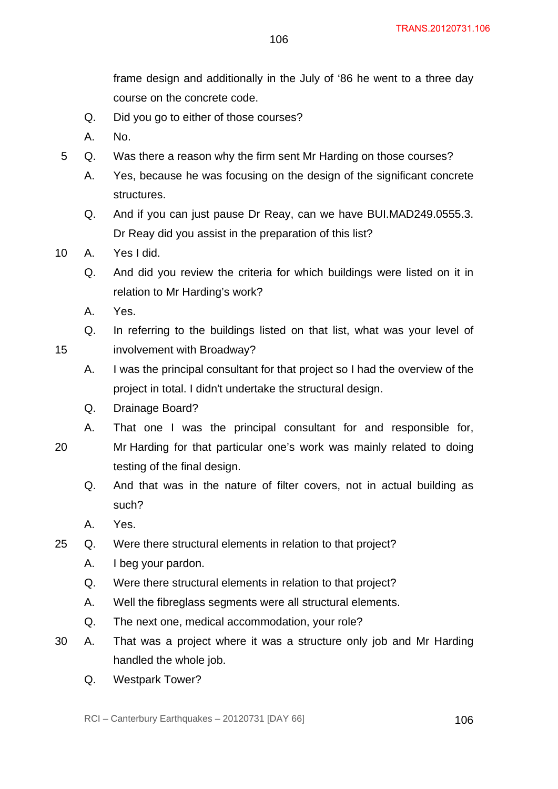frame design and additionally in the July of '86 he went to a three day course on the concrete code.

106

- Q. Did you go to either of those courses?
- A. No.
- 5 Q. Was there a reason why the firm sent Mr Harding on those courses?
	- A. Yes, because he was focusing on the design of the significant concrete structures.
	- Q. And if you can just pause Dr Reay, can we have BUI.MAD249.0555.3. Dr Reay did you assist in the preparation of this list?
- 10 A. Yes I did.
	- Q. And did you review the criteria for which buildings were listed on it in relation to Mr Harding's work?
	- A. Yes.

15

Q. In referring to the buildings listed on that list, what was your level of involvement with Broadway?

- A. I was the principal consultant for that project so I had the overview of the project in total. I didn't undertake the structural design.
- Q. Drainage Board?
- A. That one I was the principal consultant for and responsible for,
- 20 Mr Harding for that particular one's work was mainly related to doing testing of the final design.
	- Q. And that was in the nature of filter covers, not in actual building as such?
	- A. Yes.
- 25 Q. Were there structural elements in relation to that project?
	- A. I beg your pardon.
	- Q. Were there structural elements in relation to that project?
	- A. Well the fibreglass segments were all structural elements.
	- Q. The next one, medical accommodation, your role?
- 30 A. That was a project where it was a structure only job and Mr Harding handled the whole job.
	- Q. Westpark Tower?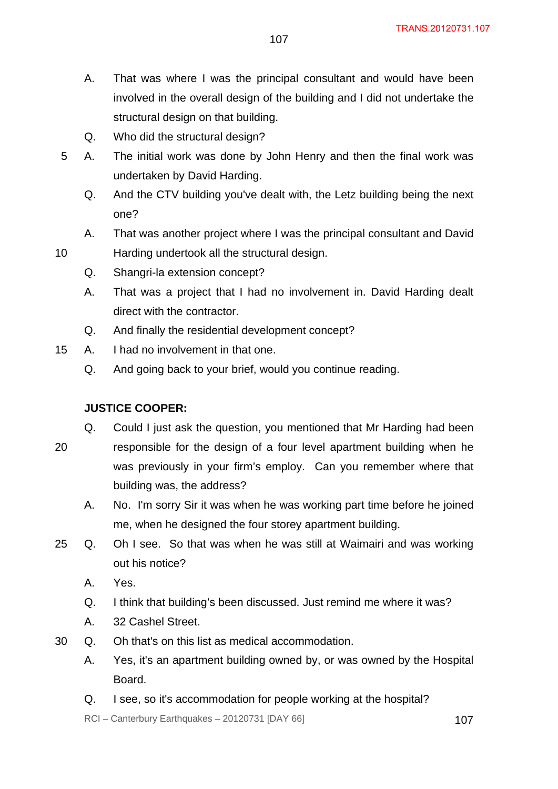- A. That was where I was the principal consultant and would have been involved in the overall design of the building and I did not undertake the structural design on that building.
- Q. Who did the structural design?
- 5 A. The initial work was done by John Henry and then the final work was undertaken by David Harding.
	- Q. And the CTV building you've dealt with, the Letz building being the next one?
	- A. That was another project where I was the principal consultant and David
	- Harding undertook all the structural design.
		- Q. Shangri-la extension concept?
		- A. That was a project that I had no involvement in. David Harding dealt direct with the contractor.
		- Q. And finally the residential development concept?
- 15 A. I had no involvement in that one.
	- Q. And going back to your brief, would you continue reading.

# **JUSTICE COOPER:**

10

- 20 Q. Could I just ask the question, you mentioned that Mr Harding had been responsible for the design of a four level apartment building when he was previously in your firm's employ. Can you remember where that building was, the address?
	- A. No. I'm sorry Sir it was when he was working part time before he joined me, when he designed the four storey apartment building.
- 25 Q. Oh I see. So that was when he was still at Waimairi and was working out his notice?
	- A. Yes.
	- Q. I think that building's been discussed. Just remind me where it was?
	- A. 32 Cashel Street.
- 30 Q. Oh that's on this list as medical accommodation.
	- A. Yes, it's an apartment building owned by, or was owned by the Hospital Board.
	- Q. I see, so it's accommodation for people working at the hospital?

 $RCI - Canterbury Earthquakes - 20120731 [DAY 66]$  107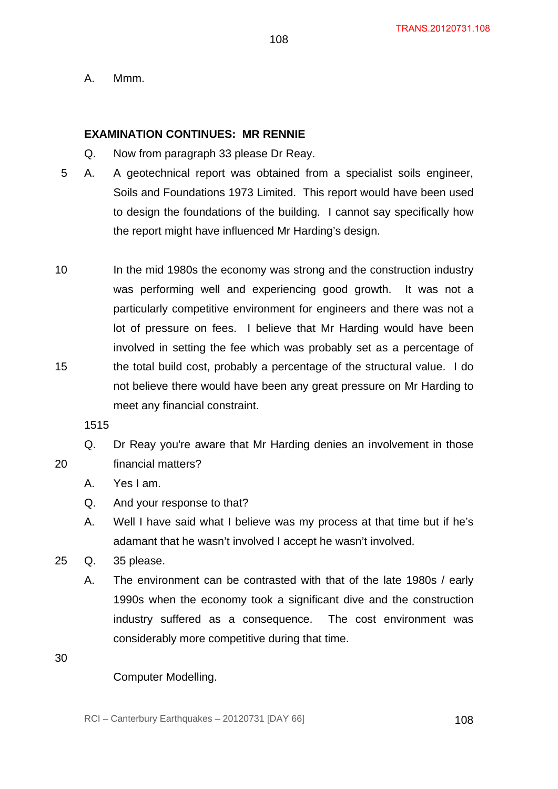A. Mmm.

#### **EXAMINATION CONTINUES: MR RENNIE**

- Q. Now from paragraph 33 please Dr Reay.
- 5 A. A geotechnical report was obtained from a specialist soils engineer, Soils and Foundations 1973 Limited. This report would have been used to design the foundations of the building. I cannot say specifically how the report might have influenced Mr Harding's design.
- 10 15 In the mid 1980s the economy was strong and the construction industry was performing well and experiencing good growth. It was not a particularly competitive environment for engineers and there was not a lot of pressure on fees. I believe that Mr Harding would have been involved in setting the fee which was probably set as a percentage of the total build cost, probably a percentage of the structural value. I do not believe there would have been any great pressure on Mr Harding to meet any financial constraint.

1515

- Q. Dr Reay you're aware that Mr Harding denies an involvement in those financial matters?
	- A. Yes I am.
	- Q. And your response to that?
	- A. Well I have said what I believe was my process at that time but if he's adamant that he wasn't involved I accept he wasn't involved.
- 25 Q. 35 please.
	- A. The environment can be contrasted with that of the late 1980s / early 1990s when the economy took a significant dive and the construction industry suffered as a consequence. The cost environment was considerably more competitive during that time.

30

20

# Computer Modelling.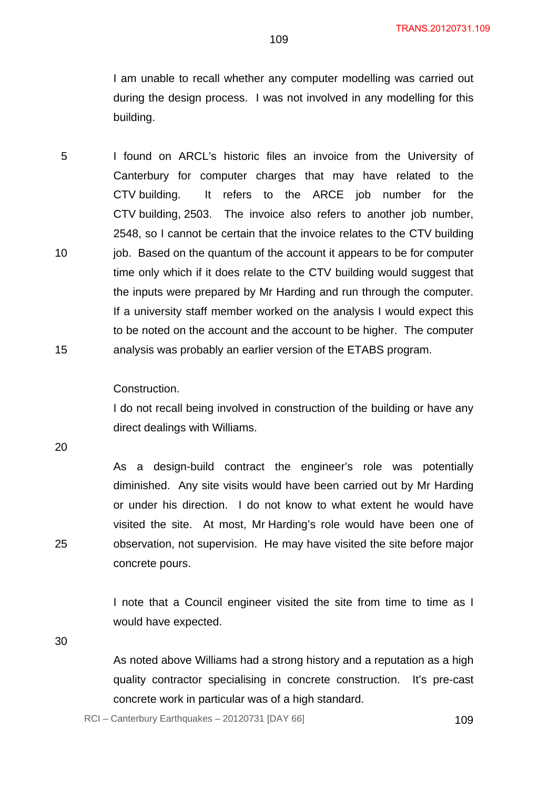I am unable to recall whether any computer modelling was carried out during the design process. I was not involved in any modelling for this building.

5 10 15 I found on ARCL's historic files an invoice from the University of Canterbury for computer charges that may have related to the CTV building. It refers to the ARCE job number for the CTV building, 2503. The invoice also refers to another job number, 2548, so I cannot be certain that the invoice relates to the CTV building job. Based on the quantum of the account it appears to be for computer time only which if it does relate to the CTV building would suggest that the inputs were prepared by Mr Harding and run through the computer. If a university staff member worked on the analysis I would expect this to be noted on the account and the account to be higher. The computer analysis was probably an earlier version of the ETABS program.

#### Construction.

I do not recall being involved in construction of the building or have any direct dealings with Williams.

20

As a design-build contract the engineer's role was potentially diminished. Any site visits would have been carried out by Mr Harding or under his direction. I do not know to what extent he would have visited the site. At most, Mr Harding's role would have been one of observation, not supervision. He may have visited the site before major concrete pours.

I note that a Council engineer visited the site from time to time as I would have expected.

30

25

As noted above Williams had a strong history and a reputation as a high quality contractor specialising in concrete construction. It's pre-cast concrete work in particular was of a high standard.

RCI – Canterbury Earthquakes – 20120731 [DAY 66] 109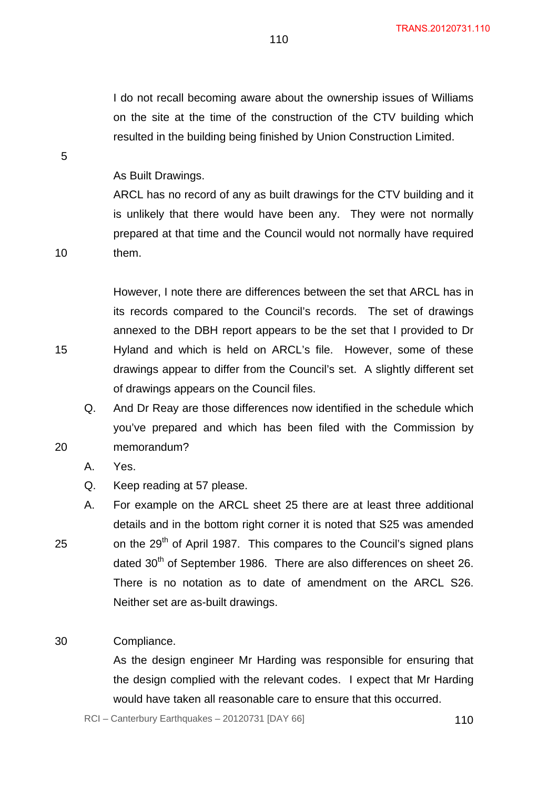I do not recall becoming aware about the ownership issues of Williams on the site at the time of the construction of the CTV building which resulted in the building being finished by Union Construction Limited.

110

As Built Drawings.

ARCL has no record of any as built drawings for the CTV building and it is unlikely that there would have been any. They were not normally prepared at that time and the Council would not normally have required them.

However, I note there are differences between the set that ARCL has in its records compared to the Council's records. The set of drawings annexed to the DBH report appears to be the set that I provided to Dr Hyland and which is held on ARCL's file. However, some of these drawings appear to differ from the Council's set. A slightly different set of drawings appears on the Council files.

Q. And Dr Reay are those differences now identified in the schedule which you've prepared and which has been filed with the Commission by memorandum?

- A. Yes.
- Q. Keep reading at 57 please.
- A. For example on the ARCL sheet 25 there are at least three additional details and in the bottom right corner it is noted that S25 was amended on the 29<sup>th</sup> of April 1987. This compares to the Council's signed plans dated 30<sup>th</sup> of September 1986. There are also differences on sheet 26. There is no notation as to date of amendment on the ARCL S26. Neither set are as-built drawings.

#### 30 Compliance.

As the design engineer Mr Harding was responsible for ensuring that the design complied with the relevant codes. I expect that Mr Harding would have taken all reasonable care to ensure that this occurred.

 $RCI - Canterbury Earthquakes - 20120731 [DAY 66]$  110

5

10

15

20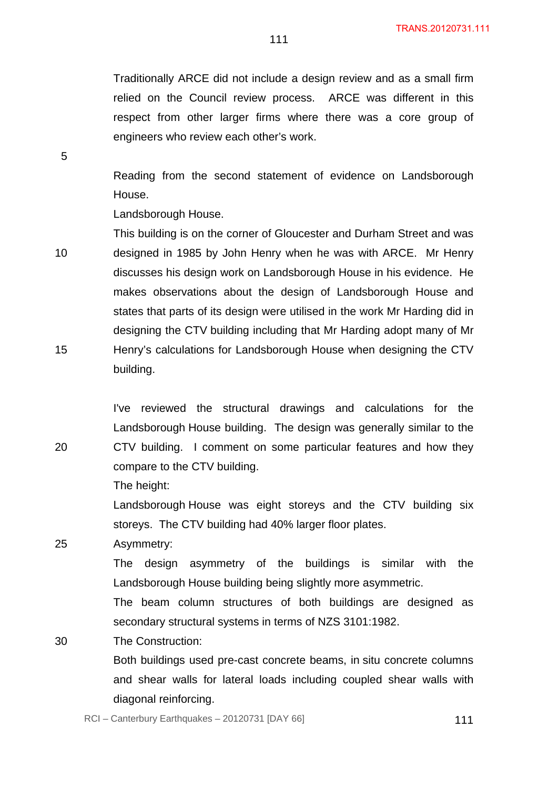Traditionally ARCE did not include a design review and as a small firm relied on the Council review process. ARCE was different in this respect from other larger firms where there was a core group of engineers who review each other's work.

111

Reading from the second statement of evidence on Landsborough House.

Landsborough House.

5

20

10 15 This building is on the corner of Gloucester and Durham Street and was designed in 1985 by John Henry when he was with ARCE. Mr Henry discusses his design work on Landsborough House in his evidence. He makes observations about the design of Landsborough House and states that parts of its design were utilised in the work Mr Harding did in designing the CTV building including that Mr Harding adopt many of Mr Henry's calculations for Landsborough House when designing the CTV building.

I've reviewed the structural drawings and calculations for the Landsborough House building. The design was generally similar to the CTV building. I comment on some particular features and how they compare to the CTV building.

The height:

Landsborough House was eight storeys and the CTV building six storeys. The CTV building had 40% larger floor plates.

25 Asymmetry:

> The design asymmetry of the buildings is similar with the Landsborough House building being slightly more asymmetric.

> The beam column structures of both buildings are designed as secondary structural systems in terms of NZS 3101:1982.

30 The Construction:

> Both buildings used pre-cast concrete beams, in situ concrete columns and shear walls for lateral loads including coupled shear walls with diagonal reinforcing.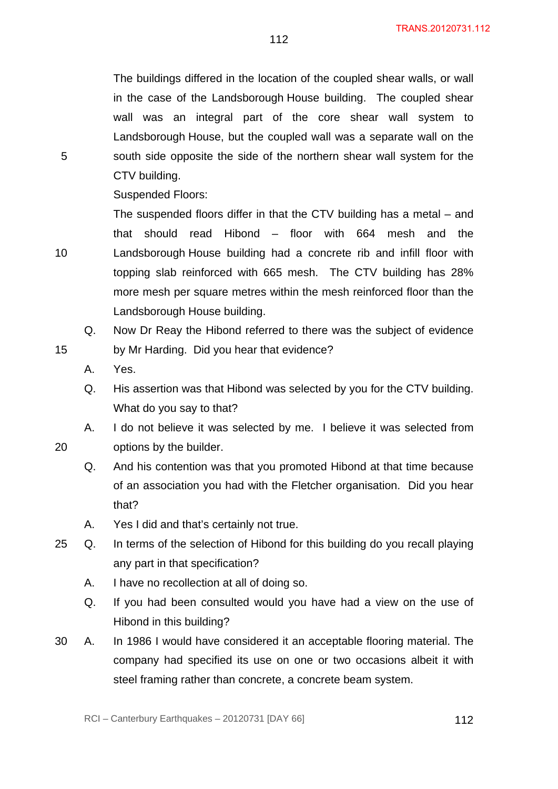The buildings differed in the location of the coupled shear walls, or wall in the case of the Landsborough House building. The coupled shear wall was an integral part of the core shear wall system to Landsborough House, but the coupled wall was a separate wall on the south side opposite the side of the northern shear wall system for the CTV building.

112

Suspended Floors:

The suspended floors differ in that the CTV building has a metal – and that should read Hibond – floor with 664 mesh and the Landsborough House building had a concrete rib and infill floor with topping slab reinforced with 665 mesh. The CTV building has 28% more mesh per square metres within the mesh reinforced floor than the Landsborough House building.

- Q. Now Dr Reay the Hibond referred to there was the subject of evidence by Mr Harding. Did you hear that evidence?
- A. Yes.

5

10

15

- Q. His assertion was that Hibond was selected by you for the CTV building. What do you say to that?
- A. I do not believe it was selected by me. I believe it was selected from options by the builder.
- Q. And his contention was that you promoted Hibond at that time because of an association you had with the Fletcher organisation. Did you hear that?
- A. Yes I did and that's certainly not true.
- 25 Q. In terms of the selection of Hibond for this building do you recall playing any part in that specification?
	- A. I have no recollection at all of doing so.
	- Q. If you had been consulted would you have had a view on the use of Hibond in this building?
- 30 A. In 1986 I would have considered it an acceptable flooring material. The company had specified its use on one or two occasions albeit it with steel framing rather than concrete, a concrete beam system.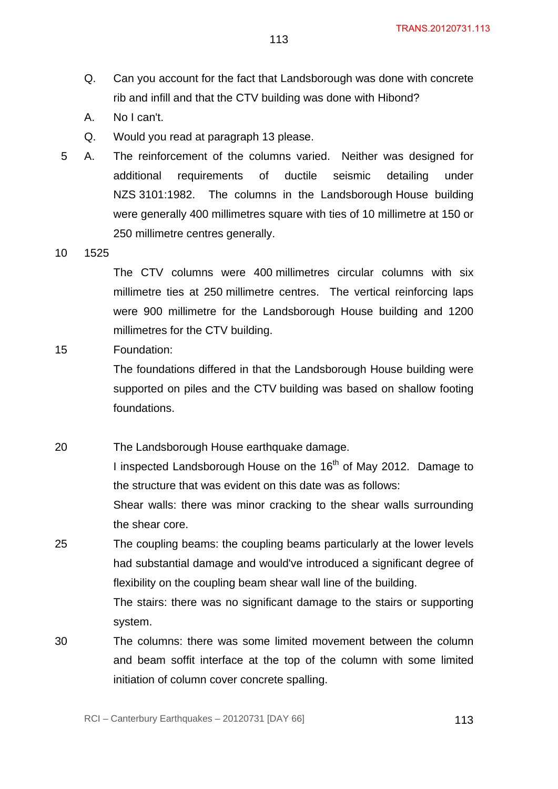- Q. Can you account for the fact that Landsborough was done with concrete rib and infill and that the CTV building was done with Hibond?
- A. No I can't.
- Q. Would you read at paragraph 13 please.
- 5 A. The reinforcement of the columns varied. Neither was designed for additional requirements of ductile seismic detailing under NZS 3101:1982. The columns in the Landsborough House building were generally 400 millimetres square with ties of 10 millimetre at 150 or 250 millimetre centres generally.
- 10 1525

The CTV columns were 400 millimetres circular columns with six millimetre ties at 250 millimetre centres. The vertical reinforcing laps were 900 millimetre for the Landsborough House building and 1200 millimetres for the CTV building.

15 Foundation:

> The foundations differed in that the Landsborough House building were supported on piles and the CTV building was based on shallow footing foundations.

20 The Landsborough House earthquake damage. I inspected Landsborough House on the 16<sup>th</sup> of May 2012. Damage to the structure that was evident on this date was as follows: Shear walls: there was minor cracking to the shear walls surrounding the shear core.

- 25 The coupling beams: the coupling beams particularly at the lower levels had substantial damage and would've introduced a significant degree of flexibility on the coupling beam shear wall line of the building. The stairs: there was no significant damage to the stairs or supporting system.
- 30 The columns: there was some limited movement between the column and beam soffit interface at the top of the column with some limited initiation of column cover concrete spalling.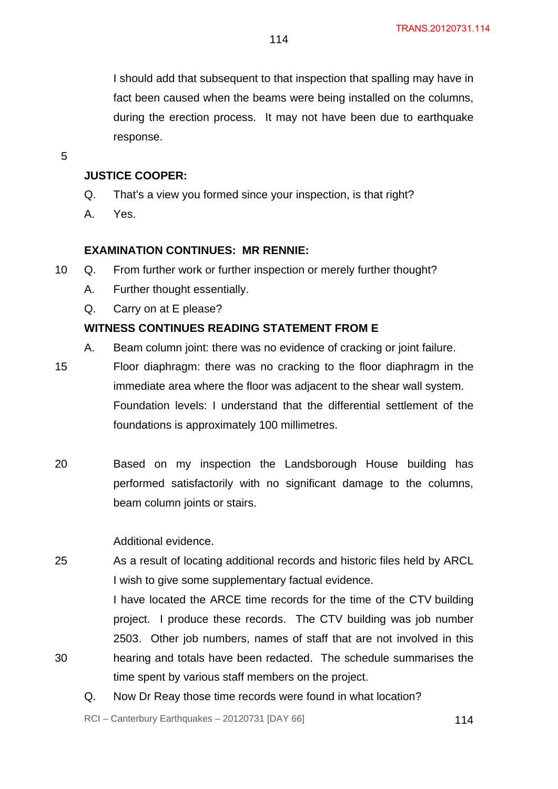I should add that subsequent to that inspection that spalling may have in fact been caused when the beams were being installed on the columns, during the erection process. It may not have been due to earthquake response.

5

30

# **JUSTICE COOPER:**

- Q. That's a view you formed since your inspection, is that right?
- A. Yes.

#### **EXAMINATION CONTINUES: MR RENNIE:**

- 10 Q. From further work or further inspection or merely further thought?
	- A. Further thought essentially.
	- Q. Carry on at E please?

### **WITNESS CONTINUES READING STATEMENT FROM E**

- A. Beam column joint: there was no evidence of cracking or joint failure.
- 15 Floor diaphragm: there was no cracking to the floor diaphragm in the immediate area where the floor was adjacent to the shear wall system. Foundation levels: I understand that the differential settlement of the foundations is approximately 100 millimetres.
- 20 Based on my inspection the Landsborough House building has performed satisfactorily with no significant damage to the columns, beam column joints or stairs.

#### Additional evidence.

25 As a result of locating additional records and historic files held by ARCL I wish to give some supplementary factual evidence.

> I have located the ARCE time records for the time of the CTV building project. I produce these records. The CTV building was job number 2503. Other job numbers, names of staff that are not involved in this hearing and totals have been redacted. The schedule summarises the time spent by various staff members on the project.

Q. Now Dr Reay those time records were found in what location?

 $RCI - Canterbury Earthquakes - 20120731 [DAY 66]$  114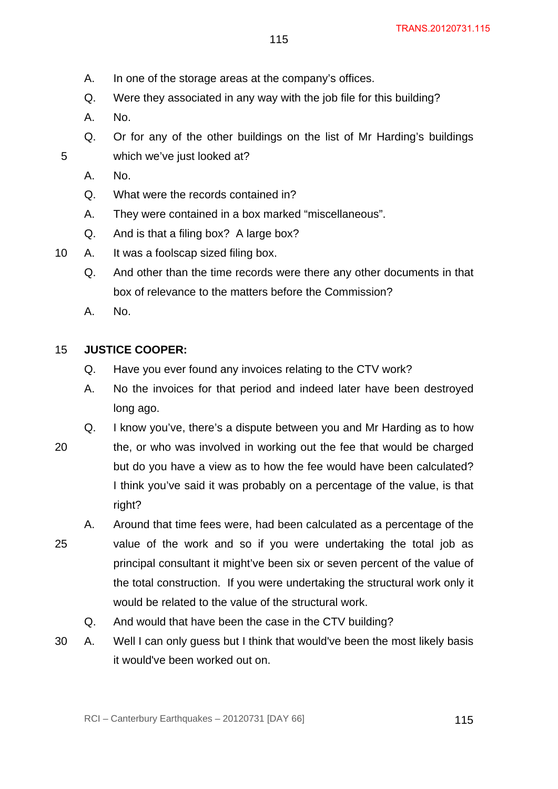- A. In one of the storage areas at the company's offices.
- Q. Were they associated in any way with the job file for this building?
- A. No.
- Q. Or for any of the other buildings on the list of Mr Harding's buildings which we've just looked at?
- A. No.

- Q. What were the records contained in?
- A. They were contained in a box marked "miscellaneous".
- Q. And is that a filing box? A large box?
- 10 A. It was a foolscap sized filing box.
	- Q. And other than the time records were there any other documents in that box of relevance to the matters before the Commission?
	- A. No.

#### 15 **JUSTICE COOPER:**

- Q. Have you ever found any invoices relating to the CTV work?
- A. No the invoices for that period and indeed later have been destroyed long ago.
- 20 Q. I know you've, there's a dispute between you and Mr Harding as to how the, or who was involved in working out the fee that would be charged but do you have a view as to how the fee would have been calculated? I think you've said it was probably on a percentage of the value, is that right?
- 25 A. Around that time fees were, had been calculated as a percentage of the value of the work and so if you were undertaking the total job as principal consultant it might've been six or seven percent of the value of the total construction. If you were undertaking the structural work only it would be related to the value of the structural work.
	- Q. And would that have been the case in the CTV building?
- 30 A. Well I can only guess but I think that would've been the most likely basis it would've been worked out on.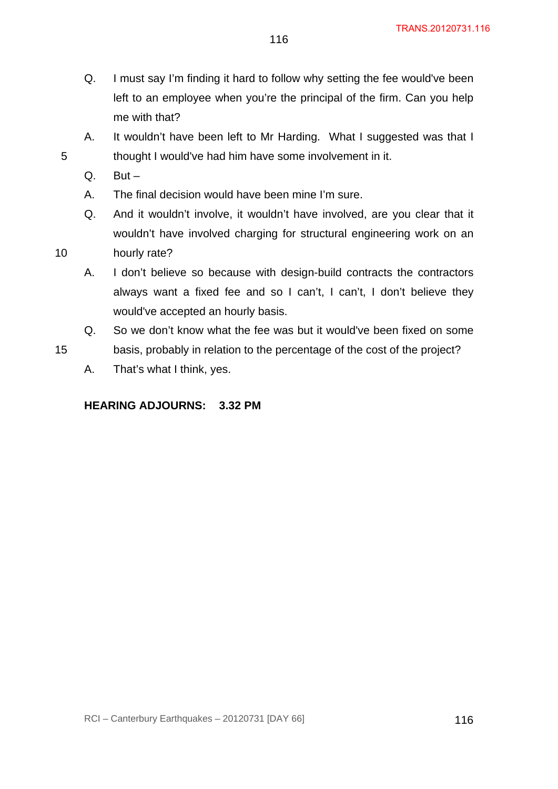Q. I must say I'm finding it hard to follow why setting the fee would've been left to an employee when you're the principal of the firm. Can you help me with that?

116

- A. It wouldn't have been left to Mr Harding. What I suggested was that I thought I would've had him have some involvement in it.
- $Q.$  But  $-$

5

10

15

- A. The final decision would have been mine I'm sure.
- Q. And it wouldn't involve, it wouldn't have involved, are you clear that it wouldn't have involved charging for structural engineering work on an hourly rate?
- A. I don't believe so because with design-build contracts the contractors always want a fixed fee and so I can't, I can't, I don't believe they would've accepted an hourly basis.
- Q. So we don't know what the fee was but it would've been fixed on some basis, probably in relation to the percentage of the cost of the project?
	- A. That's what I think, yes.

# **HEARING ADJOURNS: 3.32 PM**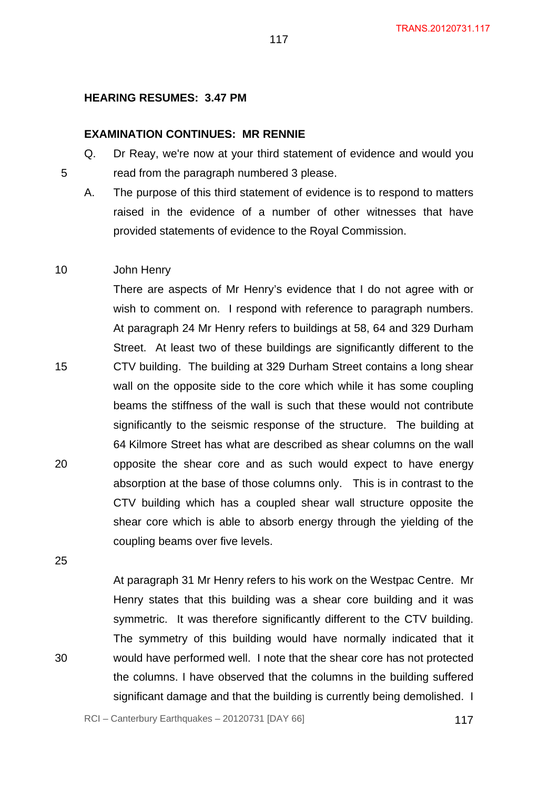#### **HEARING RESUMES: 3.47 PM**

#### **EXAMINATION CONTINUES: MR RENNIE**

- Q. Dr Reay, we're now at your third statement of evidence and would you read from the paragraph numbered 3 please.
	- A. The purpose of this third statement of evidence is to respond to matters raised in the evidence of a number of other witnesses that have provided statements of evidence to the Royal Commission.

#### 10 John Henry

5

There are aspects of Mr Henry's evidence that I do not agree with or wish to comment on. I respond with reference to paragraph numbers. At paragraph 24 Mr Henry refers to buildings at 58, 64 and 329 Durham Street. At least two of these buildings are significantly different to the CTV building. The building at 329 Durham Street contains a long shear wall on the opposite side to the core which while it has some coupling beams the stiffness of the wall is such that these would not contribute significantly to the seismic response of the structure. The building at 64 Kilmore Street has what are described as shear columns on the wall opposite the shear core and as such would expect to have energy absorption at the base of those columns only. This is in contrast to the CTV building which has a coupled shear wall structure opposite the shear core which is able to absorb energy through the yielding of the coupling beams over five levels.

25

15

20

30

At paragraph 31 Mr Henry refers to his work on the Westpac Centre. Mr Henry states that this building was a shear core building and it was symmetric. It was therefore significantly different to the CTV building. The symmetry of this building would have normally indicated that it would have performed well. I note that the shear core has not protected the columns. I have observed that the columns in the building suffered significant damage and that the building is currently being demolished. I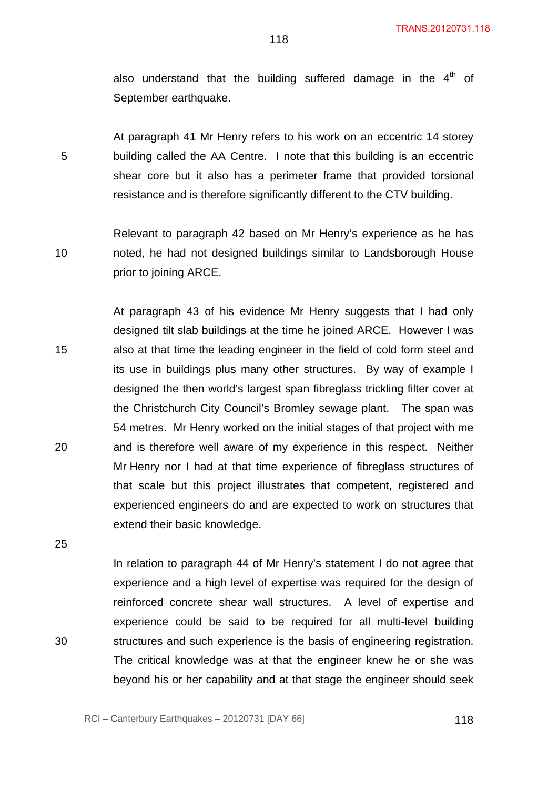also understand that the building suffered damage in the  $4<sup>th</sup>$  of September earthquake.

At paragraph 41 Mr Henry refers to his work on an eccentric 14 storey building called the AA Centre. I note that this building is an eccentric shear core but it also has a perimeter frame that provided torsional resistance and is therefore significantly different to the CTV building.

10 Relevant to paragraph 42 based on Mr Henry's experience as he has noted, he had not designed buildings similar to Landsborough House prior to joining ARCE.

15 20 At paragraph 43 of his evidence Mr Henry suggests that I had only designed tilt slab buildings at the time he joined ARCE. However I was also at that time the leading engineer in the field of cold form steel and its use in buildings plus many other structures. By way of example I designed the then world's largest span fibreglass trickling filter cover at the Christchurch City Council's Bromley sewage plant. The span was 54 metres. Mr Henry worked on the initial stages of that project with me and is therefore well aware of my experience in this respect. Neither Mr Henry nor I had at that time experience of fibreglass structures of that scale but this project illustrates that competent, registered and experienced engineers do and are expected to work on structures that extend their basic knowledge.

25

5

30

In relation to paragraph 44 of Mr Henry's statement I do not agree that experience and a high level of expertise was required for the design of reinforced concrete shear wall structures. A level of expertise and experience could be said to be required for all multi-level building structures and such experience is the basis of engineering registration. The critical knowledge was at that the engineer knew he or she was beyond his or her capability and at that stage the engineer should seek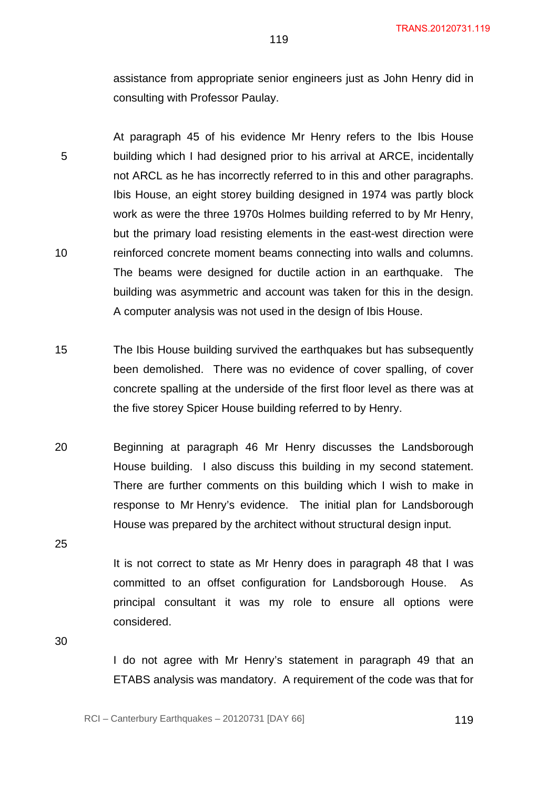assistance from appropriate senior engineers just as John Henry did in consulting with Professor Paulay.

119

5 10 At paragraph 45 of his evidence Mr Henry refers to the Ibis House building which I had designed prior to his arrival at ARCE, incidentally not ARCL as he has incorrectly referred to in this and other paragraphs. Ibis House, an eight storey building designed in 1974 was partly block work as were the three 1970s Holmes building referred to by Mr Henry, but the primary load resisting elements in the east-west direction were reinforced concrete moment beams connecting into walls and columns. The beams were designed for ductile action in an earthquake. The building was asymmetric and account was taken for this in the design. A computer analysis was not used in the design of Ibis House.

15 The Ibis House building survived the earthquakes but has subsequently been demolished. There was no evidence of cover spalling, of cover concrete spalling at the underside of the first floor level as there was at the five storey Spicer House building referred to by Henry.

20 Beginning at paragraph 46 Mr Henry discusses the Landsborough House building. I also discuss this building in my second statement. There are further comments on this building which I wish to make in response to Mr Henry's evidence. The initial plan for Landsborough House was prepared by the architect without structural design input.

25

It is not correct to state as Mr Henry does in paragraph 48 that I was committed to an offset configuration for Landsborough House. As principal consultant it was my role to ensure all options were considered.

30

I do not agree with Mr Henry's statement in paragraph 49 that an ETABS analysis was mandatory. A requirement of the code was that for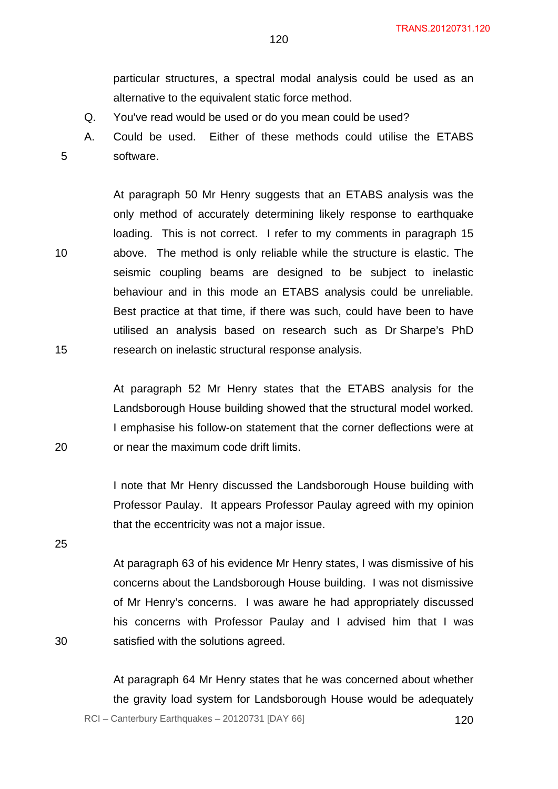particular structures, a spectral modal analysis could be used as an alternative to the equivalent static force method.

- Q. You've read would be used or do you mean could be used?
- A. Could be used. Either of these methods could utilise the ETABS software.

At paragraph 50 Mr Henry suggests that an ETABS analysis was the only method of accurately determining likely response to earthquake loading. This is not correct. I refer to my comments in paragraph 15 above. The method is only reliable while the structure is elastic. The seismic coupling beams are designed to be subject to inelastic behaviour and in this mode an ETABS analysis could be unreliable. Best practice at that time, if there was such, could have been to have utilised an analysis based on research such as Dr Sharpe's PhD research on inelastic structural response analysis.

At paragraph 52 Mr Henry states that the ETABS analysis for the Landsborough House building showed that the structural model worked. I emphasise his follow-on statement that the corner deflections were at or near the maximum code drift limits.

I note that Mr Henry discussed the Landsborough House building with Professor Paulay. It appears Professor Paulay agreed with my opinion that the eccentricity was not a major issue.

25

30

5

10

15

20

At paragraph 63 of his evidence Mr Henry states, I was dismissive of his concerns about the Landsborough House building. I was not dismissive of Mr Henry's concerns. I was aware he had appropriately discussed his concerns with Professor Paulay and I advised him that I was satisfied with the solutions agreed.

 $RCI - Canterbury Earthquakes - 20120731 [DAY 66]$  120 At paragraph 64 Mr Henry states that he was concerned about whether the gravity load system for Landsborough House would be adequately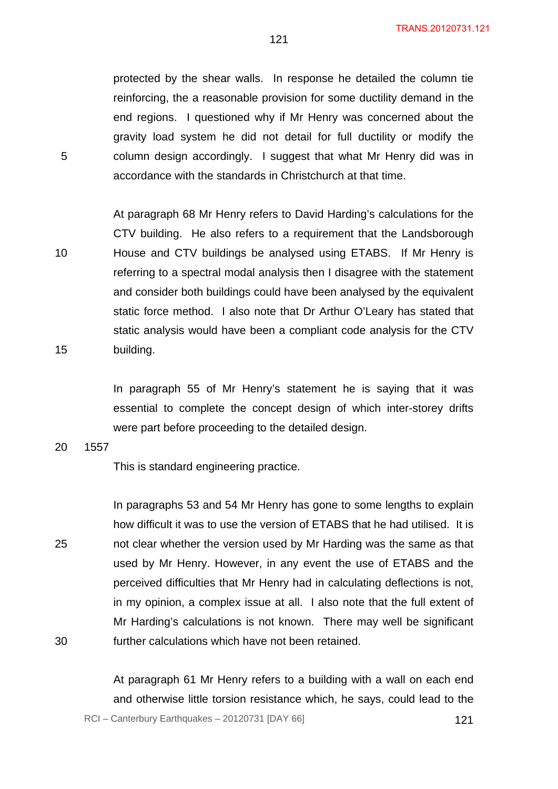protected by the shear walls. In response he detailed the column tie reinforcing, the a reasonable provision for some ductility demand in the end regions. I questioned why if Mr Henry was concerned about the gravity load system he did not detail for full ductility or modify the column design accordingly. I suggest that what Mr Henry did was in accordance with the standards in Christchurch at that time.

10 15 At paragraph 68 Mr Henry refers to David Harding's calculations for the CTV building. He also refers to a requirement that the Landsborough House and CTV buildings be analysed using ETABS. If Mr Henry is referring to a spectral modal analysis then I disagree with the statement and consider both buildings could have been analysed by the equivalent static force method. I also note that Dr Arthur O'Leary has stated that static analysis would have been a compliant code analysis for the CTV building.

> In paragraph 55 of Mr Henry's statement he is saying that it was essential to complete the concept design of which inter-storey drifts were part before proceeding to the detailed design.

20 1557

5

This is standard engineering practice.

25 30 In paragraphs 53 and 54 Mr Henry has gone to some lengths to explain how difficult it was to use the version of ETABS that he had utilised. It is not clear whether the version used by Mr Harding was the same as that used by Mr Henry. However, in any event the use of ETABS and the perceived difficulties that Mr Henry had in calculating deflections is not, in my opinion, a complex issue at all. I also note that the full extent of Mr Harding's calculations is not known. There may well be significant further calculations which have not been retained.

 $RCI - Canterbury Earthquakes - 20120731 [DAY 66]$  121 At paragraph 61 Mr Henry refers to a building with a wall on each end and otherwise little torsion resistance which, he says, could lead to the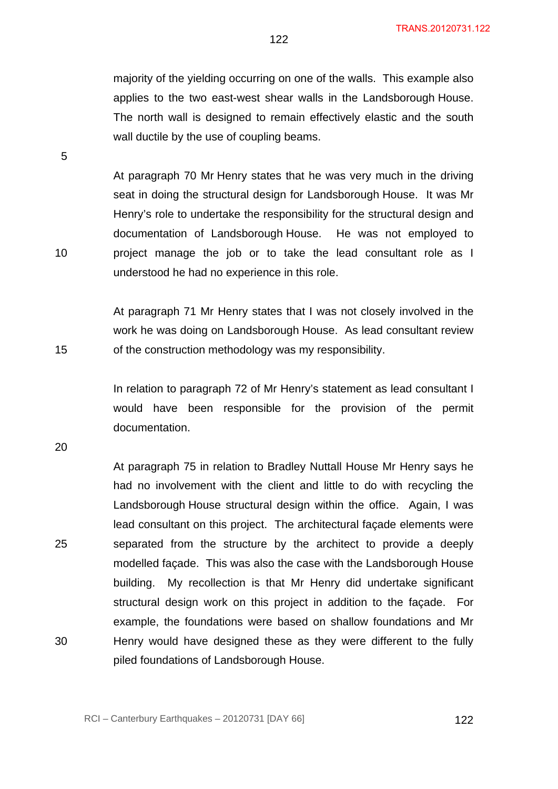majority of the yielding occurring on one of the walls. This example also applies to the two east-west shear walls in the Landsborough House. The north wall is designed to remain effectively elastic and the south wall ductile by the use of coupling beams.

122

At paragraph 70 Mr Henry states that he was very much in the driving seat in doing the structural design for Landsborough House. It was Mr Henry's role to undertake the responsibility for the structural design and documentation of Landsborough House. He was not employed to project manage the job or to take the lead consultant role as I understood he had no experience in this role.

At paragraph 71 Mr Henry states that I was not closely involved in the work he was doing on Landsborough House. As lead consultant review of the construction methodology was my responsibility.

In relation to paragraph 72 of Mr Henry's statement as lead consultant I would have been responsible for the provision of the permit documentation.

20

25

30

At paragraph 75 in relation to Bradley Nuttall House Mr Henry says he had no involvement with the client and little to do with recycling the Landsborough House structural design within the office. Again, I was lead consultant on this project. The architectural façade elements were separated from the structure by the architect to provide a deeply modelled façade. This was also the case with the Landsborough House building. My recollection is that Mr Henry did undertake significant structural design work on this project in addition to the façade. For example, the foundations were based on shallow foundations and Mr Henry would have designed these as they were different to the fully piled foundations of Landsborough House.

5

15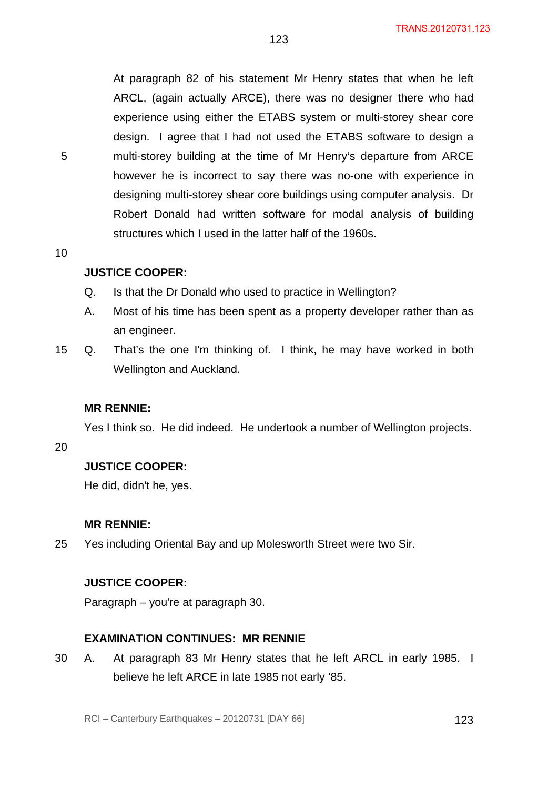At paragraph 82 of his statement Mr Henry states that when he left ARCL, (again actually ARCE), there was no designer there who had experience using either the ETABS system or multi-storey shear core design. I agree that I had not used the ETABS software to design a multi-storey building at the time of Mr Henry's departure from ARCE however he is incorrect to say there was no-one with experience in designing multi-storey shear core buildings using computer analysis. Dr Robert Donald had written software for modal analysis of building structures which I used in the latter half of the 1960s.

123

10

5

### **JUSTICE COOPER:**

- Q. Is that the Dr Donald who used to practice in Wellington?
- A. Most of his time has been spent as a property developer rather than as an engineer.
- 15 Q. That's the one I'm thinking of. I think, he may have worked in both Wellington and Auckland.

#### **MR RENNIE:**

Yes I think so. He did indeed. He undertook a number of Wellington projects.

20

#### **JUSTICE COOPER:**

He did, didn't he, yes.

#### **MR RENNIE:**

25 Yes including Oriental Bay and up Molesworth Street were two Sir.

### **JUSTICE COOPER:**

Paragraph – you're at paragraph 30.

#### **EXAMINATION CONTINUES: MR RENNIE**

30 A. At paragraph 83 Mr Henry states that he left ARCL in early 1985. I believe he left ARCE in late 1985 not early '85.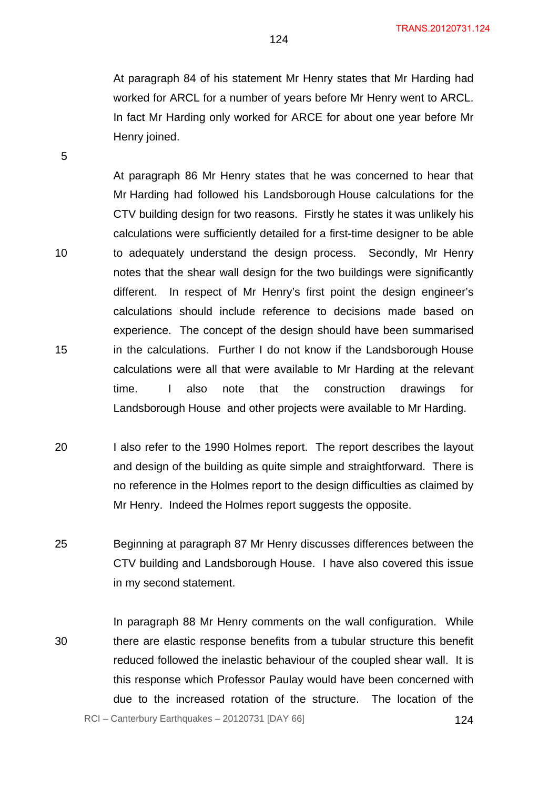At paragraph 84 of his statement Mr Henry states that Mr Harding had worked for ARCL for a number of years before Mr Henry went to ARCL. In fact Mr Harding only worked for ARCE for about one year before Mr Henry joined.

At paragraph 86 Mr Henry states that he was concerned to hear that Mr Harding had followed his Landsborough House calculations for the CTV building design for two reasons. Firstly he states it was unlikely his calculations were sufficiently detailed for a first-time designer to be able to adequately understand the design process. Secondly, Mr Henry notes that the shear wall design for the two buildings were significantly different. In respect of Mr Henry's first point the design engineer's calculations should include reference to decisions made based on experience. The concept of the design should have been summarised in the calculations. Further I do not know if the Landsborough House calculations were all that were available to Mr Harding at the relevant time. I also note that the construction drawings for Landsborough House and other projects were available to Mr Harding.

- 20 I also refer to the 1990 Holmes report. The report describes the layout and design of the building as quite simple and straightforward. There is no reference in the Holmes report to the design difficulties as claimed by Mr Henry. Indeed the Holmes report suggests the opposite.
- 25 Beginning at paragraph 87 Mr Henry discusses differences between the CTV building and Landsborough House. I have also covered this issue in my second statement.
- RCI Canterbury Earthquakes 20120731 [DAY 66] 124 30 In paragraph 88 Mr Henry comments on the wall configuration. While there are elastic response benefits from a tubular structure this benefit reduced followed the inelastic behaviour of the coupled shear wall. It is this response which Professor Paulay would have been concerned with due to the increased rotation of the structure. The location of the

5

10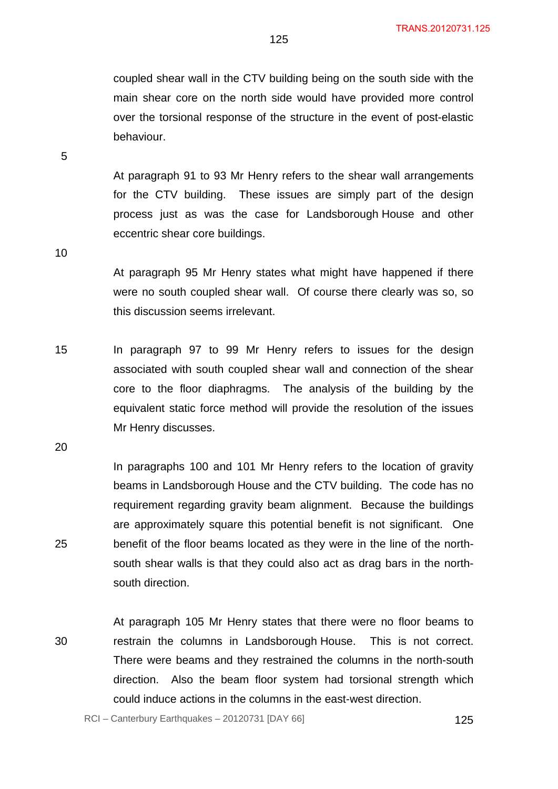coupled shear wall in the CTV building being on the south side with the main shear core on the north side would have provided more control over the torsional response of the structure in the event of post-elastic behaviour.

At paragraph 91 to 93 Mr Henry refers to the shear wall arrangements for the CTV building. These issues are simply part of the design process just as was the case for Landsborough House and other eccentric shear core buildings.

10

5

At paragraph 95 Mr Henry states what might have happened if there were no south coupled shear wall. Of course there clearly was so, so this discussion seems irrelevant.

15 In paragraph 97 to 99 Mr Henry refers to issues for the design associated with south coupled shear wall and connection of the shear core to the floor diaphragms. The analysis of the building by the equivalent static force method will provide the resolution of the issues Mr Henry discusses.

20

25

In paragraphs 100 and 101 Mr Henry refers to the location of gravity beams in Landsborough House and the CTV building. The code has no requirement regarding gravity beam alignment. Because the buildings are approximately square this potential benefit is not significant. One benefit of the floor beams located as they were in the line of the northsouth shear walls is that they could also act as drag bars in the northsouth direction.

30

At paragraph 105 Mr Henry states that there were no floor beams to restrain the columns in Landsborough House. This is not correct. There were beams and they restrained the columns in the north-south direction. Also the beam floor system had torsional strength which could induce actions in the columns in the east-west direction.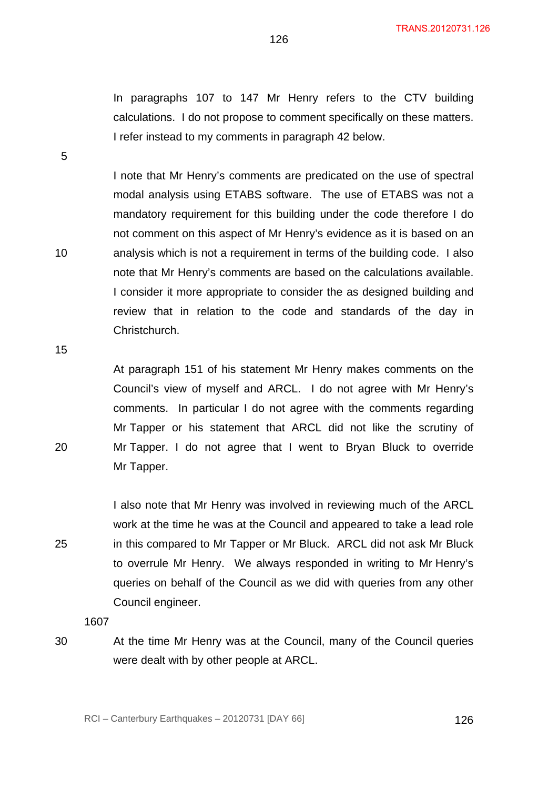In paragraphs 107 to 147 Mr Henry refers to the CTV building calculations. I do not propose to comment specifically on these matters. I refer instead to my comments in paragraph 42 below.

126

I note that Mr Henry's comments are predicated on the use of spectral modal analysis using ETABS software. The use of ETABS was not a mandatory requirement for this building under the code therefore I do not comment on this aspect of Mr Henry's evidence as it is based on an analysis which is not a requirement in terms of the building code. I also note that Mr Henry's comments are based on the calculations available. I consider it more appropriate to consider the as designed building and review that in relation to the code and standards of the day in Christchurch.

15

20

25

30

10

5

At paragraph 151 of his statement Mr Henry makes comments on the Council's view of myself and ARCL. I do not agree with Mr Henry's comments. In particular I do not agree with the comments regarding Mr Tapper or his statement that ARCL did not like the scrutiny of Mr Tapper. I do not agree that I went to Bryan Bluck to override Mr Tapper.

I also note that Mr Henry was involved in reviewing much of the ARCL work at the time he was at the Council and appeared to take a lead role in this compared to Mr Tapper or Mr Bluck. ARCL did not ask Mr Bluck to overrule Mr Henry. We always responded in writing to Mr Henry's queries on behalf of the Council as we did with queries from any other Council engineer.

1607

At the time Mr Henry was at the Council, many of the Council queries were dealt with by other people at ARCL.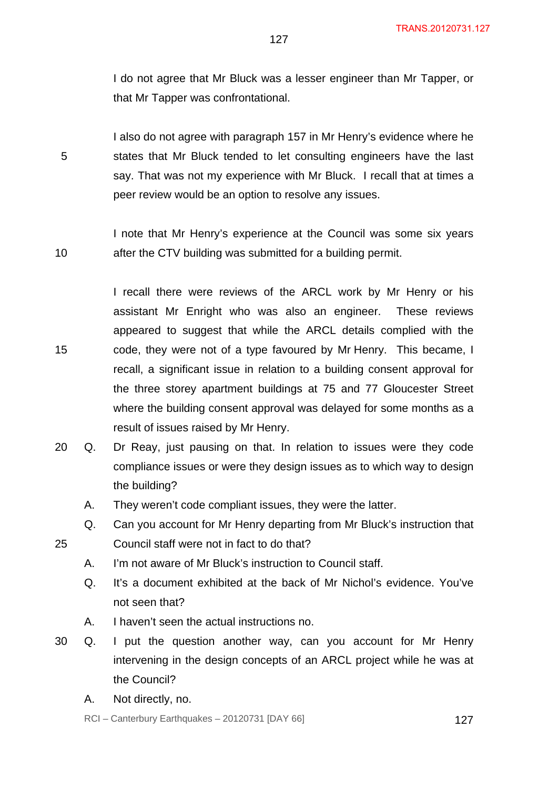I do not agree that Mr Bluck was a lesser engineer than Mr Tapper, or that Mr Tapper was confrontational.

I also do not agree with paragraph 157 in Mr Henry's evidence where he states that Mr Bluck tended to let consulting engineers have the last say. That was not my experience with Mr Bluck. I recall that at times a peer review would be an option to resolve any issues.

10 I note that Mr Henry's experience at the Council was some six years after the CTV building was submitted for a building permit.

I recall there were reviews of the ARCL work by Mr Henry or his assistant Mr Enright who was also an engineer. These reviews appeared to suggest that while the ARCL details complied with the code, they were not of a type favoured by Mr Henry. This became, I recall, a significant issue in relation to a building consent approval for the three storey apartment buildings at 75 and 77 Gloucester Street where the building consent approval was delayed for some months as a result of issues raised by Mr Henry.

- 20 Q. Dr Reay, just pausing on that. In relation to issues were they code compliance issues or were they design issues as to which way to design the building?
	- A. They weren't code compliant issues, they were the latter.
	- Q. Can you account for Mr Henry departing from Mr Bluck's instruction that Council staff were not in fact to do that?
	- A. I'm not aware of Mr Bluck's instruction to Council staff.
	- Q. It's a document exhibited at the back of Mr Nichol's evidence. You've not seen that?
	- A. I haven't seen the actual instructions no.
- 30 Q. I put the question another way, can you account for Mr Henry intervening in the design concepts of an ARCL project while he was at the Council?
	- A. Not directly, no.

5

15

25

 $RCI - Canterbury Earthquakes - 20120731 [DAY 66]$  127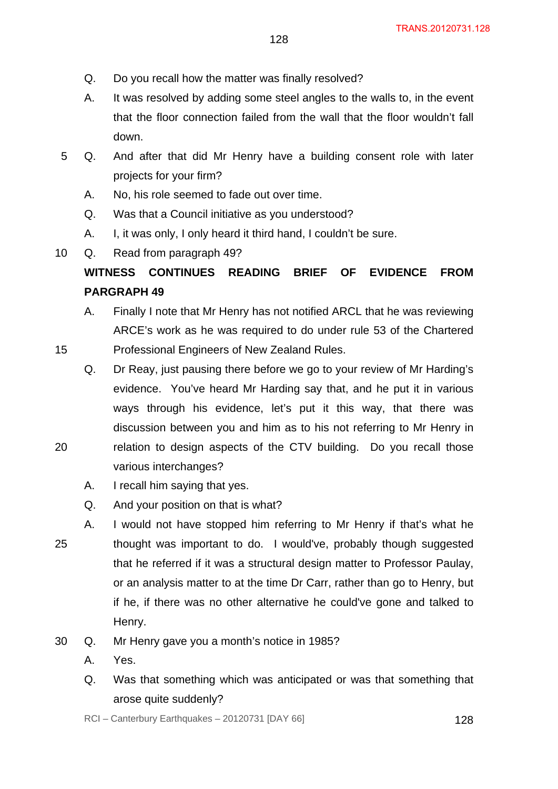- 128
- Q. Do you recall how the matter was finally resolved?
- A. It was resolved by adding some steel angles to the walls to, in the event that the floor connection failed from the wall that the floor wouldn't fall down.
- 5 Q. And after that did Mr Henry have a building consent role with later projects for your firm?
	- A. No, his role seemed to fade out over time.
	- Q. Was that a Council initiative as you understood?
	- A. I, it was only, I only heard it third hand, I couldn't be sure.

10 Q. Read from paragraph 49?

15

20

# **WITNESS CONTINUES READING BRIEF OF EVIDENCE FROM PARGRAPH 49**

- A. Finally I note that Mr Henry has not notified ARCL that he was reviewing ARCE's work as he was required to do under rule 53 of the Chartered Professional Engineers of New Zealand Rules.
- Q. Dr Reay, just pausing there before we go to your review of Mr Harding's evidence. You've heard Mr Harding say that, and he put it in various ways through his evidence, let's put it this way, that there was discussion between you and him as to his not referring to Mr Henry in relation to design aspects of the CTV building. Do you recall those various interchanges?
- A. I recall him saying that yes.
- Q. And your position on that is what?
- 25 A. I would not have stopped him referring to Mr Henry if that's what he thought was important to do. I would've, probably though suggested that he referred if it was a structural design matter to Professor Paulay, or an analysis matter to at the time Dr Carr, rather than go to Henry, but if he, if there was no other alternative he could've gone and talked to Henry.
- 30 Q. Mr Henry gave you a month's notice in 1985?
	- A. Yes.
	- Q. Was that something which was anticipated or was that something that arose quite suddenly?

 $RCI - Canterbury Earthquakes - 20120731 [DAY 66]$  128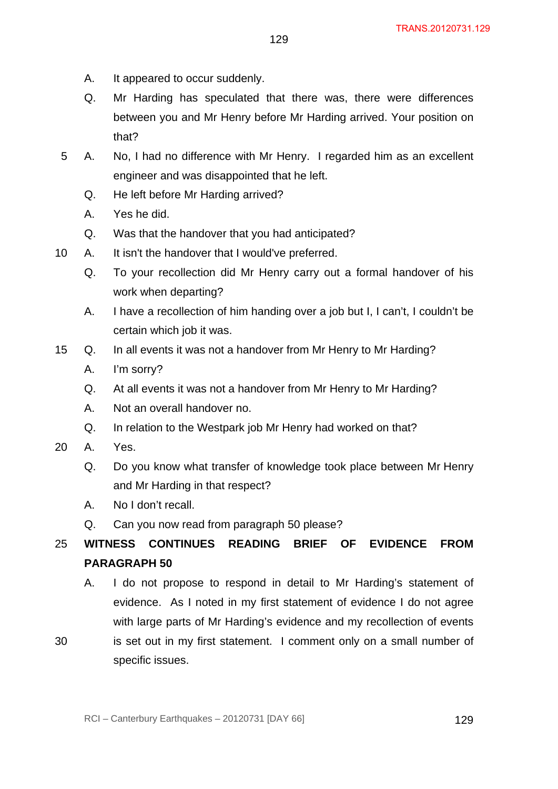- A. It appeared to occur suddenly.
- Q. Mr Harding has speculated that there was, there were differences between you and Mr Henry before Mr Harding arrived. Your position on that?
- 5 A. No, I had no difference with Mr Henry. I regarded him as an excellent engineer and was disappointed that he left.
	- Q. He left before Mr Harding arrived?
	- A. Yes he did.
	- Q. Was that the handover that you had anticipated?
- 10 A. It isn't the handover that I would've preferred.
	- Q. To your recollection did Mr Henry carry out a formal handover of his work when departing?
	- A. I have a recollection of him handing over a job but I, I can't, I couldn't be certain which job it was.
- 15 Q. In all events it was not a handover from Mr Henry to Mr Harding?
	- A. I'm sorry?
	- Q. At all events it was not a handover from Mr Henry to Mr Harding?
	- A. Not an overall handover no.
	- Q. In relation to the Westpark job Mr Henry had worked on that?
- 20 A. Yes.
	- Q. Do you know what transfer of knowledge took place between Mr Henry and Mr Harding in that respect?
	- A. No I don't recall.
	- Q. Can you now read from paragraph 50 please?

#### 25 **WITNESS CONTINUES READING BRIEF OF EVIDENCE FROM PARAGRAPH 50**

- A. I do not propose to respond in detail to Mr Harding's statement of evidence. As I noted in my first statement of evidence I do not agree with large parts of Mr Harding's evidence and my recollection of events
- 30 is set out in my first statement. I comment only on a small number of specific issues.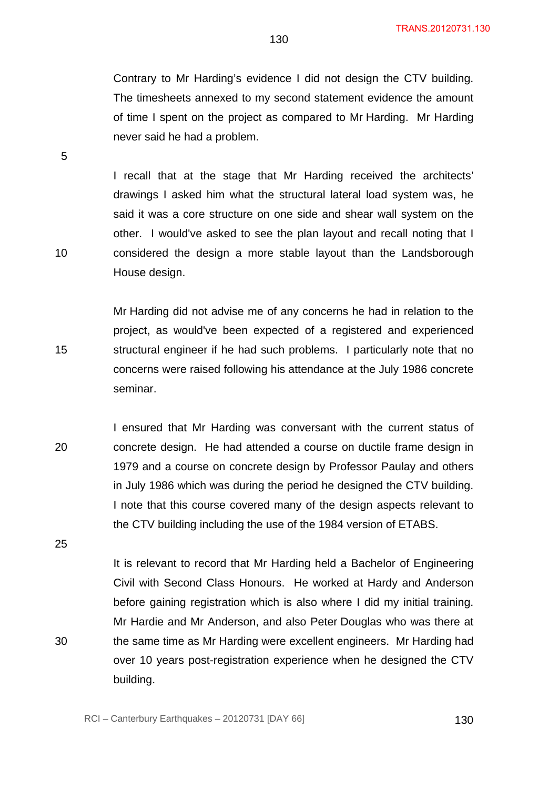Contrary to Mr Harding's evidence I did not design the CTV building. The timesheets annexed to my second statement evidence the amount of time I spent on the project as compared to Mr Harding. Mr Harding never said he had a problem.

I recall that at the stage that Mr Harding received the architects' drawings I asked him what the structural lateral load system was, he said it was a core structure on one side and shear wall system on the other. I would've asked to see the plan layout and recall noting that I considered the design a more stable layout than the Landsborough House design.

Mr Harding did not advise me of any concerns he had in relation to the project, as would've been expected of a registered and experienced structural engineer if he had such problems. I particularly note that no concerns were raised following his attendance at the July 1986 concrete seminar.

20 I ensured that Mr Harding was conversant with the current status of concrete design. He had attended a course on ductile frame design in 1979 and a course on concrete design by Professor Paulay and others in July 1986 which was during the period he designed the CTV building. I note that this course covered many of the design aspects relevant to the CTV building including the use of the 1984 version of ETABS.

It is relevant to record that Mr Harding held a Bachelor of Engineering Civil with Second Class Honours. He worked at Hardy and Anderson before gaining registration which is also where I did my initial training. Mr Hardie and Mr Anderson, and also Peter Douglas who was there at the same time as Mr Harding were excellent engineers. Mr Harding had over 10 years post-registration experience when he designed the CTV building.

5

15

10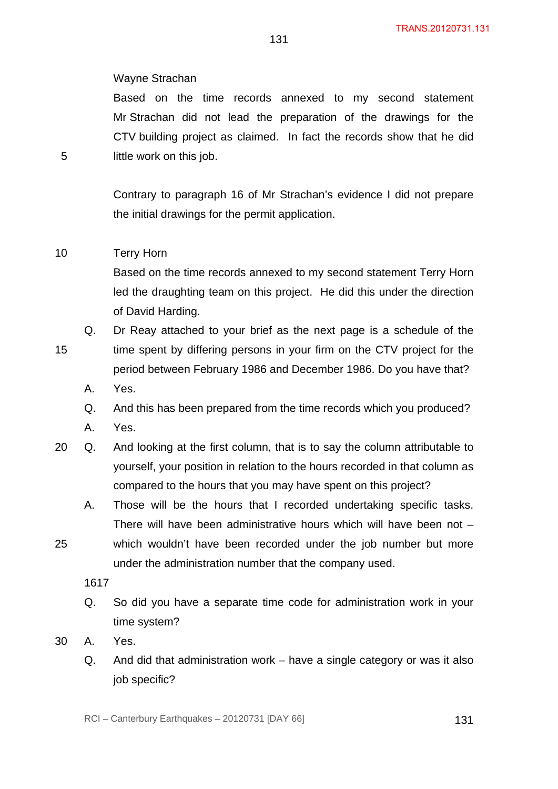#### Wayne Strachan

Based on the time records annexed to my second statement Mr Strachan did not lead the preparation of the drawings for the CTV building project as claimed. In fact the records show that he did little work on this job.

131

Contrary to paragraph 16 of Mr Strachan's evidence I did not prepare the initial drawings for the permit application.

#### 10 Terry Horn

5

Based on the time records annexed to my second statement Terry Horn led the draughting team on this project. He did this under the direction of David Harding.

- 15 Q. Dr Reay attached to your brief as the next page is a schedule of the time spent by differing persons in your firm on the CTV project for the period between February 1986 and December 1986. Do you have that?
	- A. Yes.
	- Q. And this has been prepared from the time records which you produced?
	- A. Yes.
- 20 Q. And looking at the first column, that is to say the column attributable to yourself, your position in relation to the hours recorded in that column as compared to the hours that you may have spent on this project?
	- A. Those will be the hours that I recorded undertaking specific tasks. There will have been administrative hours which will have been not –
- 25 which wouldn't have been recorded under the job number but more under the administration number that the company used.

1617

Q. So did you have a separate time code for administration work in your time system?

30 A. Yes.

Q. And did that administration work – have a single category or was it also job specific?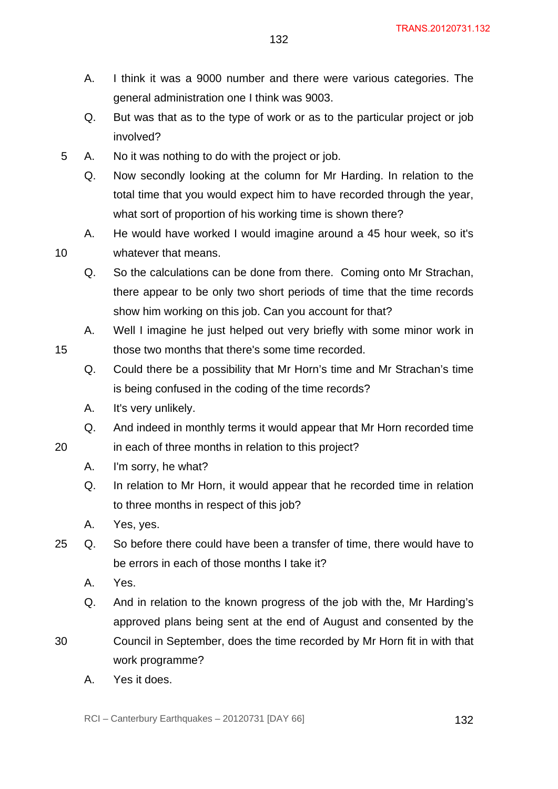- A. I think it was a 9000 number and there were various categories. The general administration one I think was 9003.
- Q. But was that as to the type of work or as to the particular project or job involved?
- 5 A. No it was nothing to do with the project or job.
	- Q. Now secondly looking at the column for Mr Harding. In relation to the total time that you would expect him to have recorded through the year, what sort of proportion of his working time is shown there?
	- A. He would have worked I would imagine around a 45 hour week, so it's whatever that means.
	- Q. So the calculations can be done from there. Coming onto Mr Strachan, there appear to be only two short periods of time that the time records show him working on this job. Can you account for that?
	- A. Well I imagine he just helped out very briefly with some minor work in those two months that there's some time recorded.
	- Q. Could there be a possibility that Mr Horn's time and Mr Strachan's time is being confused in the coding of the time records?
	- A. It's very unlikely.
	- Q. And indeed in monthly terms it would appear that Mr Horn recorded time in each of three months in relation to this project?
	- A. I'm sorry, he what?
	- Q. In relation to Mr Horn, it would appear that he recorded time in relation to three months in respect of this job?
	- A. Yes, yes.
- 25 Q. So before there could have been a transfer of time, there would have to be errors in each of those months I take it?
	- A. Yes.
	- Q. And in relation to the known progress of the job with the, Mr Harding's approved plans being sent at the end of August and consented by the
- 30 Council in September, does the time recorded by Mr Horn fit in with that work programme?
	- A. Yes it does.

20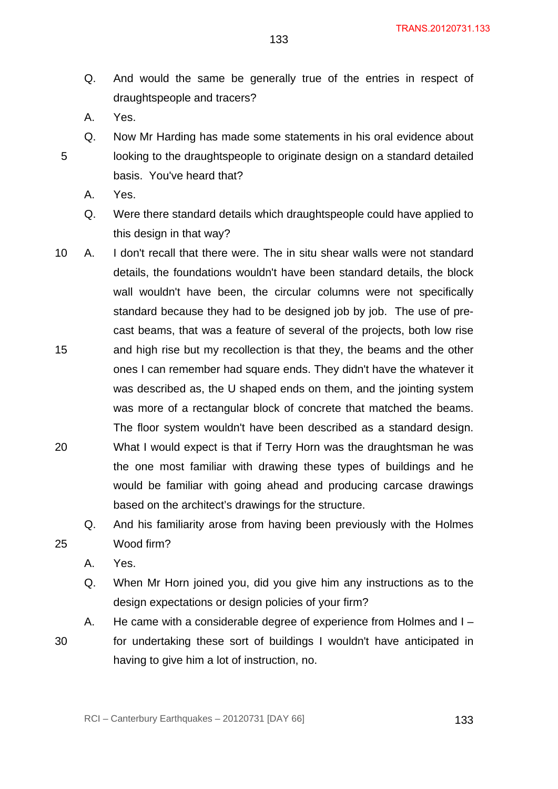- Q. And would the same be generally true of the entries in respect of draughtspeople and tracers?
- A. Yes.

- Q. Now Mr Harding has made some statements in his oral evidence about looking to the draughtspeople to originate design on a standard detailed basis. You've heard that?
	- A. Yes.
	- Q. Were there standard details which draughtspeople could have applied to this design in that way?
- 15 20 10 A. I don't recall that there were. The in situ shear walls were not standard details, the foundations wouldn't have been standard details, the block wall wouldn't have been, the circular columns were not specifically standard because they had to be designed job by job. The use of precast beams, that was a feature of several of the projects, both low rise and high rise but my recollection is that they, the beams and the other ones I can remember had square ends. They didn't have the whatever it was described as, the U shaped ends on them, and the jointing system was more of a rectangular block of concrete that matched the beams. The floor system wouldn't have been described as a standard design. What I would expect is that if Terry Horn was the draughtsman he was the one most familiar with drawing these types of buildings and he would be familiar with going ahead and producing carcase drawings
	- Q. And his familiarity arose from having been previously with the Holmes Wood firm?

based on the architect's drawings for the structure.

A. Yes.

25

- Q. When Mr Horn joined you, did you give him any instructions as to the design expectations or design policies of your firm?
- A. He came with a considerable degree of experience from Holmes and I for undertaking these sort of buildings I wouldn't have anticipated in having to give him a lot of instruction, no.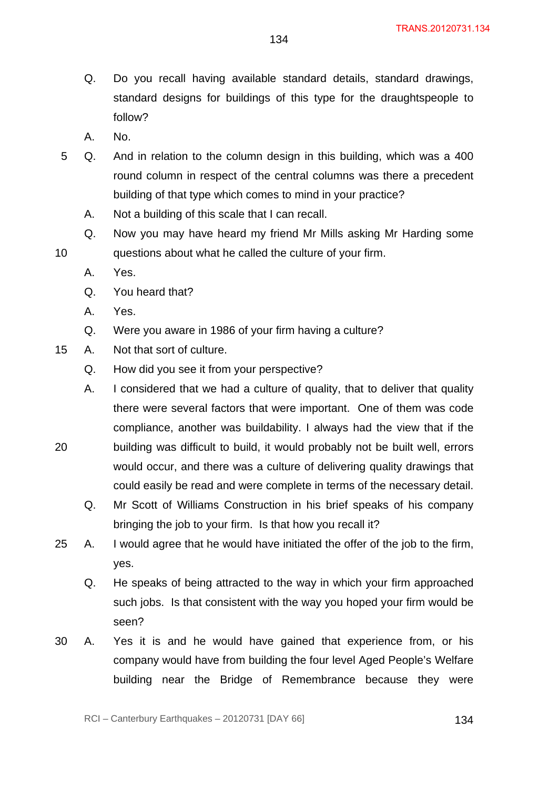- Q. Do you recall having available standard details, standard drawings, standard designs for buildings of this type for the draughtspeople to follow?
- A. No.
- 5 Q. And in relation to the column design in this building, which was a 400 round column in respect of the central columns was there a precedent building of that type which comes to mind in your practice?
	- A. Not a building of this scale that I can recall.
	- Q. Now you may have heard my friend Mr Mills asking Mr Harding some questions about what he called the culture of your firm.
		- A. Yes.

- Q. You heard that?
- A. Yes.
- Q. Were you aware in 1986 of your firm having a culture?
- 15 A. Not that sort of culture.
	- Q. How did you see it from your perspective?
	- A. I considered that we had a culture of quality, that to deliver that quality there were several factors that were important. One of them was code compliance, another was buildability. I always had the view that if the building was difficult to build, it would probably not be built well, errors
- 20 would occur, and there was a culture of delivering quality drawings that could easily be read and were complete in terms of the necessary detail.
	- Q. Mr Scott of Williams Construction in his brief speaks of his company bringing the job to your firm. Is that how you recall it?
- 25 A. I would agree that he would have initiated the offer of the job to the firm, yes.
	- Q. He speaks of being attracted to the way in which your firm approached such jobs. Is that consistent with the way you hoped your firm would be seen?
- 30 A. Yes it is and he would have gained that experience from, or his company would have from building the four level Aged People's Welfare building near the Bridge of Remembrance because they were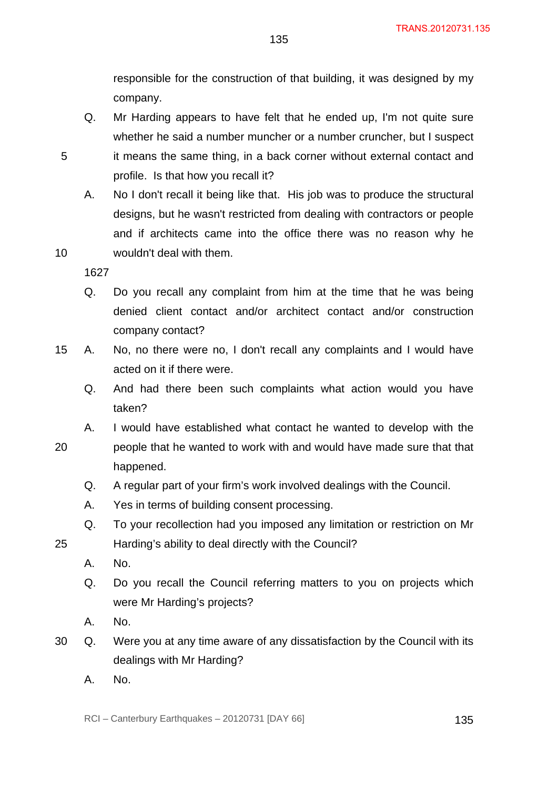responsible for the construction of that building, it was designed by my company.

- Q. Mr Harding appears to have felt that he ended up, I'm not quite sure whether he said a number muncher or a number cruncher, but I suspect it means the same thing, in a back corner without external contact and profile. Is that how you recall it?
- A. No I don't recall it being like that. His job was to produce the structural designs, but he wasn't restricted from dealing with contractors or people and if architects came into the office there was no reason why he wouldn't deal with them.

1627

5

10

- Q. Do you recall any complaint from him at the time that he was being denied client contact and/or architect contact and/or construction company contact?
- 15 A. No, no there were no, I don't recall any complaints and I would have acted on it if there were.
	- Q. And had there been such complaints what action would you have taken?
- 20 A. I would have established what contact he wanted to develop with the people that he wanted to work with and would have made sure that that happened.
	- Q. A regular part of your firm's work involved dealings with the Council.
	- A. Yes in terms of building consent processing.
	- Q. To your recollection had you imposed any limitation or restriction on Mr Harding's ability to deal directly with the Council?
		- A. No.

- Q. Do you recall the Council referring matters to you on projects which were Mr Harding's projects?
- A. No.
- 30 Q. Were you at any time aware of any dissatisfaction by the Council with its dealings with Mr Harding?
	- A. No.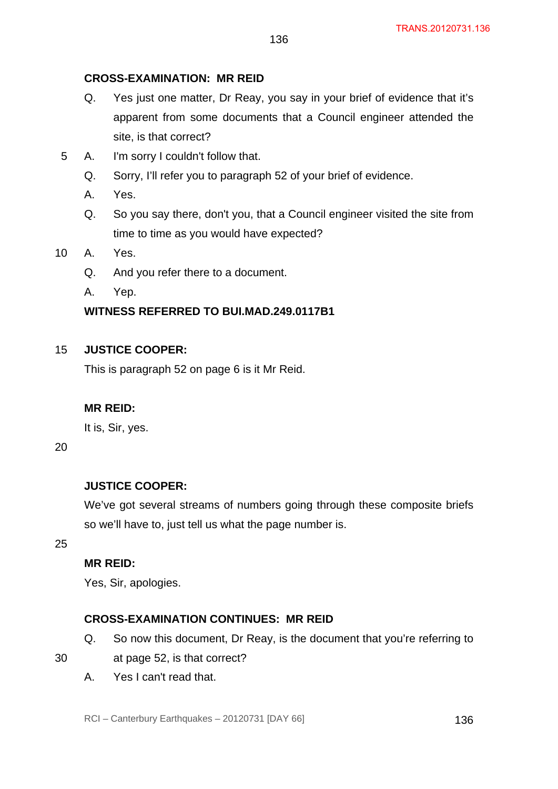# **CROSS-EXAMINATION: MR REID**

Q. Yes just one matter, Dr Reay, you say in your brief of evidence that it's apparent from some documents that a Council engineer attended the site, is that correct?

136

- 5 A. I'm sorry I couldn't follow that.
	- Q. Sorry, I'll refer you to paragraph 52 of your brief of evidence.
	- A. Yes.
	- Q. So you say there, don't you, that a Council engineer visited the site from time to time as you would have expected?
- 10 A. Yes.
	- Q. And you refer there to a document.
	- A. Yep.

# **WITNESS REFERRED TO BUI.MAD.249.0117B1**

#### 15 **JUSTICE COOPER:**

This is paragraph 52 on page 6 is it Mr Reid.

# **MR REID:**

It is, Sir, yes.

20

# **JUSTICE COOPER:**

We've got several streams of numbers going through these composite briefs so we'll have to, just tell us what the page number is.

25

# **MR REID:**

Yes, Sir, apologies.

# **CROSS-EXAMINATION CONTINUES: MR REID**

- Q. So now this document, Dr Reay, is the document that you're referring to
- at page 52, is that correct?
- A. Yes I can't read that.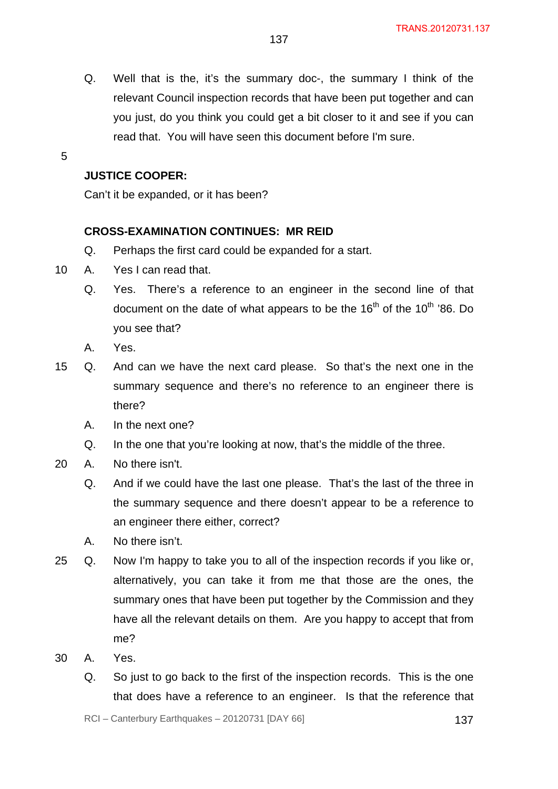- Q. Well that is the, it's the summary doc-, the summary I think of the relevant Council inspection records that have been put together and can you just, do you think you could get a bit closer to it and see if you can read that. You will have seen this document before I'm sure.
- 5

# **JUSTICE COOPER:**

Can't it be expanded, or it has been?

### **CROSS-EXAMINATION CONTINUES: MR REID**

- Q. Perhaps the first card could be expanded for a start.
- 10 A. Yes I can read that.
	- Q. Yes. There's a reference to an engineer in the second line of that document on the date of what appears to be the  $16<sup>th</sup>$  of the  $10<sup>th</sup>$  '86. Do you see that?
	- A. Yes.
- 15 Q. And can we have the next card please. So that's the next one in the summary sequence and there's no reference to an engineer there is there?
	- A. In the next one?
	- Q. In the one that you're looking at now, that's the middle of the three.
- 20 A. No there isn't.
	- Q. And if we could have the last one please. That's the last of the three in the summary sequence and there doesn't appear to be a reference to an engineer there either, correct?
	- A. No there isn't.
- 25 Q. Now I'm happy to take you to all of the inspection records if you like or, alternatively, you can take it from me that those are the ones, the summary ones that have been put together by the Commission and they have all the relevant details on them. Are you happy to accept that from me?
- 30 A. Yes.
	- Q. So just to go back to the first of the inspection records. This is the one that does have a reference to an engineer. Is that the reference that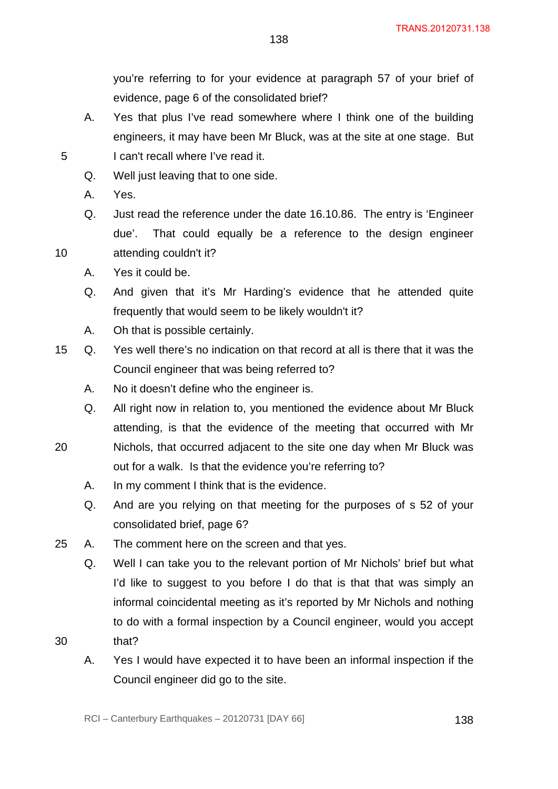you're referring to for your evidence at paragraph 57 of your brief of evidence, page 6 of the consolidated brief?

A. Yes that plus I've read somewhere where I think one of the building engineers, it may have been Mr Bluck, was at the site at one stage. But 5 I can't recall where I've read it.

- Q. Well just leaving that to one side.
- A. Yes.
- Q. Just read the reference under the date 16.10.86. The entry is 'Engineer due'. That could equally be a reference to the design engineer 10 attending couldn't it?
	- A. Yes it could be.
	- Q. And given that it's Mr Harding's evidence that he attended quite frequently that would seem to be likely wouldn't it?
	- A. Oh that is possible certainly.
- 15 Q. Yes well there's no indication on that record at all is there that it was the Council engineer that was being referred to?
	- A. No it doesn't define who the engineer is.
	- Q. All right now in relation to, you mentioned the evidence about Mr Bluck attending, is that the evidence of the meeting that occurred with Mr
- 20 Nichols, that occurred adjacent to the site one day when Mr Bluck was out for a walk. Is that the evidence you're referring to?
	- A. In my comment I think that is the evidence.
	- Q. And are you relying on that meeting for the purposes of s 52 of your consolidated brief, page 6?
- 25 A. The comment here on the screen and that yes.
	- Q. Well I can take you to the relevant portion of Mr Nichols' brief but what I'd like to suggest to you before I do that is that that was simply an informal coincidental meeting as it's reported by Mr Nichols and nothing to do with a formal inspection by a Council engineer, would you accept
- 30 that?
	- A. Yes I would have expected it to have been an informal inspection if the Council engineer did go to the site.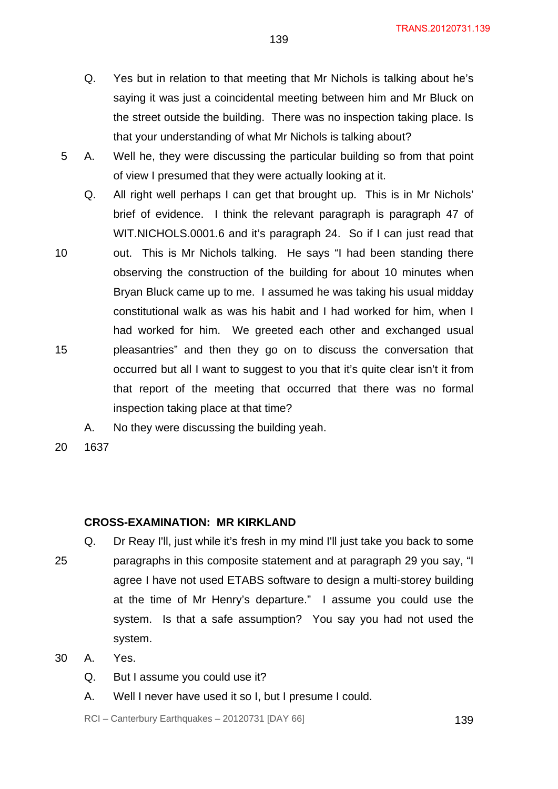- Q. Yes but in relation to that meeting that Mr Nichols is talking about he's saying it was just a coincidental meeting between him and Mr Bluck on the street outside the building. There was no inspection taking place. Is that your understanding of what Mr Nichols is talking about?
- 5 A. Well he, they were discussing the particular building so from that point of view I presumed that they were actually looking at it.
	- Q. All right well perhaps I can get that brought up. This is in Mr Nichols' brief of evidence. I think the relevant paragraph is paragraph 47 of WIT. NICHOLS.0001.6 and it's paragraph 24. So if I can just read that
- 10 15 out. This is Mr Nichols talking. He says "I had been standing there observing the construction of the building for about 10 minutes when Bryan Bluck came up to me. I assumed he was taking his usual midday constitutional walk as was his habit and I had worked for him, when I had worked for him. We greeted each other and exchanged usual pleasantries" and then they go on to discuss the conversation that occurred but all I want to suggest to you that it's quite clear isn't it from that report of the meeting that occurred that there was no formal inspection taking place at that time?
	- A. No they were discussing the building yeah.

#### **CROSS-EXAMINATION: MR KIRKLAND**

- 25 Q. Dr Reay I'll, just while it's fresh in my mind I'll just take you back to some paragraphs in this composite statement and at paragraph 29 you say, "I agree I have not used ETABS software to design a multi-storey building at the time of Mr Henry's departure." I assume you could use the system. Is that a safe assumption? You say you had not used the system.
- 30 A. Yes.
	- Q. But I assume you could use it?
	- A. Well I never have used it so I, but I presume I could.

RCI – Canterbury Earthquakes – 20120731 [DAY 66] 139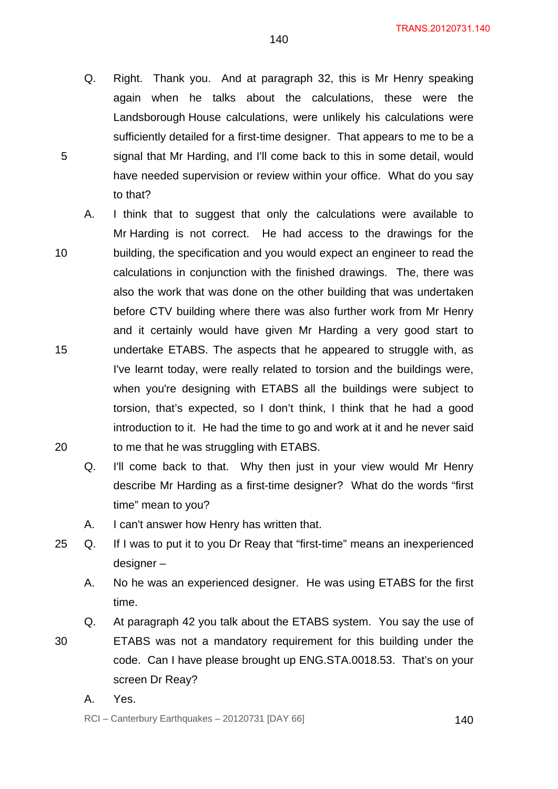Q. Right. Thank you. And at paragraph 32, this is Mr Henry speaking again when he talks about the calculations, these were the Landsborough House calculations, were unlikely his calculations were sufficiently detailed for a first-time designer. That appears to me to be a signal that Mr Harding, and I'll come back to this in some detail, would have needed supervision or review within your office. What do you say to that?

140

- 10 15 20 A. I think that to suggest that only the calculations were available to Mr Harding is not correct. He had access to the drawings for the building, the specification and you would expect an engineer to read the calculations in conjunction with the finished drawings. The, there was also the work that was done on the other building that was undertaken before CTV building where there was also further work from Mr Henry and it certainly would have given Mr Harding a very good start to undertake ETABS. The aspects that he appeared to struggle with, as I've learnt today, were really related to torsion and the buildings were, when you're designing with ETABS all the buildings were subject to torsion, that's expected, so I don't think, I think that he had a good introduction to it. He had the time to go and work at it and he never said to me that he was struggling with ETABS.
	- Q. I'll come back to that. Why then just in your view would Mr Henry describe Mr Harding as a first-time designer? What do the words "first time" mean to you?
	- A. I can't answer how Henry has written that.
- 25 Q. If I was to put it to you Dr Reay that "first-time" means an inexperienced designer –
	- A. No he was an experienced designer. He was using ETABS for the first time.
	- Q. At paragraph 42 you talk about the ETABS system. You say the use of
- 30 ETABS was not a mandatory requirement for this building under the code. Can I have please brought up ENG.STA.0018.53. That's on your screen Dr Reay?
	- A. Yes.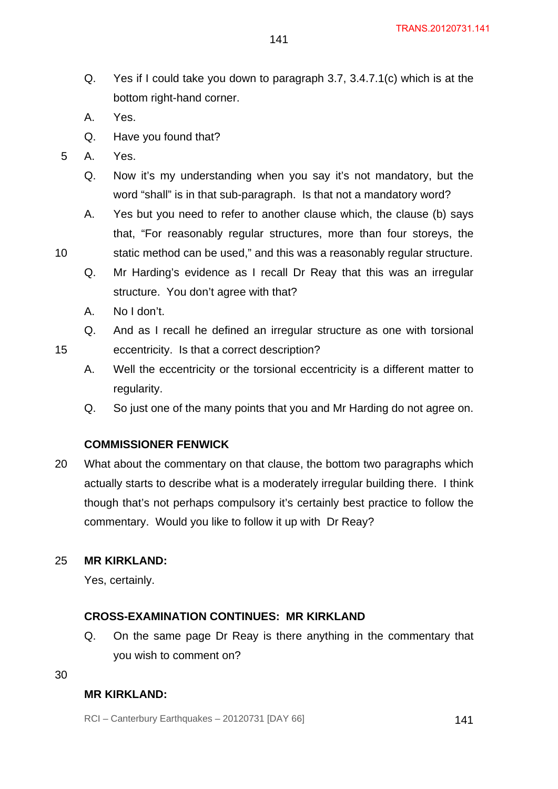Q. Yes if I could take you down to paragraph 3.7, 3.4.7.1(c) which is at the bottom right-hand corner.

141

- A. Yes.
- Q. Have you found that?
- 5 A. Yes.

10

15

- Q. Now it's my understanding when you say it's not mandatory, but the word "shall" is in that sub-paragraph. Is that not a mandatory word?
- A. Yes but you need to refer to another clause which, the clause (b) says that, "For reasonably regular structures, more than four storeys, the static method can be used," and this was a reasonably regular structure.
- Q. Mr Harding's evidence as I recall Dr Reay that this was an irregular structure. You don't agree with that?
- A. No I don't.
- Q. And as I recall he defined an irregular structure as one with torsional eccentricity. Is that a correct description?
- A. Well the eccentricity or the torsional eccentricity is a different matter to regularity.
- Q. So just one of the many points that you and Mr Harding do not agree on.

### **COMMISSIONER FENWICK**

20 What about the commentary on that clause, the bottom two paragraphs which actually starts to describe what is a moderately irregular building there. I think though that's not perhaps compulsory it's certainly best practice to follow the commentary. Would you like to follow it up with Dr Reay?

#### 25 **MR KIRKLAND:**

Yes, certainly.

#### **CROSS-EXAMINATION CONTINUES: MR KIRKLAND**

- Q. On the same page Dr Reay is there anything in the commentary that you wish to comment on?
- 30

### **MR KIRKLAND:**

RCI – Canterbury Earthquakes – 20120731 [DAY 66] 141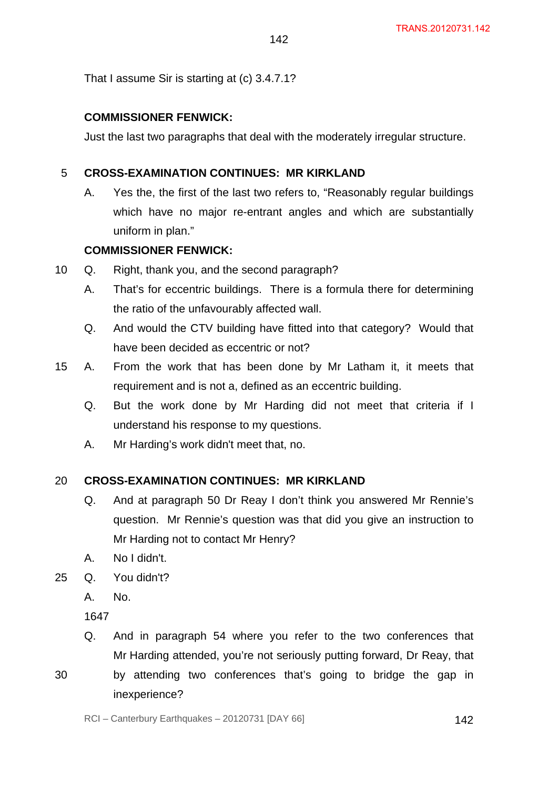That I assume Sir is starting at (c) 3.4.7.1?

# **COMMISSIONER FENWICK:**

Just the last two paragraphs that deal with the moderately irregular structure.

142

#### 5 **CROSS-EXAMINATION CONTINUES: MR KIRKLAND**

A. Yes the, the first of the last two refers to, "Reasonably regular buildings which have no major re-entrant angles and which are substantially uniform in plan."

# **COMMISSIONER FENWICK:**

- 10 Q. Right, thank you, and the second paragraph?
	- A. That's for eccentric buildings. There is a formula there for determining the ratio of the unfavourably affected wall.
	- Q. And would the CTV building have fitted into that category? Would that have been decided as eccentric or not?
- 15 A. From the work that has been done by Mr Latham it, it meets that requirement and is not a, defined as an eccentric building.
	- Q. But the work done by Mr Harding did not meet that criteria if I understand his response to my questions.
	- A. Mr Harding's work didn't meet that, no.

#### 20 **CROSS-EXAMINATION CONTINUES: MR KIRKLAND**

- Q. And at paragraph 50 Dr Reay I don't think you answered Mr Rennie's question. Mr Rennie's question was that did you give an instruction to Mr Harding not to contact Mr Henry?
- A. No I didn't.
- 25 Q. You didn't?
	- A. No.

1647

- Q. And in paragraph 54 where you refer to the two conferences that Mr Harding attended, you're not seriously putting forward, Dr Reay, that
- by attending two conferences that's going to bridge the gap in inexperience?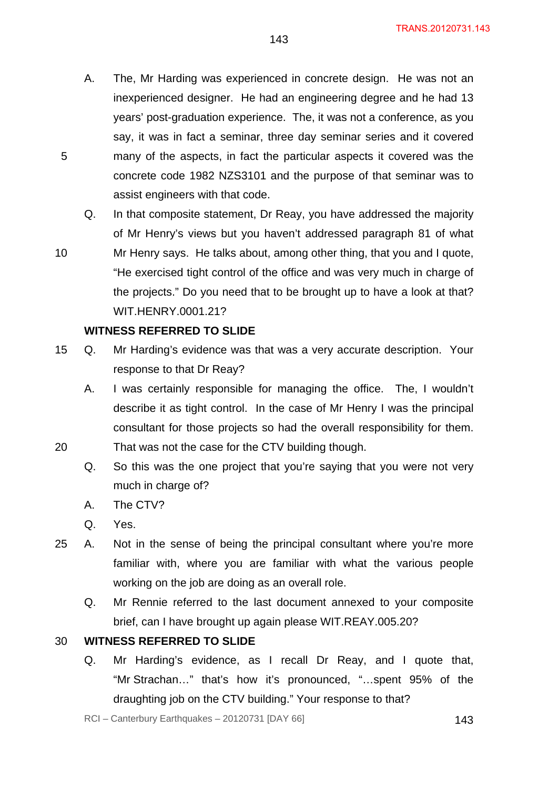- A. The, Mr Harding was experienced in concrete design. He was not an inexperienced designer. He had an engineering degree and he had 13 years' post-graduation experience. The, it was not a conference, as you say, it was in fact a seminar, three day seminar series and it covered many of the aspects, in fact the particular aspects it covered was the concrete code 1982 NZS3101 and the purpose of that seminar was to assist engineers with that code.
- Q. In that composite statement, Dr Reay, you have addressed the majority of Mr Henry's views but you haven't addressed paragraph 81 of what
- 10 Mr Henry says. He talks about, among other thing, that you and I quote, "He exercised tight control of the office and was very much in charge of the projects." Do you need that to be brought up to have a look at that? WIT.HENRY.0001.21?

### **WITNESS REFERRED TO SLIDE**

- 15 Q. Mr Harding's evidence was that was a very accurate description. Your response to that Dr Reay?
	- A. I was certainly responsible for managing the office. The, I wouldn't describe it as tight control. In the case of Mr Henry I was the principal consultant for those projects so had the overall responsibility for them. That was not the case for the CTV building though.
	- Q. So this was the one project that you're saying that you were not very much in charge of?
	- A. The CTV?
	- Q. Yes.

5

20

- 25 A. Not in the sense of being the principal consultant where you're more familiar with, where you are familiar with what the various people working on the job are doing as an overall role.
	- Q. Mr Rennie referred to the last document annexed to your composite brief, can I have brought up again please WIT.REAY.005.20?

#### 30 **WITNESS REFERRED TO SLIDE**

Q. Mr Harding's evidence, as I recall Dr Reay, and I quote that, "Mr Strachan…" that's how it's pronounced, "…spent 95% of the draughting job on the CTV building." Your response to that?

 $RCI - Canterbury Earthquakes - 20120731 [DAY 66]$  143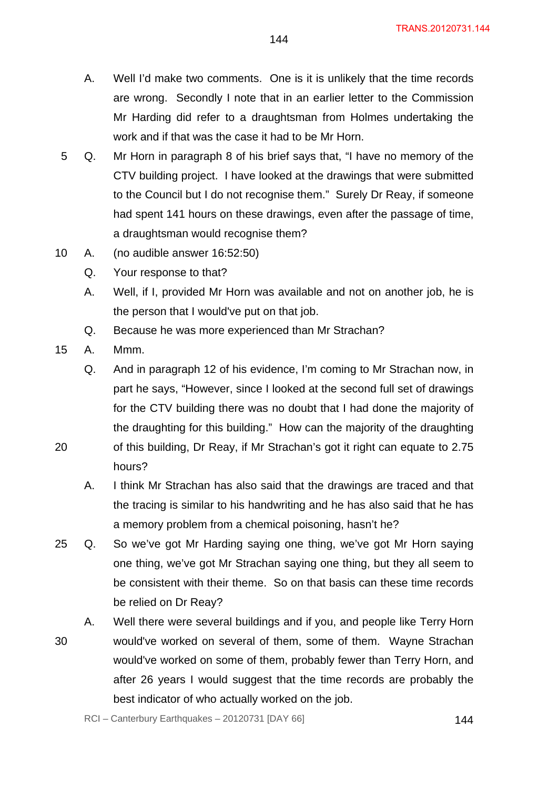- A. Well I'd make two comments. One is it is unlikely that the time records are wrong. Secondly I note that in an earlier letter to the Commission Mr Harding did refer to a draughtsman from Holmes undertaking the work and if that was the case it had to be Mr Horn.
- 5 Q. Mr Horn in paragraph 8 of his brief says that, "I have no memory of the CTV building project. I have looked at the drawings that were submitted to the Council but I do not recognise them." Surely Dr Reay, if someone had spent 141 hours on these drawings, even after the passage of time, a draughtsman would recognise them?
- 10 A. (no audible answer 16:52:50)
	- Q. Your response to that?
	- A. Well, if I, provided Mr Horn was available and not on another job, he is the person that I would've put on that job.
	- Q. Because he was more experienced than Mr Strachan?
- 15 A. Mmm.

Q. And in paragraph 12 of his evidence, I'm coming to Mr Strachan now, in part he says, "However, since I looked at the second full set of drawings for the CTV building there was no doubt that I had done the majority of the draughting for this building." How can the majority of the draughting of this building, Dr Reay, if Mr Strachan's got it right can equate to 2.75 hours?

- A. I think Mr Strachan has also said that the drawings are traced and that the tracing is similar to his handwriting and he has also said that he has a memory problem from a chemical poisoning, hasn't he?
- 25 Q. So we've got Mr Harding saying one thing, we've got Mr Horn saying one thing, we've got Mr Strachan saying one thing, but they all seem to be consistent with their theme. So on that basis can these time records be relied on Dr Reay?
	- A. Well there were several buildings and if you, and people like Terry Horn
- 30 would've worked on several of them, some of them. Wayne Strachan would've worked on some of them, probably fewer than Terry Horn, and after 26 years I would suggest that the time records are probably the best indicator of who actually worked on the job.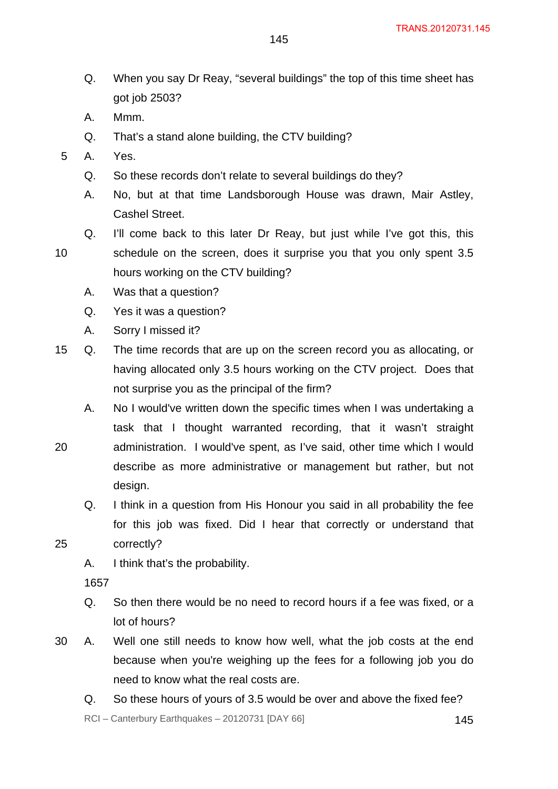- Q. When you say Dr Reay, "several buildings" the top of this time sheet has got job 2503?
- A. Mmm.
- Q. That's a stand alone building, the CTV building?
- 5 A. Yes.
	- Q. So these records don't relate to several buildings do they?
	- A. No, but at that time Landsborough House was drawn, Mair Astley, Cashel Street.
- 10 Q. I'll come back to this later Dr Reay, but just while I've got this, this schedule on the screen, does it surprise you that you only spent 3.5 hours working on the CTV building?
	- A. Was that a question?
	- Q. Yes it was a question?
	- A. Sorry I missed it?
- 15 Q. The time records that are up on the screen record you as allocating, or having allocated only 3.5 hours working on the CTV project. Does that not surprise you as the principal of the firm?
	- A. No I would've written down the specific times when I was undertaking a task that I thought warranted recording, that it wasn't straight administration. I would've spent, as I've said, other time which I would describe as more administrative or management but rather, but not design.
		- Q. I think in a question from His Honour you said in all probability the fee for this job was fixed. Did I hear that correctly or understand that
- 25 correctly?
	- A. I think that's the probability.

1657

20

- Q. So then there would be no need to record hours if a fee was fixed, or a lot of hours?
- 30 A. Well one still needs to know how well, what the job costs at the end because when you're weighing up the fees for a following job you do need to know what the real costs are.
	- Q. So these hours of yours of 3.5 would be over and above the fixed fee?

145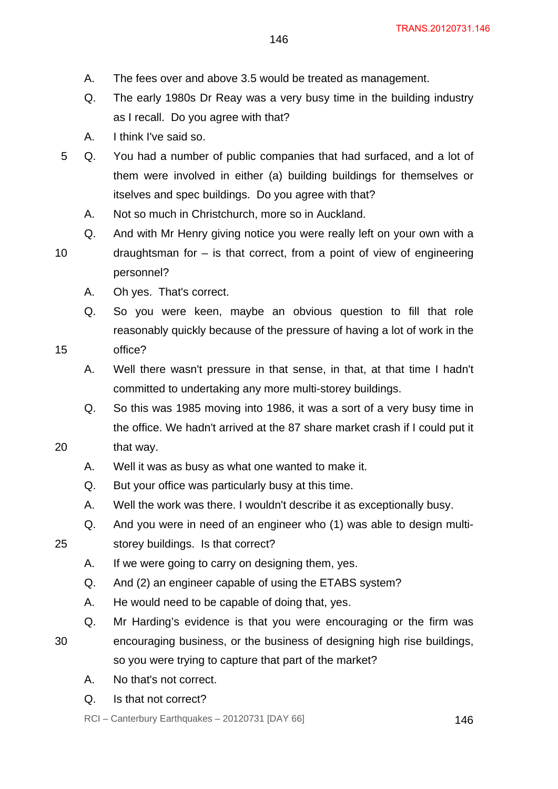- A. The fees over and above 3.5 would be treated as management.
- Q. The early 1980s Dr Reay was a very busy time in the building industry as I recall. Do you agree with that?
- A. I think I've said so.
- 5 Q. You had a number of public companies that had surfaced, and a lot of them were involved in either (a) building buildings for themselves or itselves and spec buildings. Do you agree with that?
	- A. Not so much in Christchurch, more so in Auckland.
	- Q. And with Mr Henry giving notice you were really left on your own with a draughtsman for  $-$  is that correct, from a point of view of engineering personnel?
		- A. Oh yes. That's correct.
		- Q. So you were keen, maybe an obvious question to fill that role reasonably quickly because of the pressure of having a lot of work in the office?
		- A. Well there wasn't pressure in that sense, in that, at that time I hadn't committed to undertaking any more multi-storey buildings.
		- Q. So this was 1985 moving into 1986, it was a sort of a very busy time in the office. We hadn't arrived at the 87 share market crash if I could put it
- 20 that way.
	- A. Well it was as busy as what one wanted to make it.
	- Q. But your office was particularly busy at this time.
	- A. Well the work was there. I wouldn't describe it as exceptionally busy.
	- Q. And you were in need of an engineer who (1) was able to design multistorey buildings. Is that correct?

25

10

15

- A. If we were going to carry on designing them, yes.
- Q. And (2) an engineer capable of using the ETABS system?
- A. He would need to be capable of doing that, yes.
- Q. Mr Harding's evidence is that you were encouraging or the firm was
- 30 encouraging business, or the business of designing high rise buildings, so you were trying to capture that part of the market?
	- A. No that's not correct.
	- Q. Is that not correct?
	- $RCI Canterbury Earthquakes 20120731 [DAY 66]$  146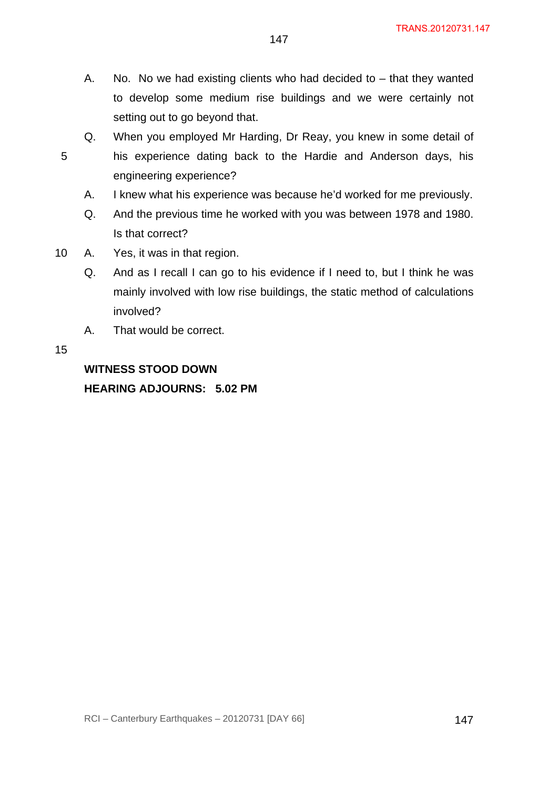- A. No. No we had existing clients who had decided to  $-$  that they wanted to develop some medium rise buildings and we were certainly not setting out to go beyond that.
- Q. When you employed Mr Harding, Dr Reay, you knew in some detail of his experience dating back to the Hardie and Anderson days, his engineering experience?
	- A. I knew what his experience was because he'd worked for me previously.
	- Q. And the previous time he worked with you was between 1978 and 1980. Is that correct?
- 10 A. Yes, it was in that region.
	- Q. And as I recall I can go to his evidence if I need to, but I think he was mainly involved with low rise buildings, the static method of calculations involved?
	- A. That would be correct.

15

5

## **WITNESS STOOD DOWN HEARING ADJOURNS: 5.02 PM**